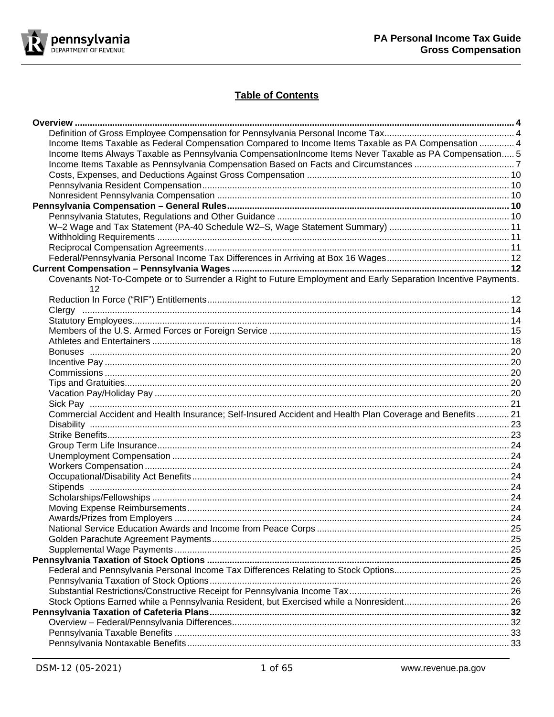

# **Table of Contents**

| Income Items Taxable as Federal Compensation Compared to Income Items Taxable as PA Compensation  4                  |  |
|----------------------------------------------------------------------------------------------------------------------|--|
| Income Items Always Taxable as Pennsylvania CompensationIncome Items Never Taxable as PA Compensation 5              |  |
|                                                                                                                      |  |
|                                                                                                                      |  |
|                                                                                                                      |  |
|                                                                                                                      |  |
|                                                                                                                      |  |
|                                                                                                                      |  |
|                                                                                                                      |  |
|                                                                                                                      |  |
|                                                                                                                      |  |
|                                                                                                                      |  |
|                                                                                                                      |  |
| Covenants Not-To-Compete or to Surrender a Right to Future Employment and Early Separation Incentive Payments.<br>12 |  |
|                                                                                                                      |  |
|                                                                                                                      |  |
|                                                                                                                      |  |
|                                                                                                                      |  |
|                                                                                                                      |  |
|                                                                                                                      |  |
|                                                                                                                      |  |
|                                                                                                                      |  |
|                                                                                                                      |  |
|                                                                                                                      |  |
|                                                                                                                      |  |
| Commercial Accident and Health Insurance; Self-Insured Accident and Health Plan Coverage and Benefits  21            |  |
|                                                                                                                      |  |
|                                                                                                                      |  |
|                                                                                                                      |  |
|                                                                                                                      |  |
|                                                                                                                      |  |
|                                                                                                                      |  |
|                                                                                                                      |  |
|                                                                                                                      |  |
|                                                                                                                      |  |
|                                                                                                                      |  |
|                                                                                                                      |  |
|                                                                                                                      |  |
|                                                                                                                      |  |
|                                                                                                                      |  |
|                                                                                                                      |  |
|                                                                                                                      |  |
|                                                                                                                      |  |
|                                                                                                                      |  |
|                                                                                                                      |  |
|                                                                                                                      |  |
|                                                                                                                      |  |
|                                                                                                                      |  |
|                                                                                                                      |  |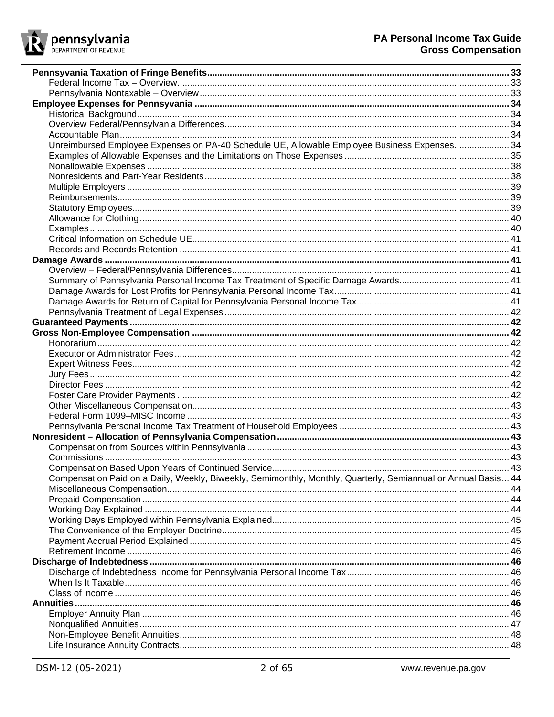

| Unreimbursed Employee Expenses on PA-40 Schedule UE, Allowable Employee Business Expenses 34                   |  |
|----------------------------------------------------------------------------------------------------------------|--|
|                                                                                                                |  |
|                                                                                                                |  |
|                                                                                                                |  |
|                                                                                                                |  |
|                                                                                                                |  |
|                                                                                                                |  |
|                                                                                                                |  |
|                                                                                                                |  |
|                                                                                                                |  |
|                                                                                                                |  |
|                                                                                                                |  |
|                                                                                                                |  |
|                                                                                                                |  |
|                                                                                                                |  |
|                                                                                                                |  |
|                                                                                                                |  |
|                                                                                                                |  |
|                                                                                                                |  |
|                                                                                                                |  |
|                                                                                                                |  |
|                                                                                                                |  |
|                                                                                                                |  |
|                                                                                                                |  |
|                                                                                                                |  |
|                                                                                                                |  |
|                                                                                                                |  |
|                                                                                                                |  |
|                                                                                                                |  |
|                                                                                                                |  |
|                                                                                                                |  |
| Compensation Paid on a Daily, Weekly, Biweekly, Semimonthly, Monthly, Quarterly, Semiannual or Annual Basis 44 |  |
|                                                                                                                |  |
|                                                                                                                |  |
|                                                                                                                |  |
|                                                                                                                |  |
|                                                                                                                |  |
|                                                                                                                |  |
|                                                                                                                |  |
|                                                                                                                |  |
|                                                                                                                |  |
|                                                                                                                |  |
|                                                                                                                |  |
|                                                                                                                |  |
|                                                                                                                |  |
|                                                                                                                |  |
|                                                                                                                |  |
|                                                                                                                |  |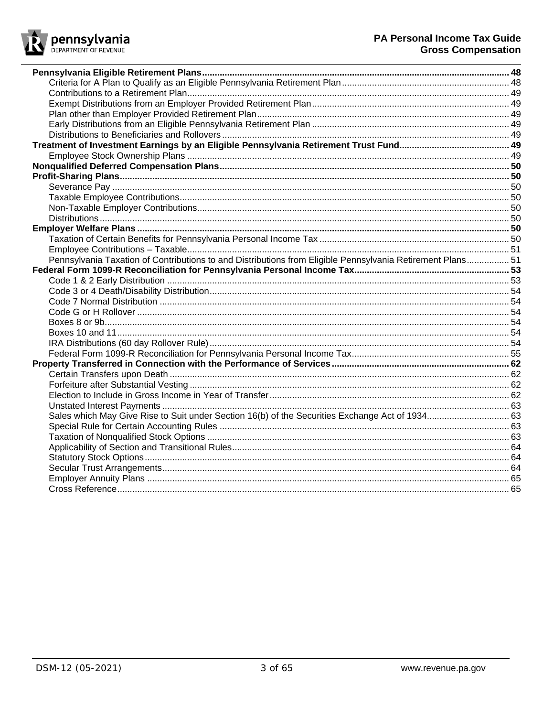

| Pennsylvania Taxation of Contributions to and Distributions from Eligible Pennsylvania Retirement Plans 51 |  |
|------------------------------------------------------------------------------------------------------------|--|
|                                                                                                            |  |
|                                                                                                            |  |
|                                                                                                            |  |
|                                                                                                            |  |
|                                                                                                            |  |
|                                                                                                            |  |
|                                                                                                            |  |
|                                                                                                            |  |
|                                                                                                            |  |
|                                                                                                            |  |
|                                                                                                            |  |
|                                                                                                            |  |
|                                                                                                            |  |
|                                                                                                            |  |
|                                                                                                            |  |
|                                                                                                            |  |
|                                                                                                            |  |
|                                                                                                            |  |
|                                                                                                            |  |
|                                                                                                            |  |
|                                                                                                            |  |
|                                                                                                            |  |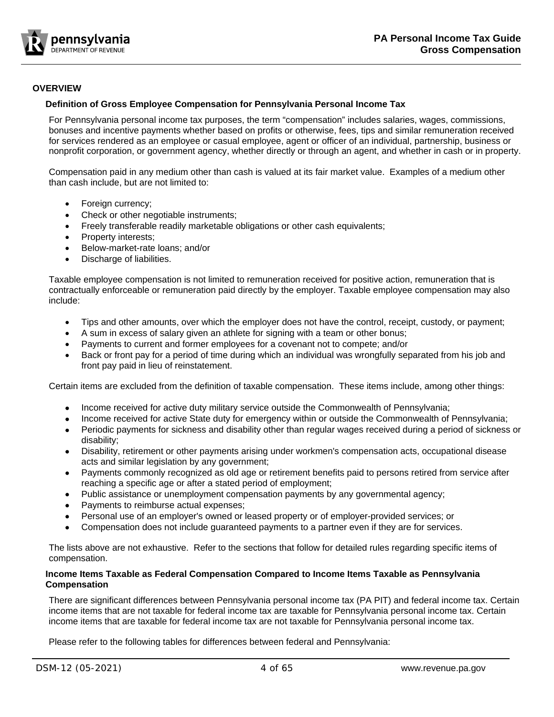

# <span id="page-3-0"></span>**OVERVIEW**

## <span id="page-3-1"></span>**Definition of Gross Employee Compensation for Pennsylvania Personal Income Tax**

For Pennsylvania personal income tax purposes, the term "compensation" includes salaries, wages, commissions, bonuses and incentive payments whether based on profits or otherwise, fees, tips and similar remuneration received for services rendered as an employee or casual employee, agent or officer of an individual, partnership, business or nonprofit corporation, or government agency, whether directly or through an agent, and whether in cash or in property.

Compensation paid in any medium other than cash is valued at its fair market value. Examples of a medium other than cash include, but are not limited to:

- Foreign currency;
- Check or other negotiable instruments;
- Freely transferable readily marketable obligations or other cash equivalents;
- Property interests;
- Below-market-rate loans; and/or
- Discharge of liabilities.

Taxable employee compensation is not limited to remuneration received for positive action, remuneration that is contractually enforceable or remuneration paid directly by the employer. Taxable employee compensation may also include:

- Tips and other amounts, over which the employer does not have the control, receipt, custody, or payment;
- A sum in excess of salary given an athlete for signing with a team or other bonus;
- Payments to current and former employees for a covenant not to compete; and/or
- Back or front pay for a period of time during which an individual was wrongfully separated from his job and front pay paid in lieu of reinstatement.

Certain items are excluded from the definition of taxable compensation. These items include, among other things:

- Income received for active duty military service outside the Commonwealth of Pennsylvania;
- Income received for active State duty for emergency within or outside the Commonwealth of Pennsylvania;
- Periodic payments for sickness and disability other than regular wages received during a period of sickness or disability;
- Disability, retirement or other payments arising under workmen's compensation acts, occupational disease acts and similar legislation by any government;
- Payments commonly recognized as old age or retirement benefits paid to persons retired from service after reaching a specific age or after a stated period of employment;
- Public assistance or unemployment compensation payments by any governmental agency;
- Payments to reimburse actual expenses;
- Personal use of an employer's owned or leased property or of employer-provided services; or
- Compensation does not include guaranteed payments to a partner even if they are for services.

The lists above are not exhaustive. Refer to the sections that follow for detailed rules regarding specific items of compensation.

## <span id="page-3-2"></span>**Income Items Taxable as Federal Compensation Compared to Income Items Taxable as Pennsylvania Compensation**

There are significant differences between Pennsylvania personal income tax (PA PIT) and federal income tax. Certain income items that are not taxable for federal income tax are taxable for Pennsylvania personal income tax. Certain income items that are taxable for federal income tax are not taxable for Pennsylvania personal income tax.

Please refer to the following tables for differences between federal and Pennsylvania: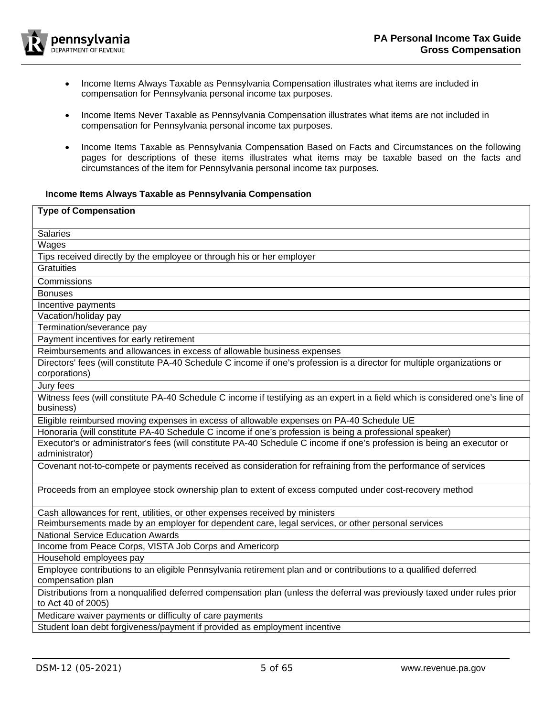

- [Income Items Always Taxable as Pennsylvania](#page-4-0) Compensation illustrates what items are included in compensation for Pennsylvania personal income tax purposes.
- [Income Items Never Taxable as Pennsylvania](#page-4-1) Compensation illustrates what items are not included in compensation for Pennsylvania personal income tax purposes.
- <span id="page-4-1"></span>• Income Items Taxable as Pennsylvania [Compensation Based on Facts and Circumstances on the following](#page-6-0)  [pages for descriptions](#page-6-0) of these items illustrates what items may be taxable based on the facts and circumstances of the item for Pennsylvania personal income tax purposes.

# <span id="page-4-0"></span>**Income Items Always Taxable as Pennsylvania Compensation**

| <b>Type of Compensation</b>                                                                                                                    |
|------------------------------------------------------------------------------------------------------------------------------------------------|
|                                                                                                                                                |
| Salaries                                                                                                                                       |
| Wages                                                                                                                                          |
| Tips received directly by the employee or through his or her employer                                                                          |
| <b>Gratuities</b>                                                                                                                              |
| Commissions                                                                                                                                    |
| <b>Bonuses</b>                                                                                                                                 |
| Incentive payments                                                                                                                             |
| Vacation/holiday pay                                                                                                                           |
| Termination/severance pay                                                                                                                      |
| Payment incentives for early retirement                                                                                                        |
| Reimbursements and allowances in excess of allowable business expenses                                                                         |
| Directors' fees (will constitute PA-40 Schedule C income if one's profession is a director for multiple organizations or                       |
| corporations)                                                                                                                                  |
| Jury fees                                                                                                                                      |
| Witness fees (will constitute PA-40 Schedule C income if testifying as an expert in a field which is considered one's line of                  |
| business)                                                                                                                                      |
| Eligible reimbursed moving expenses in excess of allowable expenses on PA-40 Schedule UE                                                       |
| Honoraria (will constitute PA-40 Schedule C income if one's profession is being a professional speaker)                                        |
| Executor's or administrator's fees (will constitute PA-40 Schedule C income if one's profession is being an executor or                        |
| administrator)                                                                                                                                 |
| Covenant not-to-compete or payments received as consideration for refraining from the performance of services                                  |
| Proceeds from an employee stock ownership plan to extent of excess computed under cost-recovery method                                         |
| Cash allowances for rent, utilities, or other expenses received by ministers                                                                   |
| Reimbursements made by an employer for dependent care, legal services, or other personal services                                              |
| <b>National Service Education Awards</b>                                                                                                       |
| Income from Peace Corps, VISTA Job Corps and Americorp                                                                                         |
| Household employees pay                                                                                                                        |
| Employee contributions to an eligible Pennsylvania retirement plan and or contributions to a qualified deferred                                |
| compensation plan                                                                                                                              |
| Distributions from a nonqualified deferred compensation plan (unless the deferral was previously taxed under rules prior<br>to Act 40 of 2005) |
| Medicare waiver payments or difficulty of care payments                                                                                        |
| Student loan debt forgiveness/payment if provided as employment incentive                                                                      |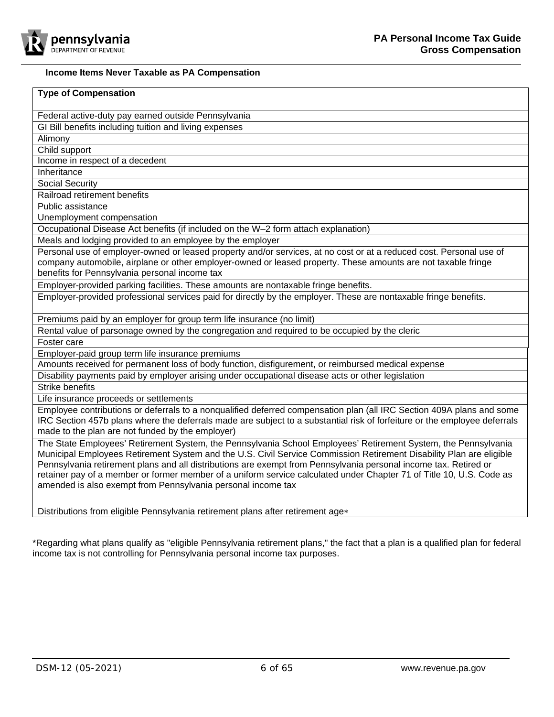

# **Income Items Never Taxable as PA Compensation**

| <b>Type of Compensation</b>                                                                                                                                                                                                                                                                                                                                                                                                                                                                                                                       |  |
|---------------------------------------------------------------------------------------------------------------------------------------------------------------------------------------------------------------------------------------------------------------------------------------------------------------------------------------------------------------------------------------------------------------------------------------------------------------------------------------------------------------------------------------------------|--|
| Federal active-duty pay earned outside Pennsylvania                                                                                                                                                                                                                                                                                                                                                                                                                                                                                               |  |
| GI Bill benefits including tuition and living expenses                                                                                                                                                                                                                                                                                                                                                                                                                                                                                            |  |
| Alimony                                                                                                                                                                                                                                                                                                                                                                                                                                                                                                                                           |  |
| Child support                                                                                                                                                                                                                                                                                                                                                                                                                                                                                                                                     |  |
| Income in respect of a decedent                                                                                                                                                                                                                                                                                                                                                                                                                                                                                                                   |  |
| Inheritance                                                                                                                                                                                                                                                                                                                                                                                                                                                                                                                                       |  |
| <b>Social Security</b>                                                                                                                                                                                                                                                                                                                                                                                                                                                                                                                            |  |
| Railroad retirement benefits                                                                                                                                                                                                                                                                                                                                                                                                                                                                                                                      |  |
| Public assistance                                                                                                                                                                                                                                                                                                                                                                                                                                                                                                                                 |  |
| Unemployment compensation                                                                                                                                                                                                                                                                                                                                                                                                                                                                                                                         |  |
| Occupational Disease Act benefits (if included on the W-2 form attach explanation)                                                                                                                                                                                                                                                                                                                                                                                                                                                                |  |
| Meals and lodging provided to an employee by the employer                                                                                                                                                                                                                                                                                                                                                                                                                                                                                         |  |
| Personal use of employer-owned or leased property and/or services, at no cost or at a reduced cost. Personal use of<br>company automobile, airplane or other employer-owned or leased property. These amounts are not taxable fringe<br>benefits for Pennsylvania personal income tax                                                                                                                                                                                                                                                             |  |
| Employer-provided parking facilities. These amounts are nontaxable fringe benefits.                                                                                                                                                                                                                                                                                                                                                                                                                                                               |  |
| Employer-provided professional services paid for directly by the employer. These are nontaxable fringe benefits.                                                                                                                                                                                                                                                                                                                                                                                                                                  |  |
| Premiums paid by an employer for group term life insurance (no limit)                                                                                                                                                                                                                                                                                                                                                                                                                                                                             |  |
| Rental value of parsonage owned by the congregation and required to be occupied by the cleric                                                                                                                                                                                                                                                                                                                                                                                                                                                     |  |
| Foster care                                                                                                                                                                                                                                                                                                                                                                                                                                                                                                                                       |  |
| Employer-paid group term life insurance premiums                                                                                                                                                                                                                                                                                                                                                                                                                                                                                                  |  |
| Amounts received for permanent loss of body function, disfigurement, or reimbursed medical expense                                                                                                                                                                                                                                                                                                                                                                                                                                                |  |
| Disability payments paid by employer arising under occupational disease acts or other legislation                                                                                                                                                                                                                                                                                                                                                                                                                                                 |  |
| <b>Strike benefits</b>                                                                                                                                                                                                                                                                                                                                                                                                                                                                                                                            |  |
| Life insurance proceeds or settlements                                                                                                                                                                                                                                                                                                                                                                                                                                                                                                            |  |
| Employee contributions or deferrals to a nonqualified deferred compensation plan (all IRC Section 409A plans and some<br>IRC Section 457b plans where the deferrals made are subject to a substantial risk of forfeiture or the employee deferrals<br>made to the plan are not funded by the employer)                                                                                                                                                                                                                                            |  |
| The State Employees' Retirement System, the Pennsylvania School Employees' Retirement System, the Pennsylvania<br>Municipal Employees Retirement System and the U.S. Civil Service Commission Retirement Disability Plan are eligible<br>Pennsylvania retirement plans and all distributions are exempt from Pennsylvania personal income tax. Retired or<br>retainer pay of a member or former member of a uniform service calculated under Chapter 71 of Title 10, U.S. Code as<br>amended is also exempt from Pennsylvania personal income tax |  |
|                                                                                                                                                                                                                                                                                                                                                                                                                                                                                                                                                   |  |

income tax is not controlling for Pennsylvania personal income tax purposes.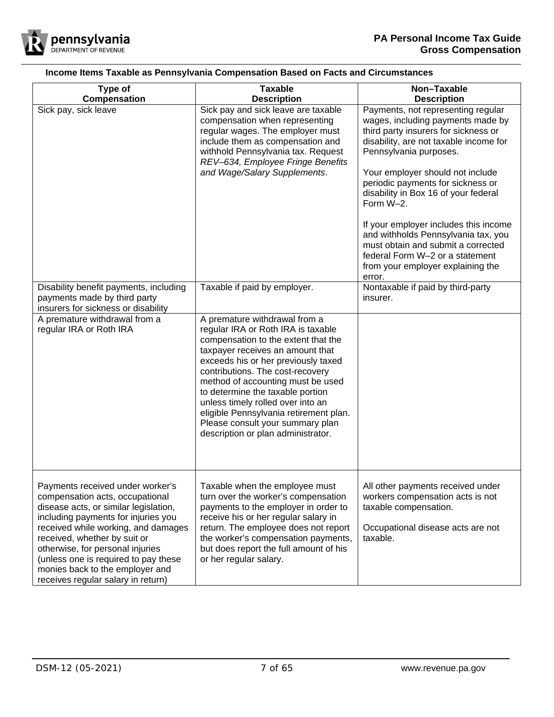

<span id="page-6-0"></span>

| Type of                                                                                                                                                                                                                                                                                                                                                                         | <b>Taxable</b>                                                                                                                                                                                                                                                                                                                                                                                                                                              | Non-Taxable                                                                                                                                                                                                                                                                                                                                                                                                                                                                                                               |  |
|---------------------------------------------------------------------------------------------------------------------------------------------------------------------------------------------------------------------------------------------------------------------------------------------------------------------------------------------------------------------------------|-------------------------------------------------------------------------------------------------------------------------------------------------------------------------------------------------------------------------------------------------------------------------------------------------------------------------------------------------------------------------------------------------------------------------------------------------------------|---------------------------------------------------------------------------------------------------------------------------------------------------------------------------------------------------------------------------------------------------------------------------------------------------------------------------------------------------------------------------------------------------------------------------------------------------------------------------------------------------------------------------|--|
| Compensation                                                                                                                                                                                                                                                                                                                                                                    | <b>Description</b>                                                                                                                                                                                                                                                                                                                                                                                                                                          | <b>Description</b>                                                                                                                                                                                                                                                                                                                                                                                                                                                                                                        |  |
| Sick pay, sick leave                                                                                                                                                                                                                                                                                                                                                            | Sick pay and sick leave are taxable<br>compensation when representing<br>regular wages. The employer must<br>include them as compensation and<br>withhold Pennsylvania tax. Request<br>REV-634, Employee Fringe Benefits<br>and Wage/Salary Supplements.                                                                                                                                                                                                    | Payments, not representing regular<br>wages, including payments made by<br>third party insurers for sickness or<br>disability, are not taxable income for<br>Pennsylvania purposes.<br>Your employer should not include<br>periodic payments for sickness or<br>disability in Box 16 of your federal<br>Form W-2.<br>If your employer includes this income<br>and withholds Pennsylvania tax, you<br>must obtain and submit a corrected<br>federal Form W-2 or a statement<br>from your employer explaining the<br>error. |  |
| Disability benefit payments, including<br>payments made by third party<br>insurers for sickness or disability                                                                                                                                                                                                                                                                   | Taxable if paid by employer.                                                                                                                                                                                                                                                                                                                                                                                                                                | Nontaxable if paid by third-party<br>insurer.                                                                                                                                                                                                                                                                                                                                                                                                                                                                             |  |
| A premature withdrawal from a<br>regular IRA or Roth IRA                                                                                                                                                                                                                                                                                                                        | A premature withdrawal from a<br>regular IRA or Roth IRA is taxable<br>compensation to the extent that the<br>taxpayer receives an amount that<br>exceeds his or her previously taxed<br>contributions. The cost-recovery<br>method of accounting must be used<br>to determine the taxable portion<br>unless timely rolled over into an<br>eligible Pennsylvania retirement plan.<br>Please consult your summary plan<br>description or plan administrator. |                                                                                                                                                                                                                                                                                                                                                                                                                                                                                                                           |  |
| Payments received under worker's<br>compensation acts, occupational<br>disease acts, or similar legislation,<br>including payments for injuries you<br>received while working, and damages<br>received, whether by suit or<br>otherwise, for personal injuries<br>(unless one is required to pay these<br>monies back to the employer and<br>receives regular salary in return) | Taxable when the employee must<br>turn over the worker's compensation<br>payments to the employer in order to<br>receive his or her regular salary in<br>return. The employee does not report<br>the worker's compensation payments,<br>but does report the full amount of his<br>or her regular salary.                                                                                                                                                    | All other payments received under<br>workers compensation acts is not<br>taxable compensation.<br>Occupational disease acts are not<br>taxable.                                                                                                                                                                                                                                                                                                                                                                           |  |

# **Income Items Taxable as Pennsylvania Compensation Based on Facts and Circumstances**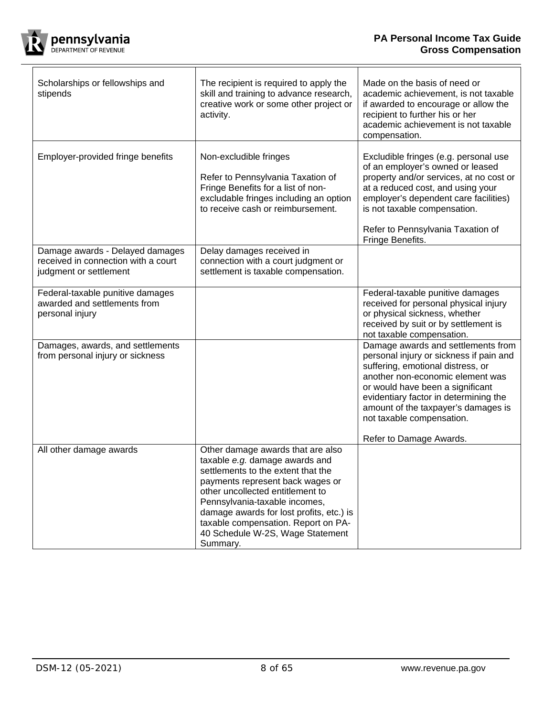┑

 $\overline{\mathsf{T}}$ 



 $\Gamma$ 

 $\overline{\mathsf{T}}$ 

| Scholarships or fellowships and<br>stipends                                                      | The recipient is required to apply the<br>skill and training to advance research,<br>creative work or some other project or<br>activity.                                                                                                                                                                                                              | Made on the basis of need or<br>academic achievement, is not taxable<br>if awarded to encourage or allow the<br>recipient to further his or her<br>academic achievement is not taxable<br>compensation.                                                                                                                            |
|--------------------------------------------------------------------------------------------------|-------------------------------------------------------------------------------------------------------------------------------------------------------------------------------------------------------------------------------------------------------------------------------------------------------------------------------------------------------|------------------------------------------------------------------------------------------------------------------------------------------------------------------------------------------------------------------------------------------------------------------------------------------------------------------------------------|
| Employer-provided fringe benefits                                                                | Non-excludible fringes<br>Refer to Pennsylvania Taxation of<br>Fringe Benefits for a list of non-<br>excludable fringes including an option<br>to receive cash or reimbursement.                                                                                                                                                                      | Excludible fringes (e.g. personal use<br>of an employer's owned or leased<br>property and/or services, at no cost or<br>at a reduced cost, and using your<br>employer's dependent care facilities)<br>is not taxable compensation.<br>Refer to Pennsylvania Taxation of<br>Fringe Benefits.                                        |
| Damage awards - Delayed damages<br>received in connection with a court<br>judgment or settlement | Delay damages received in<br>connection with a court judgment or<br>settlement is taxable compensation.                                                                                                                                                                                                                                               |                                                                                                                                                                                                                                                                                                                                    |
| Federal-taxable punitive damages<br>awarded and settlements from<br>personal injury              |                                                                                                                                                                                                                                                                                                                                                       | Federal-taxable punitive damages<br>received for personal physical injury<br>or physical sickness, whether<br>received by suit or by settlement is<br>not taxable compensation.                                                                                                                                                    |
| Damages, awards, and settlements<br>from personal injury or sickness                             |                                                                                                                                                                                                                                                                                                                                                       | Damage awards and settlements from<br>personal injury or sickness if pain and<br>suffering, emotional distress, or<br>another non-economic element was<br>or would have been a significant<br>evidentiary factor in determining the<br>amount of the taxpayer's damages is<br>not taxable compensation.<br>Refer to Damage Awards. |
| All other damage awards                                                                          | Other damage awards that are also<br>taxable e.g. damage awards and<br>settlements to the extent that the<br>payments represent back wages or<br>other uncollected entitlement to<br>Pennsylvania-taxable incomes,<br>damage awards for lost profits, etc.) is<br>taxable compensation. Report on PA-<br>40 Schedule W-2S, Wage Statement<br>Summary. |                                                                                                                                                                                                                                                                                                                                    |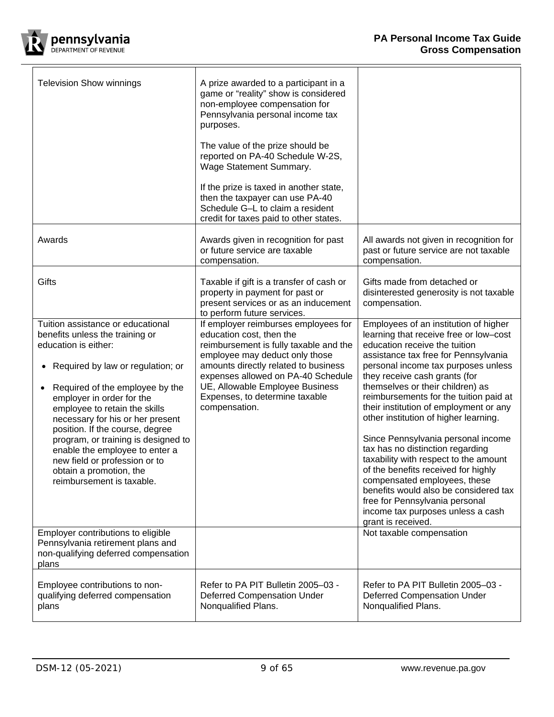╕



 $\overline{\Gamma}$ 

| <b>Television Show winnings</b>                                                                                                                                                                                                                                                                                                                                                                                                                                                                       | A prize awarded to a participant in a<br>game or "reality" show is considered<br>non-employee compensation for<br>Pennsylvania personal income tax<br>purposes.<br>The value of the prize should be<br>reported on PA-40 Schedule W-2S,<br>Wage Statement Summary.<br>If the prize is taxed in another state,<br>then the taxpayer can use PA-40<br>Schedule G-L to claim a resident<br>credit for taxes paid to other states. |                                                                                                                                                                                                                                                                                                                                                                                                                                                                                                                                                                                                                                                                                                                                   |
|-------------------------------------------------------------------------------------------------------------------------------------------------------------------------------------------------------------------------------------------------------------------------------------------------------------------------------------------------------------------------------------------------------------------------------------------------------------------------------------------------------|--------------------------------------------------------------------------------------------------------------------------------------------------------------------------------------------------------------------------------------------------------------------------------------------------------------------------------------------------------------------------------------------------------------------------------|-----------------------------------------------------------------------------------------------------------------------------------------------------------------------------------------------------------------------------------------------------------------------------------------------------------------------------------------------------------------------------------------------------------------------------------------------------------------------------------------------------------------------------------------------------------------------------------------------------------------------------------------------------------------------------------------------------------------------------------|
| Awards                                                                                                                                                                                                                                                                                                                                                                                                                                                                                                | Awards given in recognition for past<br>or future service are taxable<br>compensation.                                                                                                                                                                                                                                                                                                                                         | All awards not given in recognition for<br>past or future service are not taxable<br>compensation.                                                                                                                                                                                                                                                                                                                                                                                                                                                                                                                                                                                                                                |
| Gifts                                                                                                                                                                                                                                                                                                                                                                                                                                                                                                 | Taxable if gift is a transfer of cash or<br>property in payment for past or<br>present services or as an inducement<br>to perform future services.                                                                                                                                                                                                                                                                             | Gifts made from detached or<br>disinterested generosity is not taxable<br>compensation.                                                                                                                                                                                                                                                                                                                                                                                                                                                                                                                                                                                                                                           |
| Tuition assistance or educational<br>benefits unless the training or<br>education is either:<br>Required by law or regulation; or<br>$\bullet$<br>Required of the employee by the<br>$\bullet$<br>employer in order for the<br>employee to retain the skills<br>necessary for his or her present<br>position. If the course, degree<br>program, or training is designed to<br>enable the employee to enter a<br>new field or profession or to<br>obtain a promotion, the<br>reimbursement is taxable. | If employer reimburses employees for<br>education cost, then the<br>reimbursement is fully taxable and the<br>employee may deduct only those<br>amounts directly related to business<br>expenses allowed on PA-40 Schedule<br>UE, Allowable Employee Business<br>Expenses, to determine taxable<br>compensation.                                                                                                               | Employees of an institution of higher<br>learning that receive free or low-cost<br>education receive the tuition<br>assistance tax free for Pennsylvania<br>personal income tax purposes unless<br>they receive cash grants (for<br>themselves or their children) as<br>reimbursements for the tuition paid at<br>their institution of employment or any<br>other institution of higher learning.<br>Since Pennsylvania personal income<br>tax has no distinction regarding<br>taxability with respect to the amount<br>of the benefits received for highly<br>compensated employees, these<br>benefits would also be considered tax<br>free for Pennsylvania personal<br>income tax purposes unless a cash<br>grant is received. |
| Employer contributions to eligible<br>Pennsylvania retirement plans and<br>non-qualifying deferred compensation<br>plans                                                                                                                                                                                                                                                                                                                                                                              |                                                                                                                                                                                                                                                                                                                                                                                                                                | Not taxable compensation                                                                                                                                                                                                                                                                                                                                                                                                                                                                                                                                                                                                                                                                                                          |
| Employee contributions to non-<br>qualifying deferred compensation<br>plans                                                                                                                                                                                                                                                                                                                                                                                                                           | Refer to PA PIT Bulletin 2005-03 -<br><b>Deferred Compensation Under</b><br>Nonqualified Plans.                                                                                                                                                                                                                                                                                                                                | Refer to PA PIT Bulletin 2005-03 -<br><b>Deferred Compensation Under</b><br>Nonqualified Plans.                                                                                                                                                                                                                                                                                                                                                                                                                                                                                                                                                                                                                                   |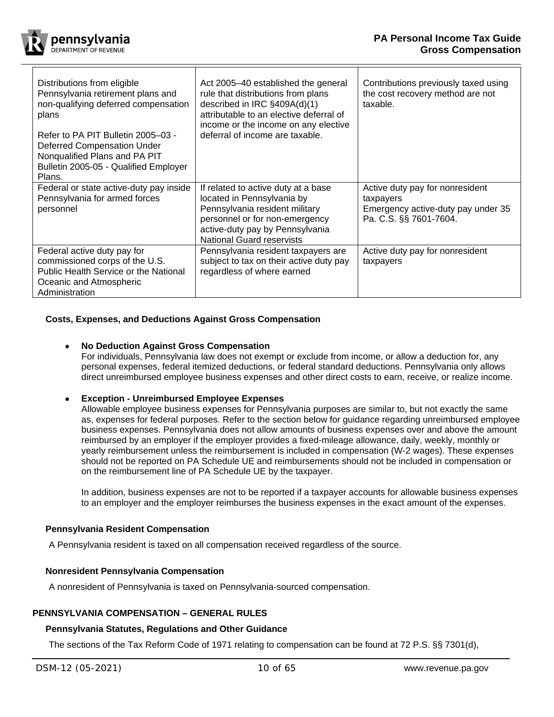

| Distributions from eligible<br>Pennsylvania retirement plans and<br>non-qualifying deferred compensation<br>plans<br>Refer to PA PIT Bulletin 2005-03 -<br><b>Deferred Compensation Under</b><br>Nonqualified Plans and PA PIT<br>Bulletin 2005-05 - Qualified Employer<br>Plans. | Act 2005-40 established the general<br>rule that distributions from plans<br>described in IRC §409A(d)(1)<br>attributable to an elective deferral of<br>income or the income on any elective<br>deferral of income are taxable. | Contributions previously taxed using<br>the cost recovery method are not<br>taxable.                         |
|-----------------------------------------------------------------------------------------------------------------------------------------------------------------------------------------------------------------------------------------------------------------------------------|---------------------------------------------------------------------------------------------------------------------------------------------------------------------------------------------------------------------------------|--------------------------------------------------------------------------------------------------------------|
| Federal or state active-duty pay inside<br>Pennsylvania for armed forces<br>personnel                                                                                                                                                                                             | If related to active duty at a base<br>located in Pennsylvania by<br>Pennsylvania resident military<br>personnel or for non-emergency<br>active-duty pay by Pennsylvania<br><b>National Guard reservists</b>                    | Active duty pay for nonresident<br>taxpayers<br>Emergency active-duty pay under 35<br>Pa. C.S. §§ 7601-7604. |
| Federal active duty pay for<br>commissioned corps of the U.S.<br>Public Health Service or the National<br>Oceanic and Atmospheric<br>Administration                                                                                                                               | Pennsylvania resident taxpayers are<br>subject to tax on their active duty pay<br>regardless of where earned                                                                                                                    | Active duty pay for nonresident<br>taxpayers                                                                 |

# <span id="page-9-0"></span>**Costs, Expenses, and Deductions Against Gross Compensation**

# • **No Deduction Against Gross Compensation**

For individuals, Pennsylvania law does not exempt or exclude from income, or allow a deduction for, any personal expenses, federal itemized deductions, or federal standard deductions. Pennsylvania only allows direct unreimbursed employee business expenses and other direct costs to earn, receive, or realize income.

## • **Exception - Unreimbursed Employee Expenses**

Allowable employee business expenses for Pennsylvania purposes are similar to, but not exactly the same as, expenses for federal purposes. Refer to the section below for guidance regarding unreimbursed employee business expenses. Pennsylvania does not allow amounts of business expenses over and above the amount reimbursed by an employer if the employer provides a fixed-mileage allowance, daily, weekly, monthly or yearly reimbursement unless the reimbursement is included in compensation (W-2 wages). These expenses should not be reported on PA Schedule UE and reimbursements should not be included in compensation or on the reimbursement line of PA Schedule UE by the taxpayer.

In addition, business expenses are not to be reported if a taxpayer accounts for allowable business expenses to an employer and the employer reimburses the business expenses in the exact amount of the expenses.

## <span id="page-9-1"></span>**Pennsylvania Resident Compensation**

A Pennsylvania resident is taxed on all compensation received regardless of the source.

## <span id="page-9-2"></span>**Nonresident Pennsylvania Compensation**

A nonresident of Pennsylvania is taxed on Pennsylvania-sourced compensation.

# <span id="page-9-3"></span>**PENNSYLVANIA COMPENSATION – GENERAL RULES**

# <span id="page-9-4"></span>**Pennsylvania Statutes, Regulations and Other Guidance**

The sections of the Tax Reform Code of 1971 relating to compensation can be found at 72 P.S. §§ 7301(d),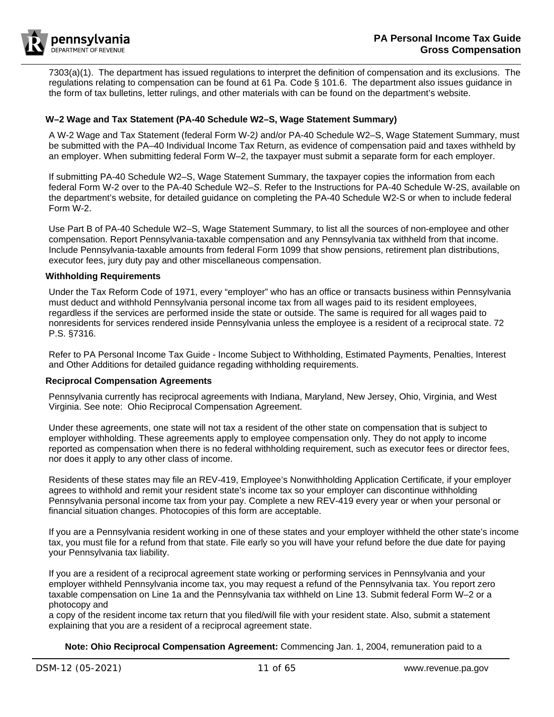

7303(a)(1). The department has issued regulations to interpret the definition of compensation and its exclusions. The regulations relating to compensation can be found at 61 Pa. Code § 101.6. The department also issues guidance in the form of tax bulletins, letter rulings, and other materials with can be found on the department's website.

# <span id="page-10-0"></span>**W–2 Wage and Tax Statement (PA-40 Schedule W2–S, Wage Statement Summary)**

A W-2 Wage and Tax Statement (federal Form W-2*)* and/or PA-40 Schedule W2–S, Wage Statement Summary, must be submitted with the PA–40 Individual Income Tax Return, as evidence of compensation paid and taxes withheld by an employer. When submitting federal Form W–2, the taxpayer must submit a separate form for each employer.

If submitting PA-40 Schedule W2–S, Wage Statement Summary, the taxpayer copies the information from each federal Form W-2 over to the PA-40 Schedule W2–*S*. Refer to the Instructions for PA-40 Schedule W-2S, available on the department's website, for detailed guidance on completing the PA-40 Schedule W2-S or when to include federal Form W-2.

Use Part B of PA-40 Schedule W2–S, Wage Statement Summary, to list all the sources of non-employee and other compensation. Report Pennsylvania-taxable compensation and any Pennsylvania tax withheld from that income. Include Pennsylvania-taxable amounts from federal Form 1099 that show pensions, retirement plan distributions, executor fees, jury duty pay and other miscellaneous compensation.

#### <span id="page-10-1"></span>**Withholding Requirements**

Under the Tax Reform Code of 1971, every "employer" who has an office or transacts business within Pennsylvania must deduct and withhold Pennsylvania personal income tax from all wages paid to its resident employees, regardless if the services are performed inside the state or outside. The same is required for all wages paid to nonresidents for services rendered inside Pennsylvania unless the employee is a resident of a reciprocal state. 72 P.S. §7316.

Refer to PA Personal Income Tax Guide - Income Subject to Withholding, Estimated Payments, Penalties, Interest and Other Additions for detailed guidance regading withholding requirements.

#### <span id="page-10-2"></span>**Reciprocal Compensation Agreements**

Pennsylvania currently has reciprocal agreements with Indiana, Maryland, New Jersey, Ohio, Virginia, and West Virginia. See note: [Ohio Reciprocal Compensation Agreement.](#page-10-3)

Under these agreements, one state will not tax a resident of the other state on compensation that is subject to employer withholding. These agreements apply to employee compensation only. They do not apply to income reported as compensation when there is no federal withholding requirement, such as executor fees or director fees, nor does it apply to any other class of income.

Residents of these states may file an REV-419, Employee's Nonwithholding Application Certificate*,* if your employer agrees to withhold and remit your resident state's income tax so your employer can discontinue withholding Pennsylvania personal income tax from your pay. Complete a new REV-419 every year or when your personal or financial situation changes. Photocopies of this form are acceptable.

If you are a Pennsylvania resident working in one of these states and your employer withheld the other state's income tax, you must file for a refund from that state. File early so you will have your refund before the due date for paying your Pennsylvania tax liability.

If you are a resident of a reciprocal agreement state working or performing services in Pennsylvania and your employer withheld Pennsylvania income tax, you may request a refund of the Pennsylvania tax. You report zero taxable compensation on Line 1a and the Pennsylvania tax withheld on Line 13. Submit federal Form W–2 or a photocopy and

a copy of the resident income tax return that you filed/will file with your resident state. Also, submit a statement explaining that you are a resident of a reciprocal agreement state.

<span id="page-10-3"></span>**Note: Ohio Reciprocal Compensation Agreement:** Commencing Jan. 1, 2004, remuneration paid to a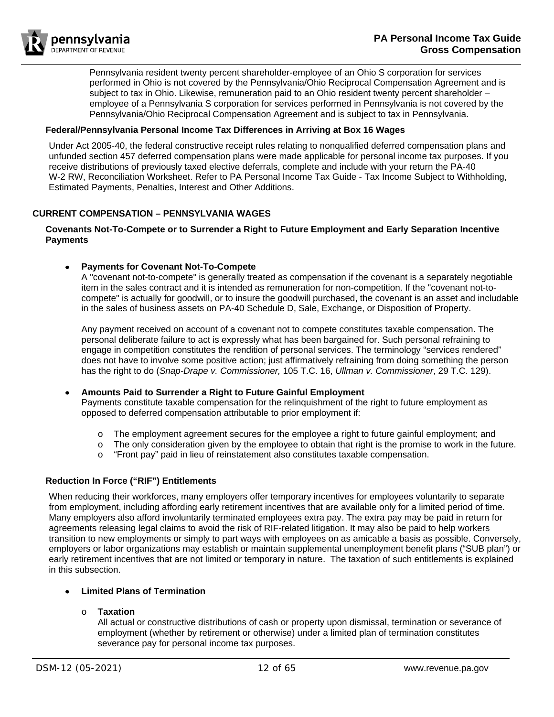

Pennsylvania resident twenty percent shareholder-employee of an Ohio S corporation for services performed in Ohio is not covered by the Pennsylvania/Ohio Reciprocal Compensation Agreement and is subject to tax in Ohio. Likewise, remuneration paid to an Ohio resident twenty percent shareholder – employee of a Pennsylvania S corporation for services performed in Pennsylvania is not covered by the Pennsylvania/Ohio Reciprocal Compensation Agreement and is subject to tax in Pennsylvania.

# <span id="page-11-0"></span>**Federal/Pennsylvania Personal Income Tax Differences in Arriving at Box 16 Wages**

Under Act 2005-40, the federal constructive receipt rules relating to nonqualified deferred compensation plans and unfunded section 457 deferred compensation plans were made applicable for personal income tax purposes. If you receive distributions of previously taxed elective deferrals, complete and include with your return the PA-40 W-2 RW, Reconciliation Worksheet. Refer to PA Personal Income Tax Guide - Tax Income Subject to Withholding, Estimated Payments, Penalties, Interest and Other Additions.

# <span id="page-11-1"></span>**CURRENT COMPENSATION – PENNSYLVANIA WAGES**

## <span id="page-11-2"></span>**Covenants Not-To-Compete or to Surrender a Right to Future Employment and Early Separation Incentive Payments**

# • **Payments for Covenant Not-To-Compete**

A "covenant not-to-compete" is generally treated as compensation if the covenant is a separately negotiable item in the sales contract and it is intended as remuneration for non-competition. If the "covenant not-tocompete" is actually for goodwill, or to insure the goodwill purchased, the covenant is an asset and includable in the sales of business assets on PA-40 Schedule D, Sale, Exchange, or Disposition of Property.

Any payment received on account of a covenant not to compete constitutes taxable compensation. The personal deliberate failure to act is expressly what has been bargained for. Such personal refraining to engage in competition constitutes the rendition of personal services. The terminology "services rendered" does not have to involve some positive action; just affirmatively refraining from doing something the person has the right to do (*Snap-Drape v. Commissioner,* 105 T.C. 16, *Ullman v. Commissioner*, 29 T.C. 129).

#### • **Amounts Paid to Surrender a Right to Future Gainful Employment** Payments constitute taxable compensation for the relinquishment of the right to future employment as

opposed to deferred compensation attributable to prior employment if:

- $\circ$  The employment agreement secures for the employee a right to future gainful employment; and  $\circ$  The only consideration given by the employee to obtain that right is the promise to work in the fu
- The only consideration given by the employee to obtain that right is the promise to work in the future.
- o "Front pay" paid in lieu of reinstatement also constitutes taxable compensation.

# <span id="page-11-3"></span>**Reduction In Force ("RIF") Entitlements**

When reducing their workforces, many employers offer temporary incentives for employees voluntarily to separate from employment, including affording early retirement incentives that are available only for a limited period of time. Many employers also afford involuntarily terminated employees extra pay. The extra pay may be paid in return for agreements releasing legal claims to avoid the risk of RIF-related litigation. It may also be paid to help workers transition to new employments or simply to part ways with employees on as amicable a basis as possible. Conversely, employers or labor organizations may establish or maintain supplemental unemployment benefit plans ("SUB plan") or early retirement incentives that are not limited or temporary in nature. The taxation of such entitlements is explained in this subsection.

# • **Limited Plans of Termination**

# o **Taxation**

All actual or constructive distributions of cash or property upon dismissal, termination or severance of employment (whether by retirement or otherwise) under a limited plan of termination constitutes severance pay for personal income tax purposes.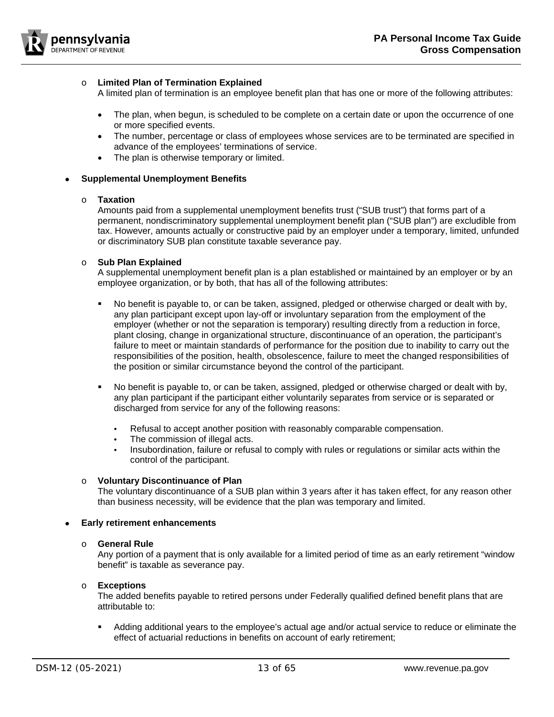

# o **Limited Plan of Termination Explained**

A limited plan of termination is an employee benefit plan that has one or more of the following attributes:

- The plan, when begun, is scheduled to be complete on a certain date or upon the occurrence of one or more specified events.
- The number, percentage or class of employees whose services are to be terminated are specified in advance of the employees' terminations of service.
- The plan is otherwise temporary or limited.

## • **Supplemental Unemployment Benefits**

#### o **Taxation**

Amounts paid from a supplemental unemployment benefits trust ("SUB trust") that forms part of a permanent, nondiscriminatory supplemental unemployment benefit plan ("SUB plan") are excludible from tax. However, amounts actually or constructive paid by an employer under a temporary, limited, unfunded or discriminatory SUB plan constitute taxable severance pay.

## o **Sub Plan Explained**

A supplemental unemployment benefit plan is a plan established or maintained by an employer or by an employee organization, or by both, that has all of the following attributes:

- No benefit is payable to, or can be taken, assigned, pledged or otherwise charged or dealt with by, any plan participant except upon lay-off or involuntary separation from the employment of the employer (whether or not the separation is temporary) resulting directly from a reduction in force, plant closing, change in organizational structure, discontinuance of an operation, the participant's failure to meet or maintain standards of performance for the position due to inability to carry out the responsibilities of the position, health, obsolescence, failure to meet the changed responsibilities of the position or similar circumstance beyond the control of the participant.
- No benefit is payable to, or can be taken, assigned, pledged or otherwise charged or dealt with by, any plan participant if the participant either voluntarily separates from service or is separated or discharged from service for any of the following reasons:
	- Refusal to accept another position with reasonably comparable compensation.
	- The commission of illegal acts.
	- Insubordination, failure or refusal to comply with rules or regulations or similar acts within the control of the participant.

## o **Voluntary Discontinuance of Plan**

The voluntary discontinuance of a SUB plan within 3 years after it has taken effect, for any reason other than business necessity, will be evidence that the plan was temporary and limited.

#### • **Early retirement enhancements**

# o **General Rule**

Any portion of a payment that is only available for a limited period of time as an early retirement "window benefit" is taxable as severance pay.

#### o **Exceptions**

The added benefits payable to retired persons under Federally qualified defined benefit plans that are attributable to:

 Adding additional years to the employee's actual age and/or actual service to reduce or eliminate the effect of actuarial reductions in benefits on account of early retirement;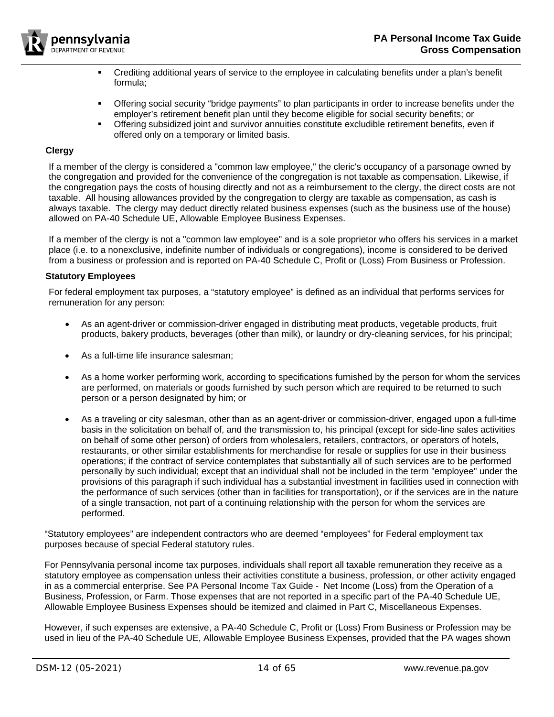

- Crediting additional years of service to the employee in calculating benefits under a plan's benefit formula;
- Offering social security "bridge payments" to plan participants in order to increase benefits under the employer's retirement benefit plan until they become eligible for social security benefits; or
- Offering subsidized joint and survivor annuities constitute excludible retirement benefits, even if offered only on a temporary or limited basis.

## <span id="page-13-0"></span>**Clergy**

If a member of the clergy is considered a "common law employee," the cleric's occupancy of a parsonage owned by the congregation and provided for the convenience of the congregation is not taxable as compensation. Likewise, if the congregation pays the costs of housing directly and not as a reimbursement to the clergy, the direct costs are not taxable. All housing allowances provided by the congregation to clergy are taxable as compensation, as cash is always taxable. The clergy may deduct directly related business expenses (such as the business use of the house) allowed on PA-40 Schedule UE, Allowable Employee Business Expenses.

If a member of the clergy is not a "common law employee" and is a sole proprietor who offers his services in a market place (i.e. to a nonexclusive, indefinite number of individuals or congregations), income is considered to be derived from a business or profession and is reported on PA-40 Schedule C, Profit or (Loss) From Business or Profession.

## <span id="page-13-1"></span>**Statutory Employees**

For federal employment tax purposes, a "statutory employee" is defined as an individual that performs services for remuneration for any person:

- As an agent-driver or commission-driver engaged in distributing meat products, vegetable products, fruit products, bakery products, beverages (other than milk), or laundry or dry-cleaning services, for his principal;
- As a full-time life insurance salesman;
- As a home worker performing work, according to specifications furnished by the person for whom the services are performed, on materials or goods furnished by such person which are required to be returned to such person or a person designated by him; or
- As a traveling or city salesman, other than as an agent-driver or commission-driver, engaged upon a full-time basis in the solicitation on behalf of, and the transmission to, his principal (except for side-line sales activities on behalf of some other person) of orders from wholesalers, retailers, contractors, or operators of hotels, restaurants, or other similar establishments for merchandise for resale or supplies for use in their business operations; if the contract of service contemplates that substantially all of such services are to be performed personally by such individual; except that an individual shall not be included in the term "employee" under the provisions of this paragraph if such individual has a substantial investment in facilities used in connection with the performance of such services (other than in facilities for transportation), or if the services are in the nature of a single transaction, not part of a continuing relationship with the person for whom the services are performed.

"Statutory employees" are independent contractors who are deemed "employees" for Federal employment tax purposes because of special Federal statutory rules.

For Pennsylvania personal income tax purposes, individuals shall report all taxable remuneration they receive as a statutory employee as compensation unless their activities constitute a business, profession, or other activity engaged in as a commercial enterprise. See PA Personal Income Tax Guide - Net Income (Loss) from the Operation of a Business, Profession, or Farm. Those expenses that are not reported in a specific part of the PA-40 Schedule UE, Allowable Employee Business Expenses should be itemized and claimed in Part C, Miscellaneous Expenses.

However, if such expenses are extensive, a PA-40 Schedule C, Profit or (Loss) From Business or Profession may be used in lieu of the PA-40 Schedule UE, Allowable Employee Business Expenses, provided that the PA wages shown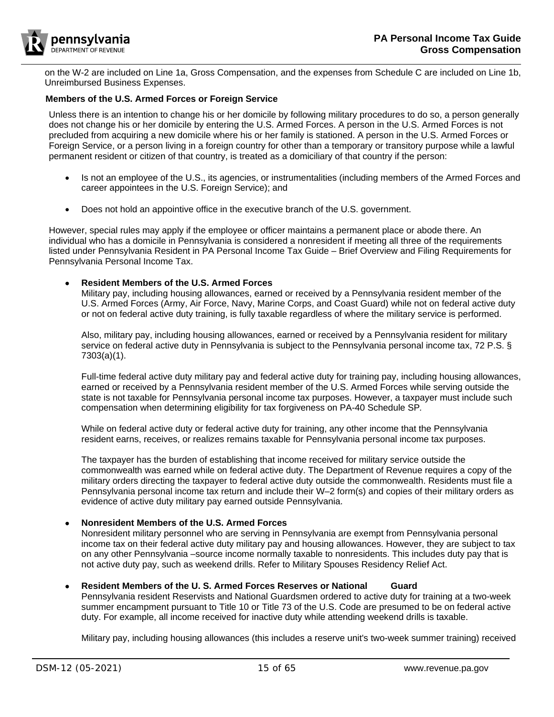

on the W-2 are included on Line 1a, Gross Compensation, and the expenses from Schedule C are included on Line 1b, Unreimbursed Business Expenses.

## <span id="page-14-0"></span>**Members of the U.S. Armed Forces or Foreign Service**

Unless there is an intention to change his or her domicile by following military procedures to do so, a person generally does not change his or her domicile by entering the U.S. Armed Forces. A person in the U.S. Armed Forces is not precluded from acquiring a new domicile where his or her family is stationed. A person in the U.S. Armed Forces or Foreign Service, or a person living in a foreign country for other than a temporary or transitory purpose while a lawful permanent resident or citizen of that country, is treated as a domiciliary of that country if the person:

- Is not an employee of the U.S., its agencies, or instrumentalities (including members of the Armed Forces and career appointees in the U.S. Foreign Service); and
- Does not hold an appointive office in the executive branch of the U.S. government.

However, special rules may apply if the employee or officer maintains a permanent place or abode there. An individual who has a domicile in Pennsylvania is considered a nonresident if meeting all three of the requirements listed under Pennsylvania Resident in PA Personal Income Tax Guide – Brief Overview and Filing Requirements for Pennsylvania Personal Income Tax.

#### • **Resident Members of the U.S. Armed Forces**

Military pay, including housing allowances, earned or received by a Pennsylvania resident member of the U.S. Armed Forces (Army, Air Force, Navy, Marine Corps, and Coast Guard) while not on federal active duty or not on federal active duty training, is fully taxable regardless of where the military service is performed.

Also, military pay, including housing allowances, earned or received by a Pennsylvania resident for military service on federal active duty in Pennsylvania is subject to the Pennsylvania personal income tax, 72 P.S. § 7303(a)(1).

Full-time federal active duty military pay and federal active duty for training pay, including housing allowances, earned or received by a Pennsylvania resident member of the U.S. Armed Forces while serving outside the state is not taxable for Pennsylvania personal income tax purposes. However, a taxpayer must include such compensation when determining eligibility for tax forgiveness on PA-40 Schedule SP*.*

While on federal active duty or federal active duty for training, any other income that the Pennsylvania resident earns, receives, or realizes remains taxable for Pennsylvania personal income tax purposes.

The taxpayer has the burden of establishing that income received for military service outside the commonwealth was earned while on federal active duty. The Department of Revenue requires a copy of the military orders directing the taxpayer to federal active duty outside the commonwealth. Residents must file a Pennsylvania personal income tax return and include their W–2 form(s) and copies of their military orders as evidence of active duty military pay earned outside Pennsylvania.

## • **Nonresident Members of the U.S. Armed Forces**

Nonresident military personnel who are serving in Pennsylvania are exempt from Pennsylvania personal income tax on their federal active duty military pay and housing allowances. However, they are subject to tax on any other Pennsylvania –source income normally taxable to nonresidents. This includes duty pay that is not active duty pay, such as weekend drills. Refer to [Military Spouses Residency Relief Act.](#page-16-0)

## • **Resident Members of the U. S. Armed Forces Reserves or National Guard**

Pennsylvania resident Reservists and National Guardsmen ordered to active duty for training at a two-week summer encampment pursuant to Title 10 or Title 73 of the U.S. Code are presumed to be on federal active duty. For example, all income received for inactive duty while attending weekend drills is taxable.

Military pay, including housing allowances (this includes a reserve unit's two-week summer training) received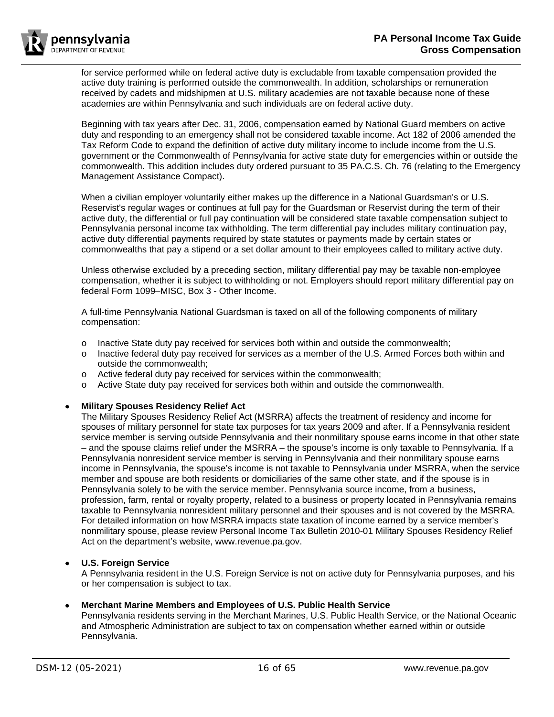for service performed while on federal active duty is excludable from taxable compensation provided the active duty training is performed outside the commonwealth. In addition, scholarships or remuneration received by cadets and midshipmen at U.S. military academies are not taxable because none of these academies are within Pennsylvania and such individuals are on federal active duty.

Beginning with tax years after Dec. 31, 2006, compensation earned by National Guard members on active duty and responding to an emergency shall not be considered taxable income. Act 182 of 2006 amended the Tax Reform Code to expand the definition of active duty military income to include income from the U.S. government or the Commonwealth of Pennsylvania for active state duty for emergencies within or outside the commonwealth. This addition includes duty ordered pursuant to 35 PA.C.S. Ch. 76 (relating to the Emergency Management Assistance Compact).

When a civilian employer voluntarily either makes up the difference in a National Guardsman's or U.S. Reservist's regular wages or continues at full pay for the Guardsman or Reservist during the term of their active duty, the differential or full pay continuation will be considered state taxable compensation subject to Pennsylvania personal income tax withholding. The term differential pay includes military continuation pay, active duty differential payments required by state statutes or payments made by certain states or commonwealths that pay a stipend or a set dollar amount to their employees called to military active duty.

Unless otherwise excluded by a preceding section, military differential pay may be taxable non-employee compensation, whether it is subject to withholding or not. Employers should report military differential pay on federal Form 1099–MISC, Box 3 - Other Income.

A full-time Pennsylvania National Guardsman is taxed on all of the following components of military compensation:

- o Inactive State duty pay received for services both within and outside the commonwealth;<br>o Inactive federal duty pay received for services as a member of the U.S. Armed Forces both
- Inactive federal duty pay received for services as a member of the U.S. Armed Forces both within and outside the commonwealth;
- o Active federal duty pay received for services within the commonwealth;<br>o Active State duty pay received for services both within and outside the o
- Active State duty pay received for services both within and outside the commonwealth.

# • **Military Spouses Residency Relief Act**

The Military Spouses Residency Relief Act (MSRRA) affects the treatment of residency and income for spouses of military personnel for state tax purposes for tax years 2009 and after. If a Pennsylvania resident service member is serving outside Pennsylvania and their nonmilitary spouse earns income in that other state – and the spouse claims relief under the MSRRA – the spouse's income is only taxable to Pennsylvania. If a Pennsylvania nonresident service member is serving in Pennsylvania and their nonmilitary spouse earns income in Pennsylvania, the spouse's income is not taxable to Pennsylvania under MSRRA, when the service member and spouse are both residents or domiciliaries of the same other state, and if the spouse is in Pennsylvania solely to be with the service member. Pennsylvania source income, from a business, profession, farm, rental or royalty property, related to a business or property located in Pennsylvania remains taxable to Pennsylvania nonresident military personnel and their spouses and is not covered by the MSRRA. For detailed information on how MSRRA impacts state taxation of income earned by a service member's nonmilitary spouse, please review Personal Income Tax Bulletin 2010-01 Military Spouses Residency Relief Act on the department's website, www.revenue.pa.gov.

# • **U.S. Foreign Service**

A Pennsylvania resident in the U.S. Foreign Service is not on active duty for Pennsylvania purposes, and his or her compensation is subject to tax.

# • **Merchant Marine Members and Employees of U.S. Public Health Service**

Pennsylvania residents serving in the Merchant Marines, U.S. Public Health Service, or the National Oceanic and Atmospheric Administration are subject to tax on compensation whether earned within or outside Pennsylvania.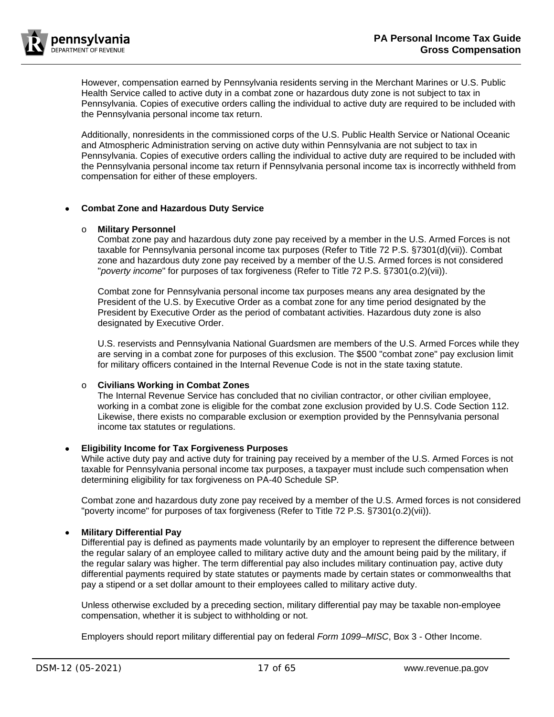

However, compensation earned by Pennsylvania residents serving in the Merchant Marines or U.S. Public Health Service called to active duty in a combat zone or hazardous duty zone is not subject to tax in Pennsylvania. Copies of executive orders calling the individual to active duty are required to be included with the Pennsylvania personal income tax return.

Additionally, nonresidents in the commissioned corps of the U.S. Public Health Service or National Oceanic and Atmospheric Administration serving on active duty within Pennsylvania are not subject to tax in Pennsylvania. Copies of executive orders calling the individual to active duty are required to be included with the Pennsylvania personal income tax return if Pennsylvania personal income tax is incorrectly withheld from compensation for either of these employers.

# • **Combat Zone and Hazardous Duty Service**

# o **Military Personnel**

Combat zone pay and hazardous duty zone pay received by a member in the U.S. Armed Forces is not taxable for Pennsylvania personal income tax purposes (Refer to Title 72 P.S. §7301(d)(vii)). Combat zone and hazardous duty zone pay received by a member of the U.S. Armed forces is not considered "*poverty income*" for purposes of tax forgiveness (Refer to Title 72 P.S. §7301(o.2)(vii)).

Combat zone for Pennsylvania personal income tax purposes means any area designated by the President of the U.S. by Executive Order as a combat zone for any time period designated by the President by Executive Order as the period of combatant activities. Hazardous duty zone is also designated by Executive Order.

U.S. reservists and Pennsylvania National Guardsmen are members of the U.S. Armed Forces while they are serving in a combat zone for purposes of this exclusion. The \$500 "combat zone" pay exclusion limit for military officers contained in the Internal Revenue Code is not in the state taxing statute.

# o **Civilians Working in Combat Zones**

The Internal Revenue Service has concluded that no civilian contractor, or other civilian employee, working in a combat zone is eligible for the combat zone exclusion provided by U.S. Code Section 112. Likewise, there exists no comparable exclusion or exemption provided by the Pennsylvania personal income tax statutes or regulations.

## <span id="page-16-0"></span>• **Eligibility Income for Tax Forgiveness Purposes**

While active duty pay and active duty for training pay received by a member of the U.S. Armed Forces is not taxable for Pennsylvania personal income tax purposes, a taxpayer must include such compensation when determining eligibility for tax forgiveness on PA-40 Schedule SP*.*

Combat zone and hazardous duty zone pay received by a member of the U.S. Armed forces is not considered "poverty income" for purposes of tax forgiveness (Refer to Title 72 P.S. §7301(o.2)(vii)).

# • **Military Differential Pay**

Differential pay is defined as payments made voluntarily by an employer to represent the difference between the regular salary of an employee called to military active duty and the amount being paid by the military, if the regular salary was higher. The term differential pay also includes military continuation pay, active duty differential payments required by state statutes or payments made by certain states or commonwealths that pay a stipend or a set dollar amount to their employees called to military active duty.

Unless otherwise excluded by a preceding section, military differential pay may be taxable non-employee compensation, whether it is subject to withholding or not.

Employers should report military differential pay on federal *Form 1099–MISC*, Box 3 - Other Income.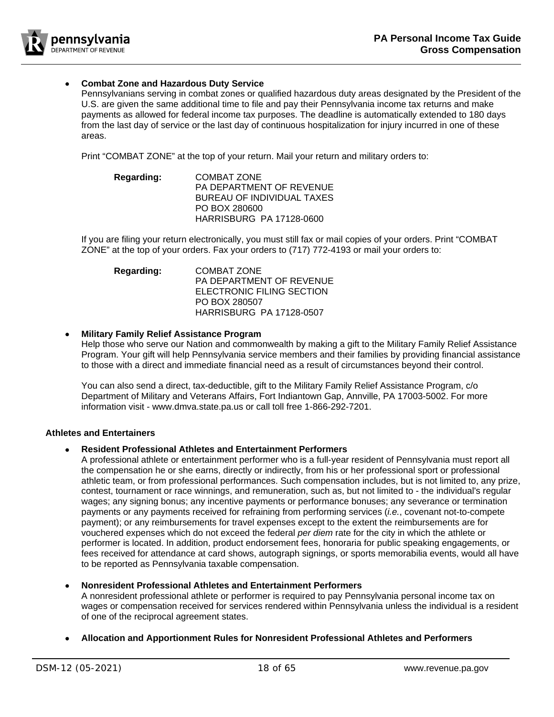

# • **Combat Zone and Hazardous Duty Service**

Pennsylvanians serving in combat zones or qualified hazardous duty areas designated by the President of the U.S. are given the same additional time to file and pay their Pennsylvania income tax returns and make payments as allowed for federal income tax purposes. The deadline is automatically extended to 180 days from the last day of service or the last day of continuous hospitalization for injury incurred in one of these areas.

Print "COMBAT ZONE" at the top of your return. Mail your return and military orders to:

| Regarding: | COMBAT ZONE                     |
|------------|---------------------------------|
|            | <b>PA DEPARTMENT OF REVENUE</b> |
|            | BUREAU OF INDIVIDUAL TAXES      |
|            | PO BOX 280600                   |
|            | <b>HARRISBURG PA 17128-0600</b> |

If you are filing your return electronically, you must still fax or mail copies of your orders. Print "COMBAT ZONE" at the top of your orders. Fax your orders to (717) 772-4193 or mail your orders to:

| <b>Regarding:</b> | COMBAT ZONE                     |  |  |
|-------------------|---------------------------------|--|--|
|                   | PA DEPARTMENT OF REVENUE        |  |  |
|                   | ELECTRONIC FILING SECTION       |  |  |
|                   | PO BOX 280507                   |  |  |
|                   | <b>HARRISBURG PA 17128-0507</b> |  |  |

## • **Military Family Relief Assistance Program**

Help those who serve our Nation and commonwealth by making a gift to the Military Family Relief Assistance Program. Your gift will help Pennsylvania service members and their families by providing financial assistance to those with a direct and immediate financial need as a result of circumstances beyond their control.

You can also send a direct, tax-deductible, gift to the Military Family Relief Assistance Program, c/o Department of Military and Veterans Affairs, Fort Indiantown Gap, Annville, PA 17003-5002. For more information visit - [www.dmva.state.pa.us](http://www.dmva.state.pa.us/) or call toll free 1-866-292-7201.

# <span id="page-17-0"></span>**Athletes and Entertainers**

## • **Resident Professional Athletes and Entertainment Performers**

A professional athlete or entertainment performer who is a full-year resident of Pennsylvania must report all the compensation he or she earns, directly or indirectly, from his or her professional sport or professional athletic team, or from professional performances. Such compensation includes, but is not limited to, any prize, contest, tournament or race winnings, and remuneration, such as, but not limited to - the individual's regular wages; any signing bonus; any incentive payments or performance bonuses; any severance or termination payments or any payments received for refraining from performing services (*i.e.*, covenant not-to-compete payment); or any reimbursements for travel expenses except to the extent the reimbursements are for vouchered expenses which do not exceed the federal *per diem* rate for the city in which the athlete or performer is located. In addition, product endorsement fees, honoraria for public speaking engagements, or fees received for attendance at card shows, autograph signings, or sports memorabilia events, would all have to be reported as Pennsylvania taxable compensation.

## • **Nonresident Professional Athletes and Entertainment Performers**

A nonresident professional athlete or performer is required to pay Pennsylvania personal income tax on wages or compensation received for services rendered within Pennsylvania unless the individual is a resident of one of the reciprocal agreement states.

## • **Allocation and Apportionment Rules for Nonresident Professional Athletes and Performers**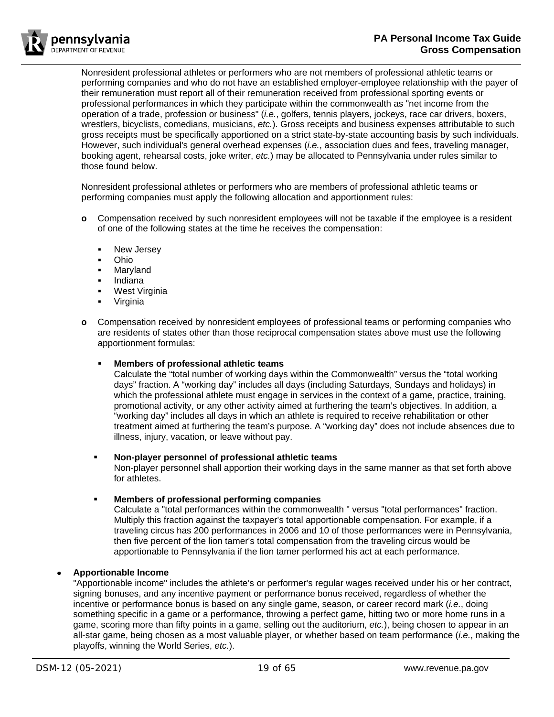

Nonresident professional athletes or performers who are not members of professional athletic teams or performing companies and who do not have an established employer-employee relationship with the payer of their remuneration must report all of their remuneration received from professional sporting events or professional performances in which they participate within the commonwealth as "net income from the operation of a trade, profession or business" (*i.e.*, golfers, tennis players, jockeys, race car drivers, boxers, wrestlers, bicyclists, comedians, musicians, *etc.*). Gross receipts and business expenses attributable to such gross receipts must be specifically apportioned on a strict state-by-state accounting basis by such individuals. However, such individual's general overhead expenses (*i.e.*, association dues and fees, traveling manager, booking agent, rehearsal costs, joke writer, *etc.*) may be allocated to Pennsylvania under rules similar to those found below.

Nonresident professional athletes or performers who are members of professional athletic teams or performing companies must apply the following allocation and apportionment rules:

- **o** Compensation received by such nonresident employees will not be taxable if the employee is a resident of one of the following states at the time he receives the compensation:
	- **New Jersey**
	- Ohio
	- Maryland
	- Indiana
	- West Virginia
	- Virginia
- **o** Compensation received by nonresident employees of professional teams or performing companies who are residents of states other than those reciprocal compensation states above must use the following apportionment formulas:

## **Members of professional athletic teams**

Calculate the "total number of working days within the Commonwealth" versus the "total working days" fraction. A "working day" includes all days (including Saturdays, Sundays and holidays) in which the professional athlete must engage in services in the context of a game, practice, training, promotional activity, or any other activity aimed at furthering the team's objectives. In addition, a "working day" includes all days in which an athlete is required to receive rehabilitation or other treatment aimed at furthering the team's purpose. A "working day" does not include absences due to illness, injury, vacation, or leave without pay.

# **Non-player personnel of professional athletic teams**

Non-player personnel shall apportion their working days in the same manner as that set forth above for athletes.

## **Members of professional performing companies**

Calculate a "total performances within the commonwealth " versus "total performances" fraction. Multiply this fraction against the taxpayer's total apportionable compensation. For example, if a traveling circus has 200 performances in 2006 and 10 of those performances were in Pennsylvania, then five percent of the lion tamer's total compensation from the traveling circus would be apportionable to Pennsylvania if the lion tamer performed his act at each performance.

# • **Apportionable Income**

"Apportionable income" includes the athlete's or performer's regular wages received under his or her contract, signing bonuses, and any incentive payment or performance bonus received, regardless of whether the incentive or performance bonus is based on any single game, season, or career record mark (*i.e.*, doing something specific in a game or a performance, throwing a perfect game, hitting two or more home runs in a game, scoring more than fifty points in a game, selling out the auditorium, *etc.*), being chosen to appear in an all-star game, being chosen as a most valuable player, or whether based on team performance (*i.e.*, making the playoffs, winning the World Series, *etc.*).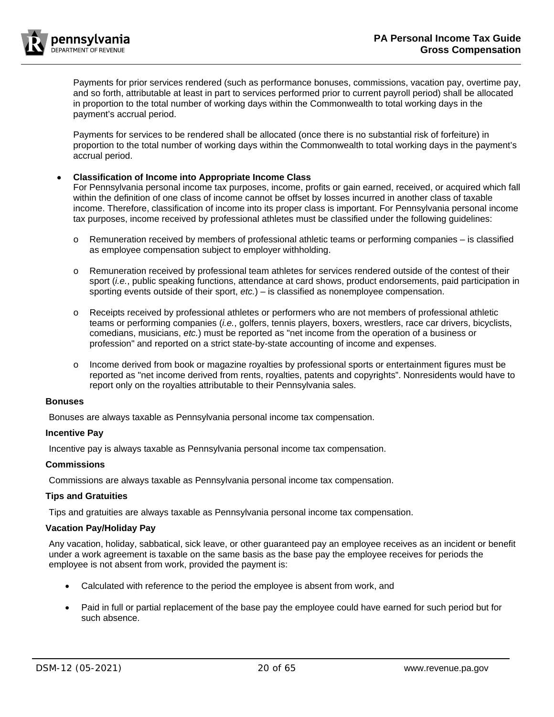

Payments for prior services rendered (such as performance bonuses, commissions, vacation pay, overtime pay, and so forth, attributable at least in part to services performed prior to current payroll period) shall be allocated in proportion to the total number of working days within the Commonwealth to total working days in the payment's accrual period.

Payments for services to be rendered shall be allocated (once there is no substantial risk of forfeiture) in proportion to the total number of working days within the Commonwealth to total working days in the payment's accrual period.

## • **Classification of Income into Appropriate Income Class**

For Pennsylvania personal income tax purposes, income, profits or gain earned, received, or acquired which fall within the definition of one class of income cannot be offset by losses incurred in another class of taxable income. Therefore, classification of income into its proper class is important. For Pennsylvania personal income tax purposes, income received by professional athletes must be classified under the following guidelines:

- o Remuneration received by members of professional athletic teams or performing companies is classified as employee compensation subject to employer withholding.
- o Remuneration received by professional team athletes for services rendered outside of the contest of their sport (*i.e.*, public speaking functions, attendance at card shows, product endorsements, paid participation in sporting events outside of their sport, *etc.*) – is classified as nonemployee compensation.
- Receipts received by professional athletes or performers who are not members of professional athletic teams or performing companies (*i.e.*, golfers, tennis players, boxers, wrestlers, race car drivers, bicyclists, comedians, musicians, *etc.*) must be reported as "net income from the operation of a business or profession" and reported on a strict state-by-state accounting of income and expenses.
- o Income derived from book or magazine royalties by professional sports or entertainment figures must be reported as "net income derived from rents, royalties, patents and copyrights". Nonresidents would have to report only on the royalties attributable to their Pennsylvania sales.

#### <span id="page-19-0"></span>**Bonuses**

Bonuses are always taxable as Pennsylvania personal income tax compensation.

## <span id="page-19-1"></span>**Incentive Pay**

Incentive pay is always taxable as Pennsylvania personal income tax compensation.

#### <span id="page-19-2"></span>**Commissions**

Commissions are always taxable as Pennsylvania personal income tax compensation.

## <span id="page-19-3"></span>**Tips and Gratuities**

Tips and gratuities are always taxable as Pennsylvania personal income tax compensation.

## <span id="page-19-4"></span>**Vacation Pay/Holiday Pay**

Any vacation, holiday, sabbatical, sick leave, or other guaranteed pay an employee receives as an incident or benefit under a work agreement is taxable on the same basis as the base pay the employee receives for periods the employee is not absent from work, provided the payment is:

- Calculated with reference to the period the employee is absent from work, and
- Paid in full or partial replacement of the base pay the employee could have earned for such period but for such absence.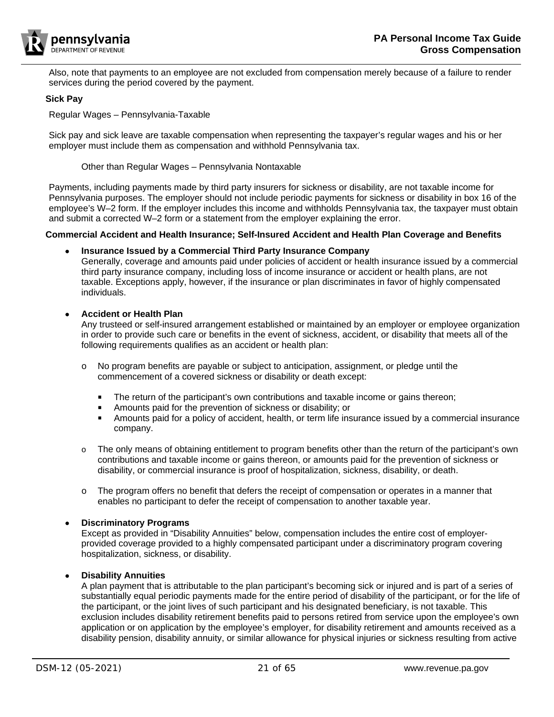

Also, note that payments to an employee are not excluded from compensation merely because of a failure to render services during the period covered by the payment.

## <span id="page-20-0"></span>**Sick Pay**

Regular Wages – Pennsylvania-Taxable

Sick pay and sick leave are taxable compensation when representing the taxpayer's regular wages and his or her employer must include them as compensation and withhold Pennsylvania tax.

Other than Regular Wages – Pennsylvania Nontaxable

Payments, including payments made by third party insurers for sickness or disability, are not taxable income for Pennsylvania purposes. The employer should not include periodic payments for sickness or disability in box 16 of the employee's W–2 form. If the employer includes this income and withholds Pennsylvania tax, the taxpayer must obtain and submit a corrected W–2 form or a statement from the employer explaining the error.

# <span id="page-20-1"></span>**Commercial Accident and Health Insurance; Self-Insured Accident and Health Plan Coverage and Benefits**

# • **Insurance Issued by a Commercial Third Party Insurance Company**

Generally, coverage and amounts paid under policies of accident or health insurance issued by a commercial third party insurance company, including loss of income insurance or accident or health plans, are not taxable. Exceptions apply, however, if the insurance or plan discriminates in favor of highly compensated individuals.

# • **Accident or Health Plan**

Any trusteed or self-insured arrangement established or maintained by an employer or employee organization in order to provide such care or benefits in the event of sickness, accident, or disability that meets all of the following requirements qualifies as an accident or health plan:

- o No program benefits are payable or subject to anticipation, assignment, or pledge until the commencement of a covered sickness or disability or death except:
	- **The return of the participant's own contributions and taxable income or gains thereon;**
	- **Amounts paid for the prevention of sickness or disability; or**
	- Amounts paid for a policy of accident, health, or term life insurance issued by a commercial insurance company.
- $\circ$  The only means of obtaining entitlement to program benefits other than the return of the participant's own contributions and taxable income or gains thereon, or amounts paid for the prevention of sickness or disability, or commercial insurance is proof of hospitalization, sickness, disability, or death.
- $\circ$  The program offers no benefit that defers the receipt of compensation or operates in a manner that enables no participant to defer the receipt of compensation to another taxable year.

## • **Discriminatory Programs**

Except as provided in "Disability Annuities" below, compensation includes the entire cost of employerprovided coverage provided to a highly compensated participant under a discriminatory program covering hospitalization, sickness, or disability.

# • **Disability Annuities**

A plan payment that is attributable to the plan participant's becoming sick or injured and is part of a series of substantially equal periodic payments made for the entire period of disability of the participant, or for the life of the participant, or the joint lives of such participant and his designated beneficiary, is not taxable. This exclusion includes disability retirement benefits paid to persons retired from service upon the employee's own application or on application by the employee's employer, for disability retirement and amounts received as a disability pension, disability annuity, or similar allowance for physical injuries or sickness resulting from active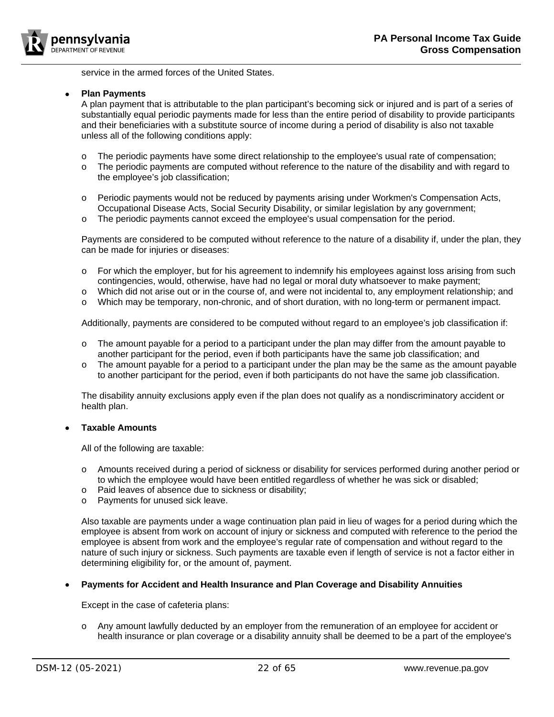

service in the armed forces of the United States.

## • **Plan Payments**

A plan payment that is attributable to the plan participant's becoming sick or injured and is part of a series of substantially equal periodic payments made for less than the entire period of disability to provide participants and their beneficiaries with a substitute source of income during a period of disability is also not taxable unless all of the following conditions apply:

- o The periodic payments have some direct relationship to the employee's usual rate of compensation;<br>
o The periodic payments are computed without reference to the nature of the disability and with regard
- The periodic payments are computed without reference to the nature of the disability and with regard to the employee's job classification;
- o Periodic payments would not be reduced by payments arising under Workmen's Compensation Acts, Occupational Disease Acts, Social Security Disability, or similar legislation by any government;
- o The periodic payments cannot exceed the employee's usual compensation for the period.

Payments are considered to be computed without reference to the nature of a disability if, under the plan, they can be made for injuries or diseases:

- o For which the employer, but for his agreement to indemnify his employees against loss arising from such contingencies, would, otherwise, have had no legal or moral duty whatsoever to make payment;
- o Which did not arise out or in the course of, and were not incidental to, any employment relationship; and
- o Which may be temporary, non-chronic, and of short duration, with no long-term or permanent impact.

Additionally, payments are considered to be computed without regard to an employee's job classification if:

- $\circ$  The amount payable for a period to a participant under the plan may differ from the amount payable to another participant for the period, even if both participants have the same job classification; and
- $\circ$  The amount payable for a period to a participant under the plan may be the same as the amount payable to another participant for the period, even if both participants do not have the same job classification.

The disability annuity exclusions apply even if the plan does not qualify as a nondiscriminatory accident or health plan.

## • **Taxable Amounts**

All of the following are taxable:

- o Amounts received during a period of sickness or disability for services performed during another period or to which the employee would have been entitled regardless of whether he was sick or disabled;
- o Paid leaves of absence due to sickness or disability;
- o Payments for unused sick leave.

Also taxable are payments under a wage continuation plan paid in lieu of wages for a period during which the employee is absent from work on account of injury or sickness and computed with reference to the period the employee is absent from work and the employee's regular rate of compensation and without regard to the nature of such injury or sickness. Such payments are taxable even if length of service is not a factor either in determining eligibility for, or the amount of, payment.

## • **Payments for Accident and Health Insurance and Plan Coverage and Disability Annuities**

Except in the case of cafeteria plans:

o Any amount lawfully deducted by an employer from the remuneration of an employee for accident or health insurance or plan coverage or a disability annuity shall be deemed to be a part of the employee's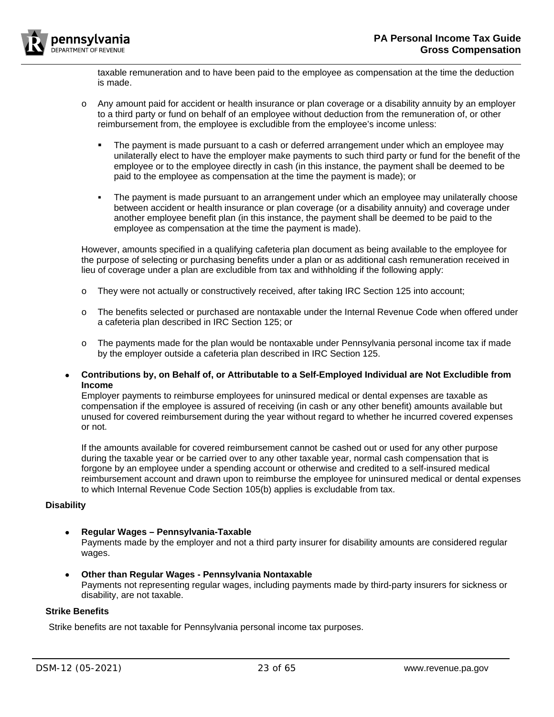

taxable remuneration and to have been paid to the employee as compensation at the time the deduction is made.

- o Any amount paid for accident or health insurance or plan coverage or a disability annuity by an employer to a third party or fund on behalf of an employee without deduction from the remuneration of, or other reimbursement from, the employee is excludible from the employee's income unless:
	- **The payment is made pursuant to a cash or deferred arrangement under which an employee may** unilaterally elect to have the employer make payments to such third party or fund for the benefit of the employee or to the employee directly in cash (in this instance, the payment shall be deemed to be paid to the employee as compensation at the time the payment is made); or
	- The payment is made pursuant to an arrangement under which an employee may unilaterally choose between accident or health insurance or plan coverage (or a disability annuity) and coverage under another employee benefit plan (in this instance, the payment shall be deemed to be paid to the employee as compensation at the time the payment is made).

However, amounts specified in a qualifying cafeteria plan document as being available to the employee for the purpose of selecting or purchasing benefits under a plan or as additional cash remuneration received in lieu of coverage under a plan are excludible from tax and withholding if the following apply:

- o They were not actually or constructively received, after taking IRC Section 125 into account;
- o The benefits selected or purchased are nontaxable under the Internal Revenue Code when offered under a cafeteria plan described in IRC Section 125; or
- $\circ$  The payments made for the plan would be nontaxable under Pennsylvania personal income tax if made by the employer outside a cafeteria plan described in IRC Section 125.
- **Contributions by, on Behalf of, or Attributable to a Self-Employed Individual are Not Excludible from Income**

Employer payments to reimburse employees for uninsured medical or dental expenses are taxable as compensation if the employee is assured of receiving (in cash or any other benefit) amounts available but unused for covered reimbursement during the year without regard to whether he incurred covered expenses or not.

If the amounts available for covered reimbursement cannot be cashed out or used for any other purpose during the taxable year or be carried over to any other taxable year, normal cash compensation that is forgone by an employee under a spending account or otherwise and credited to a self-insured medical reimbursement account and drawn upon to reimburse the employee for uninsured medical or dental expenses to which Internal Revenue Code Section 105(b) applies is excludable from tax.

## <span id="page-22-0"></span>**Disability**

# • **Regular Wages – Pennsylvania-Taxable**

Payments made by the employer and not a third party insurer for disability amounts are considered regular wages.

• **Other than Regular Wages - Pennsylvania Nontaxable** Payments not representing regular wages, including payments made by third-party insurers for sickness or disability, are not taxable.

## <span id="page-22-1"></span>**Strike Benefits**

Strike benefits are not taxable for Pennsylvania personal income tax purposes.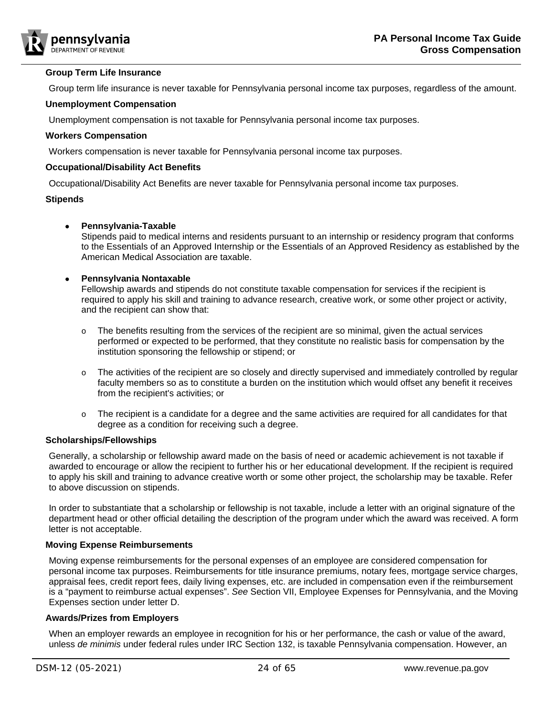

#### <span id="page-23-0"></span>**Group Term Life Insurance**

Group term life insurance is never taxable for Pennsylvania personal income tax purposes, regardless of the amount.

#### <span id="page-23-1"></span>**Unemployment Compensation**

Unemployment compensation is not taxable for Pennsylvania personal income tax purposes.

#### <span id="page-23-2"></span>**Workers Compensation**

Workers compensation is never taxable for Pennsylvania personal income tax purposes.

#### <span id="page-23-3"></span>**Occupational/Disability Act Benefits**

Occupational/Disability Act Benefits are never taxable for Pennsylvania personal income tax purposes.

#### <span id="page-23-4"></span>**Stipends**

## • **Pennsylvania-Taxable**

Stipends paid to medical interns and residents pursuant to an internship or residency program that conforms to the Essentials of an Approved Internship or the Essentials of an Approved Residency as established by the American Medical Association are taxable.

## • **Pennsylvania Nontaxable**

Fellowship awards and stipends do not constitute taxable compensation for services if the recipient is required to apply his skill and training to advance research, creative work, or some other project or activity, and the recipient can show that:

- $\circ$  The benefits resulting from the services of the recipient are so minimal, given the actual services performed or expected to be performed, that they constitute no realistic basis for compensation by the institution sponsoring the fellowship or stipend; or
- o The activities of the recipient are so closely and directly supervised and immediately controlled by regular faculty members so as to constitute a burden on the institution which would offset any benefit it receives from the recipient's activities; or
- o The recipient is a candidate for a degree and the same activities are required for all candidates for that degree as a condition for receiving such a degree.

#### <span id="page-23-5"></span>**Scholarships/Fellowships**

Generally, a scholarship or fellowship award made on the basis of need or academic achievement is not taxable if awarded to encourage or allow the recipient to further his or her educational development. If the recipient is required to apply his skill and training to advance creative worth or some other project, the scholarship may be taxable. Refer to above discussion on [stipends.](#page-23-4)

In order to substantiate that a scholarship or fellowship is not taxable, include a letter with an original signature of the department head or other official detailing the description of the program under which the award was received. A form letter is not acceptable.

## <span id="page-23-6"></span>**Moving Expense Reimbursements**

Moving expense reimbursements for the personal expenses of an employee are considered compensation for personal income tax purposes. Reimbursements for title insurance premiums, notary fees, mortgage service charges, appraisal fees, credit report fees, daily living expenses, etc. are included in compensation even if the reimbursement is a "payment to reimburse actual expenses". *See* Section VII, Employee Expenses for Pennsylvania, and the Moving Expenses section under letter D.

## <span id="page-23-7"></span>**Awards/Prizes from Employers**

When an employer rewards an employee in recognition for his or her performance, the cash or value of the award, unless *de minimis* under federal rules under IRC Section 132, is taxable Pennsylvania compensation. However, an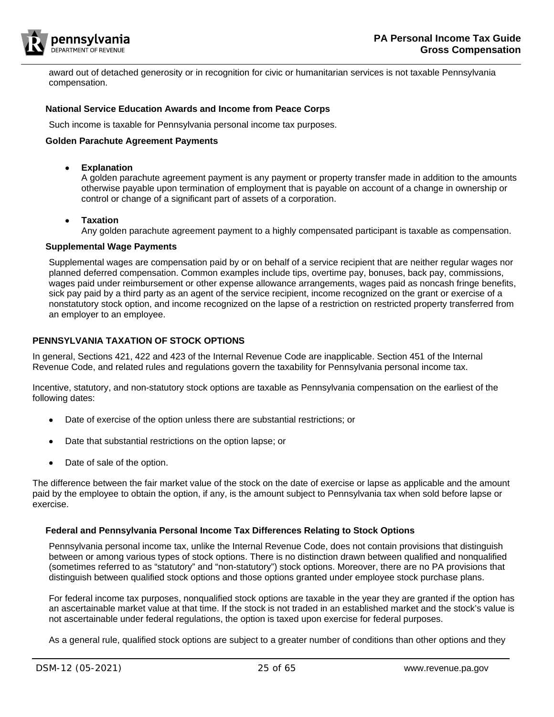

award out of detached generosity or in recognition for civic or humanitarian services is not taxable Pennsylvania compensation.

#### <span id="page-24-0"></span>**National Service Education Awards and Income from Peace Corps**

Such income is taxable for Pennsylvania personal income tax purposes.

#### <span id="page-24-1"></span>**Golden Parachute Agreement Payments**

• **Explanation**

A golden parachute agreement payment is any payment or property transfer made in addition to the amounts otherwise payable upon termination of employment that is payable on account of a change in ownership or control or change of a significant part of assets of a corporation.

• **Taxation**

Any golden parachute agreement payment to a highly compensated participant is taxable as compensation.

#### <span id="page-24-2"></span>**Supplemental Wage Payments**

Supplemental wages are compensation paid by or on behalf of a service recipient that are neither regular wages nor planned deferred compensation. Common examples include tips, overtime pay, bonuses, back pay, commissions, wages paid under reimbursement or other expense allowance arrangements, wages paid as noncash fringe benefits, sick pay paid by a third party as an agent of the service recipient, income recognized on the grant or exercise of a nonstatutory stock option, and income recognized on the lapse of a restriction on restricted property transferred from an employer to an employee.

# <span id="page-24-3"></span>**PENNSYLVANIA TAXATION OF STOCK OPTIONS**

In general, Sections 421, 422 and 423 of the Internal Revenue Code are inapplicable. Section 451 of the Internal Revenue Code, and related rules and regulations govern the taxability for Pennsylvania personal income tax.

Incentive, statutory, and non-statutory stock options are taxable as Pennsylvania compensation on the earliest of the following dates:

- Date of exercise of the option unless there are substantial restrictions; or
- Date that substantial restrictions on the option lapse; or
- Date of sale of the option.

The difference between the fair market value of the stock on the date of exercise or lapse as applicable and the amount paid by the employee to obtain the option, if any, is the amount subject to Pennsylvania tax when sold before lapse or exercise.

## <span id="page-24-4"></span>**Federal and Pennsylvania Personal Income Tax Differences Relating to Stock Options**

Pennsylvania personal income tax, unlike the Internal Revenue Code, does not contain provisions that distinguish between or among various types of stock options. There is no distinction drawn between qualified and nonqualified (sometimes referred to as "statutory" and "non-statutory") stock options. Moreover, there are no PA provisions that distinguish between qualified stock options and those options granted under employee stock purchase plans.

For federal income tax purposes, nonqualified stock options are taxable in the year they are granted if the option has an ascertainable market value at that time. If the stock is not traded in an established market and the stock's value is not ascertainable under federal regulations, the option is taxed upon exercise for federal purposes.

As a general rule, qualified stock options are subject to a greater number of conditions than other options and they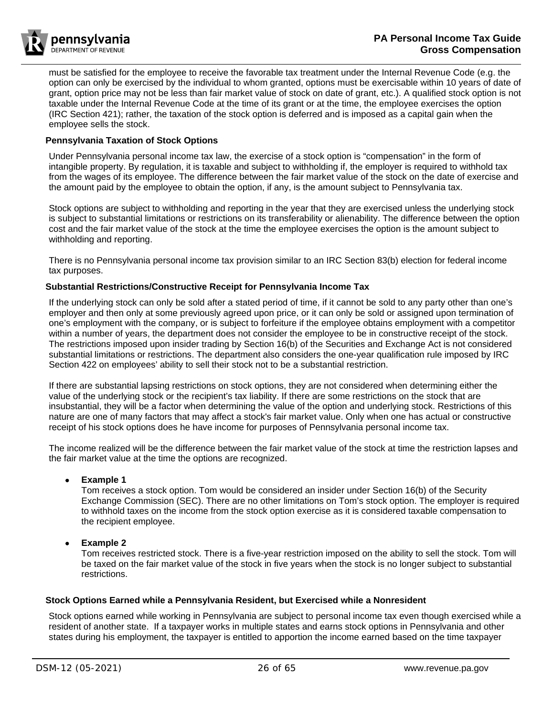

must be satisfied for the employee to receive the favorable tax treatment under the Internal Revenue Code (e.g. the option can only be exercised by the individual to whom granted, options must be exercisable within 10 years of date of grant, option price may not be less than fair market value of stock on date of grant, etc.). A qualified stock option is not taxable under the Internal Revenue Code at the time of its grant or at the time, the employee exercises the option (IRC Section 421); rather, the taxation of the stock option is deferred and is imposed as a capital gain when the employee sells the stock.

# <span id="page-25-0"></span>**Pennsylvania Taxation of Stock Options**

Under Pennsylvania personal income tax law, the exercise of a stock option is "compensation" in the form of intangible property. By regulation, it is taxable and subject to withholding if, the employer is required to withhold tax from the wages of its employee. The difference between the fair market value of the stock on the date of exercise and the amount paid by the employee to obtain the option, if any, is the amount subject to Pennsylvania tax.

Stock options are subject to withholding and reporting in the year that they are exercised unless the underlying stock is subject to substantial limitations or restrictions on its transferability or alienability. The difference between the option cost and the fair market value of the stock at the time the employee exercises the option is the amount subject to withholding and reporting.

There is no Pennsylvania personal income tax provision similar to an IRC Section 83(b) election for federal income tax purposes.

## <span id="page-25-1"></span>**Substantial Restrictions/Constructive Receipt for Pennsylvania Income Tax**

If the underlying stock can only be sold after a stated period of time, if it cannot be sold to any party other than one's employer and then only at some previously agreed upon price, or it can only be sold or assigned upon termination of one's employment with the company, or is subject to forfeiture if the employee obtains employment with a competitor within a number of years, the department does not consider the employee to be in constructive receipt of the stock. The restrictions imposed upon insider trading by Section 16(b) of the Securities and Exchange Act is not considered substantial limitations or restrictions. The department also considers the one-year qualification rule imposed by IRC Section 422 on employees' ability to sell their stock not to be a substantial restriction.

If there are substantial lapsing restrictions on stock options, they are not considered when determining either the value of the underlying stock or the recipient's tax liability. If there are some restrictions on the stock that are insubstantial, they will be a factor when determining the value of the option and underlying stock. Restrictions of this nature are one of many factors that may affect a stock's fair market value. Only when one has actual or constructive receipt of his stock options does he have income for purposes of Pennsylvania personal income tax.

The income realized will be the difference between the fair market value of the stock at time the restriction lapses and the fair market value at the time the options are recognized.

## • **Example 1**

Tom receives a stock option. Tom would be considered an insider under Section 16(b) of the Security Exchange Commission (SEC). There are no other limitations on Tom's stock option. The employer is required to withhold taxes on the income from the stock option exercise as it is considered taxable compensation to the recipient employee.

## • **Example 2**

Tom receives restricted stock. There is a five-year restriction imposed on the ability to sell the stock. Tom will be taxed on the fair market value of the stock in five years when the stock is no longer subject to substantial restrictions.

## <span id="page-25-2"></span>**Stock Options Earned while a Pennsylvania Resident, but Exercised while a Nonresident**

Stock options earned while working in Pennsylvania are subject to personal income tax even though exercised while a resident of another state. If a taxpayer works in multiple states and earns stock options in Pennsylvania and other states during his employment, the taxpayer is entitled to apportion the income earned based on the time taxpayer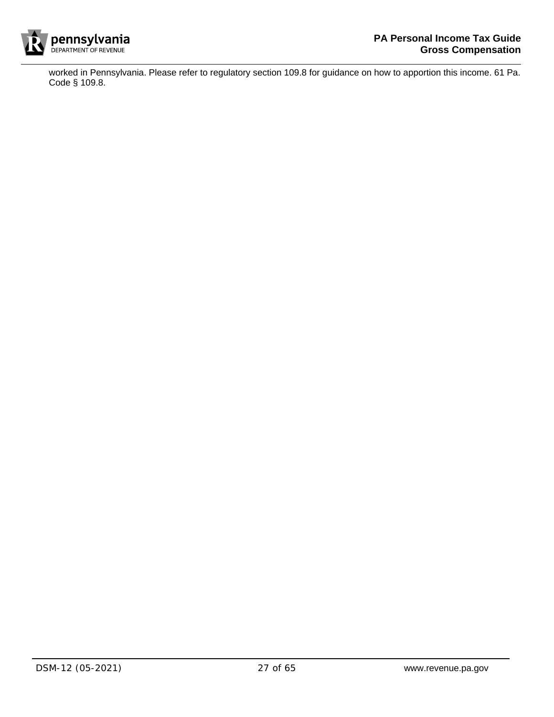

worked in Pennsylvania. Please refer to regulatory section 109.8 for guidance on how to apportion this income. 61 Pa. Code § 109.8.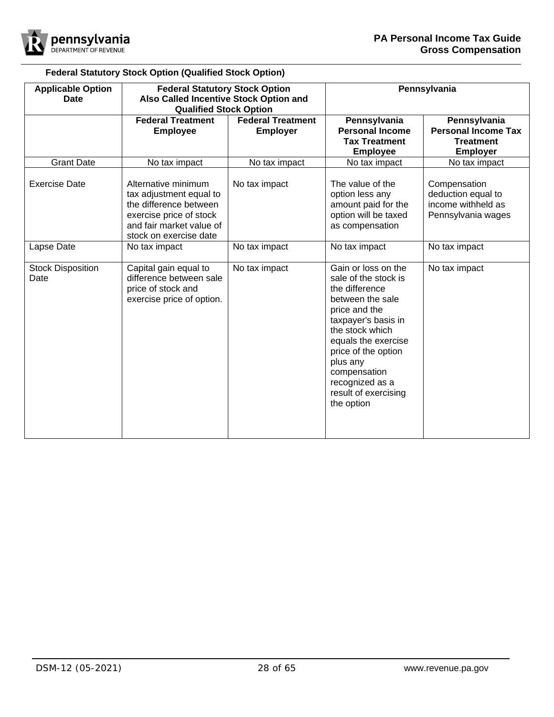

# **Federal Statutory Stock Option (Qualified Stock Option)**

| <b>Applicable Option</b><br><b>Date</b> | <b>Federal Statutory Stock Option</b><br>Also Called Incentive Stock Option and                                                                           |                                             |                                                                                                                                                                                                                                                                                 | Pennsylvania                                                                      |
|-----------------------------------------|-----------------------------------------------------------------------------------------------------------------------------------------------------------|---------------------------------------------|---------------------------------------------------------------------------------------------------------------------------------------------------------------------------------------------------------------------------------------------------------------------------------|-----------------------------------------------------------------------------------|
|                                         | <b>Qualified Stock Option</b><br><b>Federal Treatment</b><br><b>Employee</b>                                                                              | <b>Federal Treatment</b><br><b>Employer</b> | Pennsylvania<br><b>Personal Income</b><br><b>Tax Treatment</b><br><b>Employee</b>                                                                                                                                                                                               | Pennsylvania<br><b>Personal Income Tax</b><br><b>Treatment</b><br><b>Employer</b> |
| <b>Grant Date</b>                       | No tax impact                                                                                                                                             | No tax impact                               | No tax impact                                                                                                                                                                                                                                                                   | No tax impact                                                                     |
| <b>Exercise Date</b>                    | Alternative minimum<br>tax adjustment equal to<br>the difference between<br>exercise price of stock<br>and fair market value of<br>stock on exercise date | No tax impact                               | The value of the<br>option less any<br>amount paid for the<br>option will be taxed<br>as compensation                                                                                                                                                                           | Compensation<br>deduction equal to<br>income withheld as<br>Pennsylvania wages    |
| Lapse Date                              | No tax impact                                                                                                                                             | No tax impact                               | No tax impact                                                                                                                                                                                                                                                                   | No tax impact                                                                     |
| <b>Stock Disposition</b><br>Date        | Capital gain equal to<br>difference between sale<br>price of stock and<br>exercise price of option.                                                       | No tax impact                               | Gain or loss on the<br>sale of the stock is<br>the difference<br>between the sale<br>price and the<br>taxpayer's basis in<br>the stock which<br>equals the exercise<br>price of the option<br>plus any<br>compensation<br>recognized as a<br>result of exercising<br>the option | No tax impact                                                                     |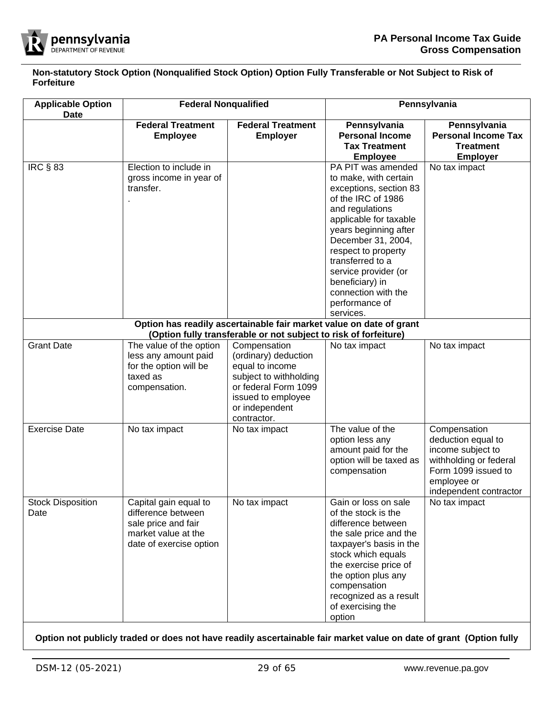

**Non-statutory Stock Option (Nonqualified Stock Option) Option Fully Transferable or Not Subject to Risk of Forfeiture**

| <b>Applicable Option</b><br><b>Date</b> | <b>Federal Nonqualified</b>                                                                                          |                                                                                                                                                                                                                                      | Pennsylvania                                                                                                                                                                                                                                                                                                                                                                                               |                                                                                                                                                   |
|-----------------------------------------|----------------------------------------------------------------------------------------------------------------------|--------------------------------------------------------------------------------------------------------------------------------------------------------------------------------------------------------------------------------------|------------------------------------------------------------------------------------------------------------------------------------------------------------------------------------------------------------------------------------------------------------------------------------------------------------------------------------------------------------------------------------------------------------|---------------------------------------------------------------------------------------------------------------------------------------------------|
|                                         | <b>Federal Treatment</b><br><b>Employee</b>                                                                          | <b>Federal Treatment</b><br><b>Employer</b>                                                                                                                                                                                          | Pennsylvania<br><b>Personal Income</b><br><b>Tax Treatment</b><br><b>Employee</b>                                                                                                                                                                                                                                                                                                                          | Pennsylvania<br><b>Personal Income Tax</b><br><b>Treatment</b><br><b>Employer</b>                                                                 |
| <b>IRC § 83</b>                         | Election to include in<br>gross income in year of<br>transfer.                                                       |                                                                                                                                                                                                                                      | PA PIT was amended<br>to make, with certain<br>exceptions, section 83<br>of the IRC of 1986<br>and regulations<br>applicable for taxable<br>years beginning after<br>December 31, 2004,<br>respect to property<br>transferred to a<br>service provider (or<br>beneficiary) in<br>connection with the<br>performance of<br>services.<br>Option has readily ascertainable fair market value on date of grant | No tax impact                                                                                                                                     |
| <b>Grant Date</b>                       | The value of the option<br>less any amount paid<br>for the option will be<br>taxed as<br>compensation.               | (Option fully transferable or not subject to risk of forfeiture)<br>Compensation<br>(ordinary) deduction<br>equal to income<br>subject to withholding<br>or federal Form 1099<br>issued to employee<br>or independent<br>contractor. | No tax impact                                                                                                                                                                                                                                                                                                                                                                                              | No tax impact                                                                                                                                     |
| <b>Exercise Date</b>                    | No tax impact                                                                                                        | No tax impact                                                                                                                                                                                                                        | The value of the<br>option less any<br>amount paid for the<br>option will be taxed as<br>compensation                                                                                                                                                                                                                                                                                                      | Compensation<br>deduction equal to<br>income subject to<br>withholding or federal<br>Form 1099 issued to<br>employee or<br>independent contractor |
| <b>Stock Disposition</b><br>Date        | Capital gain equal to<br>difference between<br>sale price and fair<br>market value at the<br>date of exercise option | No tax impact                                                                                                                                                                                                                        | Gain or loss on sale<br>of the stock is the<br>difference between<br>the sale price and the<br>taxpayer's basis in the<br>stock which equals<br>the exercise price of<br>the option plus any<br>compensation<br>recognized as a result<br>of exercising the<br>option                                                                                                                                      | No tax impact                                                                                                                                     |

**Option not publicly traded or does not have readily ascertainable fair market value on date of grant (Option fully**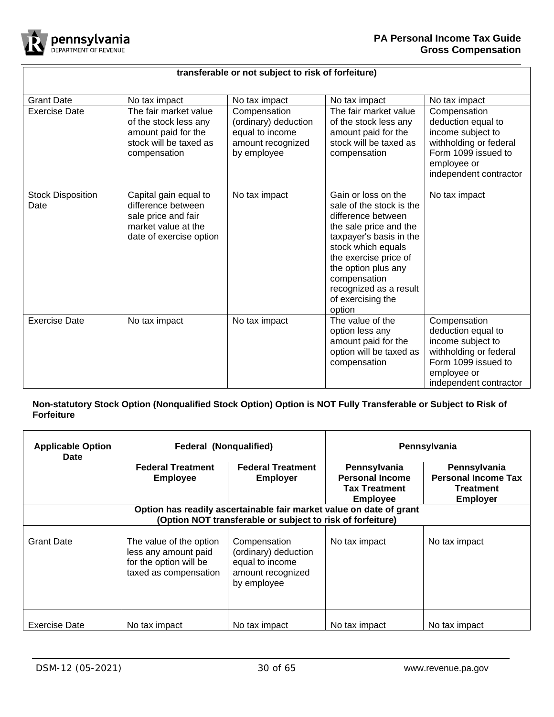

# **transferable or not subject to risk of forfeiture)**

| <b>Grant Date</b>                | No tax impact                                                                                                        | No tax impact                                                                               | No tax impact                                                                                                                                                                                                                                                             | No tax impact                                                                                                                                     |
|----------------------------------|----------------------------------------------------------------------------------------------------------------------|---------------------------------------------------------------------------------------------|---------------------------------------------------------------------------------------------------------------------------------------------------------------------------------------------------------------------------------------------------------------------------|---------------------------------------------------------------------------------------------------------------------------------------------------|
| <b>Exercise Date</b>             | The fair market value<br>of the stock less any<br>amount paid for the<br>stock will be taxed as<br>compensation      | Compensation<br>(ordinary) deduction<br>equal to income<br>amount recognized<br>by employee | The fair market value<br>of the stock less any<br>amount paid for the<br>stock will be taxed as<br>compensation                                                                                                                                                           | Compensation<br>deduction equal to<br>income subject to<br>withholding or federal<br>Form 1099 issued to<br>employee or<br>independent contractor |
| <b>Stock Disposition</b><br>Date | Capital gain equal to<br>difference between<br>sale price and fair<br>market value at the<br>date of exercise option | No tax impact                                                                               | Gain or loss on the<br>sale of the stock is the<br>difference between<br>the sale price and the<br>taxpayer's basis in the<br>stock which equals<br>the exercise price of<br>the option plus any<br>compensation<br>recognized as a result<br>of exercising the<br>option | No tax impact                                                                                                                                     |
| <b>Exercise Date</b>             | No tax impact                                                                                                        | No tax impact                                                                               | The value of the<br>option less any<br>amount paid for the<br>option will be taxed as<br>compensation                                                                                                                                                                     | Compensation<br>deduction equal to<br>income subject to<br>withholding or federal<br>Form 1099 issued to<br>employee or<br>independent contractor |

# **Non-statutory Stock Option (Nonqualified Stock Option) Option is NOT Fully Transferable or Subject to Risk of Forfeiture**

| <b>Applicable Option</b><br><b>Date</b>                                                                                           | <b>Federal (Nongualified)</b>                                                                      |                                                                                             | Pennsylvania                                                                      |                                                                            |
|-----------------------------------------------------------------------------------------------------------------------------------|----------------------------------------------------------------------------------------------------|---------------------------------------------------------------------------------------------|-----------------------------------------------------------------------------------|----------------------------------------------------------------------------|
|                                                                                                                                   | <b>Federal Treatment</b><br><b>Employee</b>                                                        | <b>Federal Treatment</b><br><b>Employer</b>                                                 | Pennsylvania<br><b>Personal Income</b><br><b>Tax Treatment</b><br><b>Employee</b> | Pennsylvania<br><b>Personal Income Tax</b><br>Treatment<br><b>Employer</b> |
| Option has readily ascertainable fair market value on date of grant<br>(Option NOT transferable or subject to risk of forfeiture) |                                                                                                    |                                                                                             |                                                                                   |                                                                            |
| <b>Grant Date</b>                                                                                                                 | The value of the option<br>less any amount paid<br>for the option will be<br>taxed as compensation | Compensation<br>(ordinary) deduction<br>equal to income<br>amount recognized<br>by employee | No tax impact                                                                     | No tax impact                                                              |
| <b>Exercise Date</b>                                                                                                              | No tax impact                                                                                      | No tax impact                                                                               | No tax impact                                                                     | No tax impact                                                              |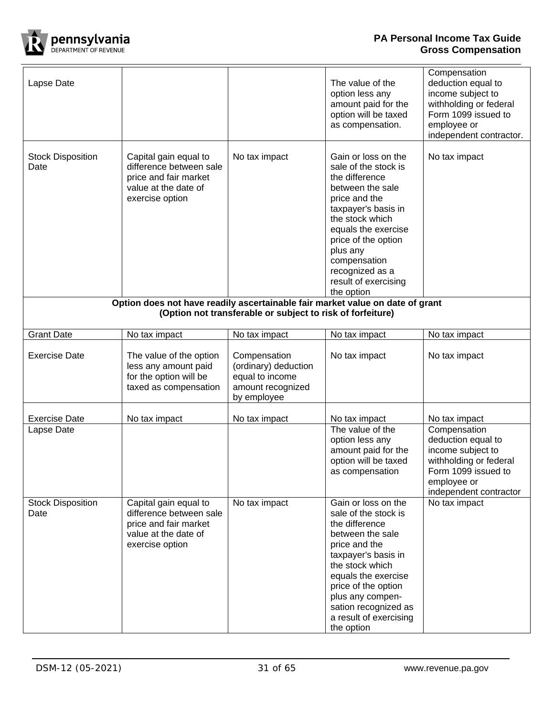

| Lapse Date                         |                                                                                                                      |                                                                                             | The value of the<br>option less any<br>amount paid for the<br>option will be taxed<br>as compensation.                                                                                                                                                                          | Compensation<br>deduction equal to<br>income subject to<br>withholding or federal<br>Form 1099 issued to<br>employee or<br>independent contractor.                 |
|------------------------------------|----------------------------------------------------------------------------------------------------------------------|---------------------------------------------------------------------------------------------|---------------------------------------------------------------------------------------------------------------------------------------------------------------------------------------------------------------------------------------------------------------------------------|--------------------------------------------------------------------------------------------------------------------------------------------------------------------|
| <b>Stock Disposition</b><br>Date   | Capital gain equal to<br>difference between sale<br>price and fair market<br>value at the date of<br>exercise option | No tax impact                                                                               | Gain or loss on the<br>sale of the stock is<br>the difference<br>between the sale<br>price and the<br>taxpayer's basis in<br>the stock which<br>equals the exercise<br>price of the option<br>plus any<br>compensation<br>recognized as a<br>result of exercising<br>the option | No tax impact                                                                                                                                                      |
|                                    | Option does not have readily ascertainable fair market value on date of grant                                        |                                                                                             |                                                                                                                                                                                                                                                                                 |                                                                                                                                                                    |
|                                    |                                                                                                                      | (Option not transferable or subject to risk of forfeiture)                                  |                                                                                                                                                                                                                                                                                 |                                                                                                                                                                    |
| <b>Grant Date</b>                  | No tax impact                                                                                                        | No tax impact                                                                               | No tax impact                                                                                                                                                                                                                                                                   | No tax impact                                                                                                                                                      |
| <b>Exercise Date</b>               | The value of the option<br>less any amount paid<br>for the option will be<br>taxed as compensation                   | Compensation<br>(ordinary) deduction<br>equal to income<br>amount recognized<br>by employee | No tax impact                                                                                                                                                                                                                                                                   | No tax impact                                                                                                                                                      |
|                                    |                                                                                                                      |                                                                                             |                                                                                                                                                                                                                                                                                 |                                                                                                                                                                    |
| <b>Exercise Date</b><br>Lapse Date | No tax impact                                                                                                        | No tax impact                                                                               | No tax impact<br>The value of the<br>option less any<br>amount paid for the<br>option will be taxed<br>as compensation                                                                                                                                                          | No tax impact<br>Compensation<br>deduction equal to<br>income subject to<br>withholding or federal<br>Form 1099 issued to<br>employee or<br>independent contractor |
| <b>Stock Disposition</b><br>Date   | Capital gain equal to<br>difference between sale<br>price and fair market<br>value at the date of<br>exercise option | No tax impact                                                                               | Gain or loss on the<br>sale of the stock is<br>the difference<br>between the sale<br>price and the<br>taxpayer's basis in<br>the stock which<br>equals the exercise<br>price of the option<br>plus any compen-<br>sation recognized as<br>a result of exercising<br>the option  | No tax impact                                                                                                                                                      |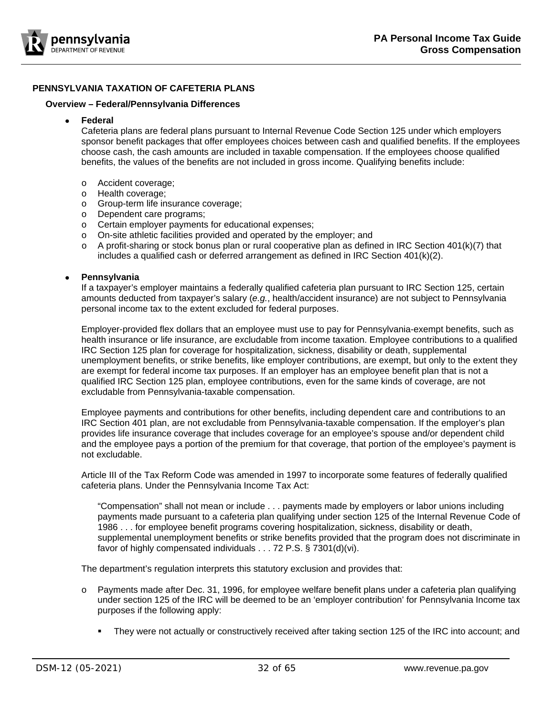

# <span id="page-31-0"></span>**PENNSYLVANIA TAXATION OF CAFETERIA PLANS**

#### <span id="page-31-1"></span>**Overview – Federal/Pennsylvania Differences**

• **Federal**

Cafeteria plans are federal plans pursuant to Internal Revenue Code Section 125 under which employers sponsor benefit packages that offer employees choices between cash and qualified benefits. If the employees choose cash, the cash amounts are included in taxable compensation. If the employees choose qualified benefits, the values of the benefits are not included in gross income. Qualifying benefits include:

- o Accident coverage;
- o Health coverage;
- o Group-term life insurance coverage;
- o Dependent care programs;
- o Certain employer payments for educational expenses;
- o On-site athletic facilities provided and operated by the employer; and
- $\circ$  A profit-sharing or stock bonus plan or rural cooperative plan as defined in IRC Section 401(k)(7) that includes a qualified cash or deferred arrangement as defined in IRC Section 401(k)(2).

#### • **Pennsylvania**

If a taxpayer's employer maintains a federally qualified cafeteria plan pursuant to IRC Section 125, certain amounts deducted from taxpayer's salary (*e.g.*, health/accident insurance) are not subject to Pennsylvania personal income tax to the extent excluded for federal purposes.

Employer-provided flex dollars that an employee must use to pay for Pennsylvania-exempt benefits, such as health insurance or life insurance, are excludable from income taxation. Employee contributions to a qualified IRC Section 125 plan for coverage for hospitalization, sickness, disability or death, supplemental unemployment benefits, or strike benefits, like employer contributions, are exempt, but only to the extent they are exempt for federal income tax purposes. If an employer has an employee benefit plan that is not a qualified IRC Section 125 plan, employee contributions, even for the same kinds of coverage, are not excludable from Pennsylvania-taxable compensation.

Employee payments and contributions for other benefits, including dependent care and contributions to an IRC Section 401 plan, are not excludable from Pennsylvania-taxable compensation. If the employer's plan provides life insurance coverage that includes coverage for an employee's spouse and/or dependent child and the employee pays a portion of the premium for that coverage, that portion of the employee's payment is not excludable.

Article III of the Tax Reform Code was amended in 1997 to incorporate some features of federally qualified cafeteria plans. Under the Pennsylvania Income Tax Act:

"Compensation" shall not mean or include . . . payments made by employers or labor unions including payments made pursuant to a cafeteria plan qualifying under section 125 of the Internal Revenue Code of 1986 . . . for employee benefit programs covering hospitalization, sickness, disability or death, supplemental unemployment benefits or strike benefits provided that the program does not discriminate in favor of highly compensated individuals . . . 72 P.S. § 7301(d)(vi).

The department's regulation interprets this statutory exclusion and provides that:

- o Payments made after Dec. 31, 1996, for employee welfare benefit plans under a cafeteria plan qualifying under section 125 of the IRC will be deemed to be an 'employer contribution' for Pennsylvania Income tax purposes if the following apply:
	- They were not actually or constructively received after taking section 125 of the IRC into account; and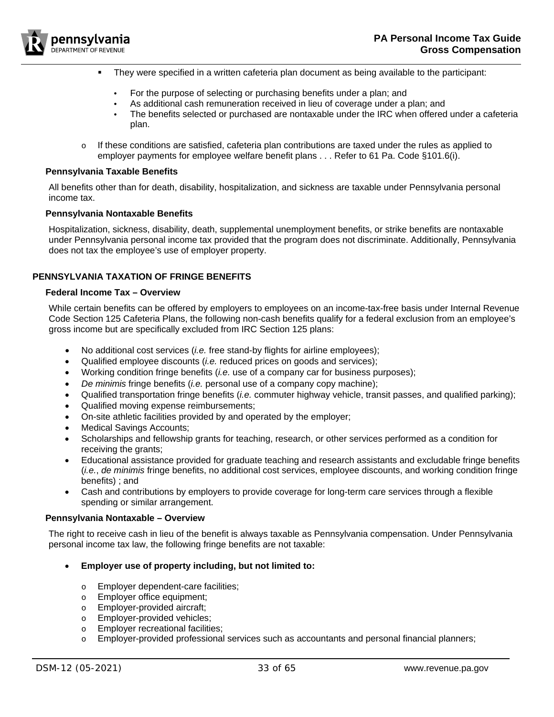

- They were specified in a written cafeteria plan document as being available to the participant:
	- For the purpose of selecting or purchasing benefits under a plan; and
	- As additional cash remuneration received in lieu of coverage under a plan; and
	- The benefits selected or purchased are nontaxable under the IRC when offered under a cafeteria plan.
- $\circ$  If these conditions are satisfied, cafeteria plan contributions are taxed under the rules as applied to employer payments for employee welfare benefit plans . . . Refer to 61 Pa. Code §101.6(i).

#### <span id="page-32-0"></span>**Pennsylvania Taxable Benefits**

All benefits other than for death, disability, hospitalization, and sickness are taxable under Pennsylvania personal income tax.

#### <span id="page-32-1"></span>**Pennsylvania Nontaxable Benefits**

Hospitalization, sickness, disability, death, supplemental unemployment benefits, or strike benefits are nontaxable under Pennsylvania personal income tax provided that the program does not discriminate. Additionally, Pennsylvania does not tax the employee's use of employer property.

# <span id="page-32-2"></span>**PENNSYLVANIA TAXATION OF FRINGE BENEFITS**

#### <span id="page-32-3"></span>**Federal Income Tax – Overview**

While certain benefits can be offered by employers to employees on an income-tax-free basis under Internal Revenue Code Section 125 Cafeteria Plans, the following non-cash benefits qualify for a federal exclusion from an employee's gross income but are specifically excluded from IRC Section 125 plans:

- No additional cost services (*i.e.* free stand-by flights for airline employees);
- Qualified employee discounts (*i.e.* reduced prices on goods and services);
- Working condition fringe benefits (*i.e.* use of a company car for business purposes);
- *De minimis* fringe benefits (*i.e.* personal use of a company copy machine);
- Qualified transportation fringe benefits (*i.e.* commuter highway vehicle, transit passes, and qualified parking);
- Qualified moving expense reimbursements;
- On-site athletic facilities provided by and operated by the employer;
- Medical Savings Accounts;
- Scholarships and fellowship grants for teaching, research, or other services performed as a condition for receiving the grants;
- Educational assistance provided for graduate teaching and research assistants and excludable fringe benefits (*i.e.*, *de minimis* fringe benefits, no additional cost services, employee discounts, and working condition fringe benefits) ; and
- Cash and contributions by employers to provide coverage for long-term care services through a flexible spending or similar arrangement.

## <span id="page-32-4"></span>**Pennsylvania Nontaxable – Overview**

The right to receive cash in lieu of the benefit is always taxable as Pennsylvania compensation. Under Pennsylvania personal income tax law, the following fringe benefits are not taxable:

## • **Employer use of property including, but not limited to:**

- o Employer dependent-care facilities;
- o Employer office equipment;
- o Employer-provided aircraft;
- o Employer-provided vehicles;
- o Employer recreational facilities;
- $\circ$  Employer-provided professional services such as accountants and personal financial planners;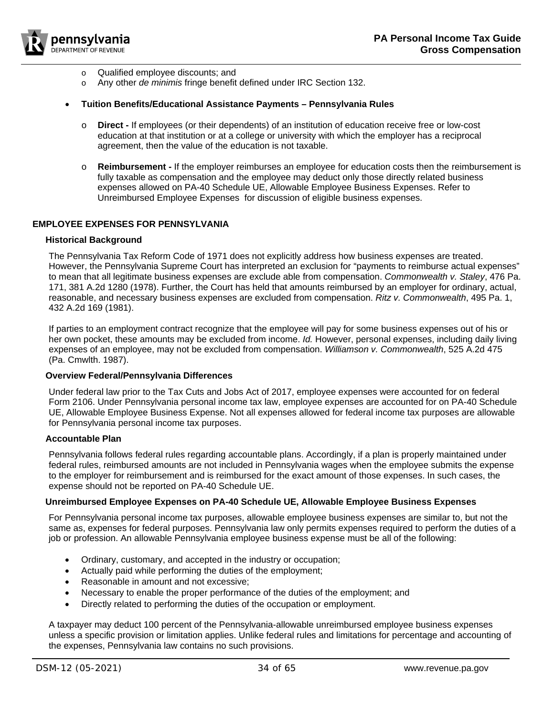

- o Qualified employee discounts; and
- o Any other *de minimis* fringe benefit defined under IRC Section 132.

#### • **Tuition Benefits/Educational Assistance Payments – Pennsylvania Rules**

- o **Direct -** If employees (or their dependents) of an institution of education receive free or low-cost education at that institution or at a college or university with which the employer has a reciprocal agreement, then the value of the education is not taxable.
- o **Reimbursement -** If the employer reimburses an employee for education costs then the reimbursement is fully taxable as compensation and the employee may deduct only those directly related business expenses allowed on PA-40 Schedule UE, Allowable Employee Business Expenses. Refer to [Unreimbursed Employee Expenses](#page-33-5) for discussion of eligible business expenses.

## <span id="page-33-0"></span>**EMPLOYEE EXPENSES FOR PENNSYLVANIA**

#### <span id="page-33-1"></span>**Historical Background**

The Pennsylvania Tax Reform Code of 1971 does not explicitly address how business expenses are treated. However, the Pennsylvania Supreme Court has interpreted an exclusion for "payments to reimburse actual expenses" to mean that all legitimate business expenses are exclude able from compensation. *Commonwealth v. Staley*, 476 Pa. 171, 381 A.2d 1280 (1978). Further, the Court has held that amounts reimbursed by an employer for ordinary, actual, reasonable, and necessary business expenses are excluded from compensation. *Ritz v. Commonwealth*, 495 Pa. 1, 432 A.2d 169 (1981).

If parties to an employment contract recognize that the employee will pay for some business expenses out of his or her own pocket, these amounts may be excluded from income. *Id.* However, personal expenses, including daily living expenses of an employee, may not be excluded from compensation. *Williamson v. Commonwealth*, 525 A.2d 475 (Pa. Cmwlth. 1987).

#### <span id="page-33-2"></span>**Overview Federal/Pennsylvania Differences**

Under federal law prior to the Tax Cuts and Jobs Act of 2017, employee expenses were accounted for on federal Form 2106. Under Pennsylvania personal income tax law, employee expenses are accounted for on PA-40 Schedule UE, Allowable Employee Business Expense. Not all expenses allowed for federal income tax purposes are allowable for Pennsylvania personal income tax purposes.

#### <span id="page-33-3"></span>**Accountable Plan**

Pennsylvania follows federal rules regarding accountable plans. Accordingly, if a plan is properly maintained under federal rules, reimbursed amounts are not included in Pennsylvania wages when the employee submits the expense to the employer for reimbursement and is reimbursed for the exact amount of those expenses. In such cases, the expense should not be reported on PA-40 Schedule UE.

#### <span id="page-33-4"></span>**Unreimbursed Employee Expenses on PA-40 Schedule UE, Allowable Employee Business Expenses**

For Pennsylvania personal income tax purposes, allowable employee business expenses are similar to, but not the same as, expenses for federal purposes. Pennsylvania law only permits expenses required to perform the duties of a job or profession. An allowable Pennsylvania employee business expense must be all of the following:

- <span id="page-33-5"></span>• Ordinary, customary, and accepted in the industry or occupation;
- Actually paid while performing the duties of the employment;
- Reasonable in amount and not excessive;
- Necessary to enable the proper performance of the duties of the employment; and
- Directly related to performing the duties of the occupation or employment.

A taxpayer may deduct 100 percent of the Pennsylvania-allowable unreimbursed employee business expenses unless a specific provision or limitation applies. Unlike federal rules and limitations for percentage and accounting of the expenses, Pennsylvania law contains no such provisions.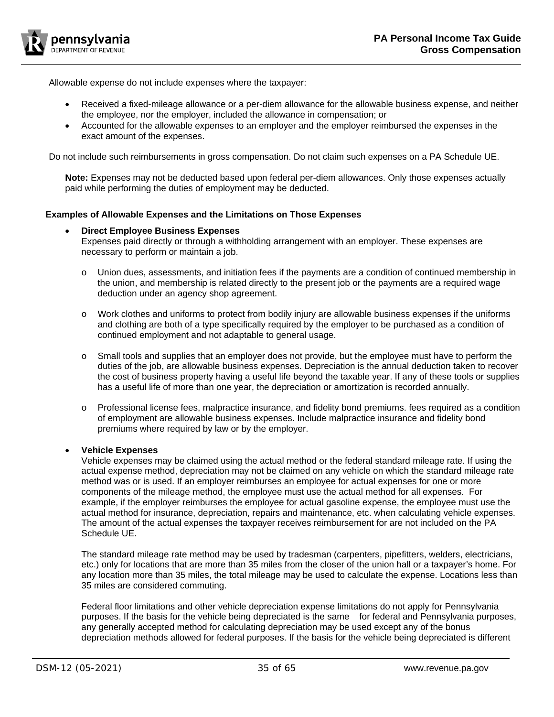

Allowable expense do not include expenses where the taxpayer:

- Received a fixed-mileage allowance or a per-diem allowance for the allowable business expense, and neither the employee, nor the employer, included the allowance in compensation; or
- Accounted for the allowable expenses to an employer and the employer reimbursed the expenses in the exact amount of the expenses.

Do not include such reimbursements in gross compensation. Do not claim such expenses on a PA Schedule UE.

**Note:** Expenses may not be deducted based upon federal per-diem allowances. Only those expenses actually paid while performing the duties of employment may be deducted.

# <span id="page-34-0"></span>**Examples of Allowable Expenses and the Limitations on Those Expenses**

## • **Direct Employee Business Expenses**

Expenses paid directly or through a withholding arrangement with an employer. These expenses are necessary to perform or maintain a job.

- o Union dues, assessments, and initiation fees if the payments are a condition of continued membership in the union, and membership is related directly to the present job or the payments are a required wage deduction under an agency shop agreement.
- o Work clothes and uniforms to protect from bodily injury are allowable business expenses if the uniforms and clothing are both of a type specifically required by the employer to be purchased as a condition of continued employment and not adaptable to general usage.
- $\circ$  Small tools and supplies that an employer does not provide, but the employee must have to perform the duties of the job, are allowable business expenses. Depreciation is the annual deduction taken to recover the cost of business property having a useful life beyond the taxable year. If any of these tools or supplies has a useful life of more than one year, the depreciation or amortization is recorded annually.
- o Professional license fees, malpractice insurance, and fidelity bond premiums. fees required as a condition of employment are allowable business expenses. Include malpractice insurance and fidelity bond premiums where required by law or by the employer.

## • **Vehicle Expenses**

Vehicle expenses may be claimed using the actual method or the federal standard mileage rate. If using the actual expense method, depreciation may not be claimed on any vehicle on which the standard mileage rate method was or is used. If an employer reimburses an employee for actual expenses for one or more components of the mileage method, the employee must use the actual method for all expenses. For example, if the employer reimburses the employee for actual gasoline expense, the employee must use the actual method for insurance, depreciation, repairs and maintenance, etc. when calculating vehicle expenses. The amount of the actual expenses the taxpayer receives reimbursement for are not included on the PA Schedule UE.

The standard mileage rate method may be used by tradesman (carpenters, pipefitters, welders, electricians, etc.) only for locations that are more than 35 miles from the closer of the union hall or a taxpayer's home. For any location more than 35 miles, the total mileage may be used to calculate the expense. Locations less than 35 miles are considered commuting.

Federal floor limitations and other vehicle depreciation expense limitations do not apply for Pennsylvania purposes. If the basis for the vehicle being depreciated is the same for federal and Pennsylvania purposes, any generally accepted method for calculating depreciation may be used except any of the bonus depreciation methods allowed for federal purposes. If the basis for the vehicle being depreciated is different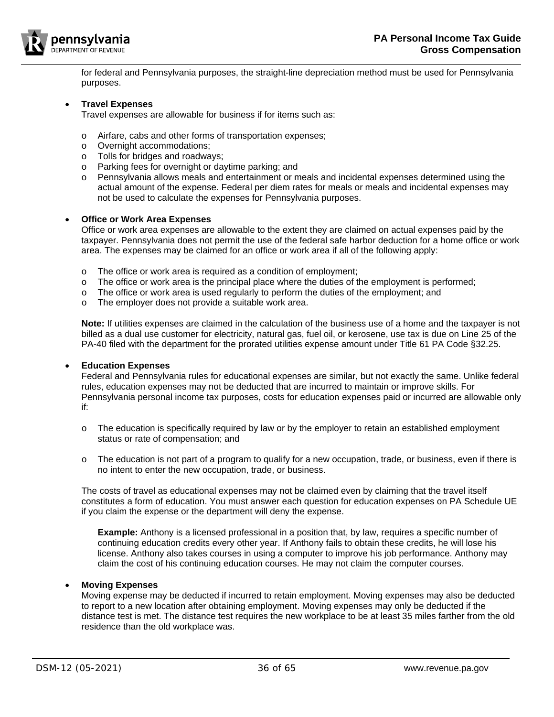

for federal and Pennsylvania purposes, the straight-line depreciation method must be used for Pennsylvania purposes.

## • **Travel Expenses**

Travel expenses are allowable for business if for items such as:

- o Airfare, cabs and other forms of transportation expenses;
- o Overnight accommodations;
- o Tolls for bridges and roadways;
- o Parking fees for overnight or daytime parking; and
- o Pennsylvania allows meals and entertainment or meals and incidental expenses determined using the actual amount of the expense. Federal per diem rates for meals or meals and incidental expenses may not be used to calculate the expenses for Pennsylvania purposes.

# • **Office or Work Area Expenses**

Office or work area expenses are allowable to the extent they are claimed on actual expenses paid by the taxpayer. Pennsylvania does not permit the use of the federal safe harbor deduction for a home office or work area. The expenses may be claimed for an office or work area if all of the following apply:

- $\circ$  The office or work area is required as a condition of employment;<br>  $\circ$  The office or work area is the principal place where the duties of t
- The office or work area is the principal place where the duties of the employment is performed;
- o The office or work area is used regularly to perform the duties of the employment; and
- o The employer does not provide a suitable work area.

**Note:** If utilities expenses are claimed in the calculation of the business use of a home and the taxpayer is not billed as a dual use customer for electricity, natural gas, fuel oil, or kerosene, use tax is due on Line 25 of the PA-40 filed with the department for the prorated utilities expense amount under Title 61 PA Code §32.25.

## • **Education Expenses**

Federal and Pennsylvania rules for educational expenses are similar, but not exactly the same. Unlike federal rules, education expenses may not be deducted that are incurred to maintain or improve skills. For Pennsylvania personal income tax purposes, costs for education expenses paid or incurred are allowable only if:

- o The education is specifically required by law or by the employer to retain an established employment status or rate of compensation; and
- o The education is not part of a program to qualify for a new occupation, trade, or business, even if there is no intent to enter the new occupation, trade, or business.

The costs of travel as educational expenses may not be claimed even by claiming that the travel itself constitutes a form of education. You must answer each question for education expenses on PA Schedule UE if you claim the expense or the department will deny the expense.

**Example:** Anthony is a licensed professional in a position that, by law, requires a specific number of continuing education credits every other year. If Anthony fails to obtain these credits, he will lose his license. Anthony also takes courses in using a computer to improve his job performance. Anthony may claim the cost of his continuing education courses. He may not claim the computer courses.

## • **Moving Expenses**

Moving expense may be deducted if incurred to retain employment. Moving expenses may also be deducted to report to a new location after obtaining employment. Moving expenses may only be deducted if the distance test is met. The distance test requires the new workplace to be at least 35 miles farther from the old residence than the old workplace was.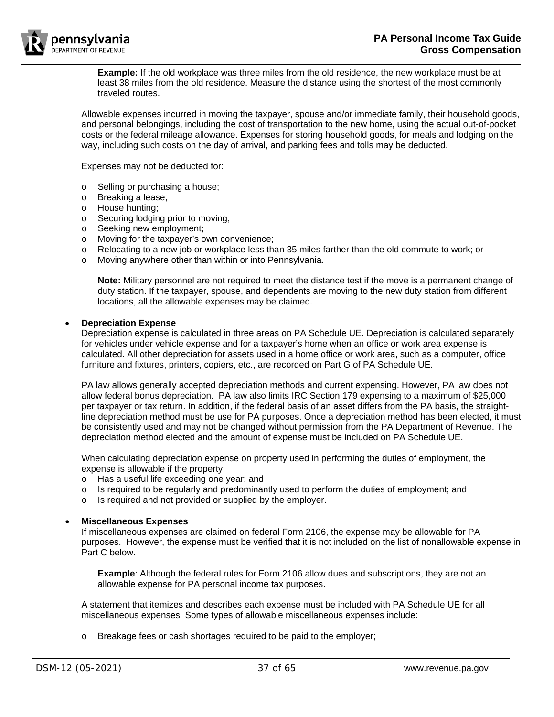

**Example:** If the old workplace was three miles from the old residence, the new workplace must be at least 38 miles from the old residence. Measure the distance using the shortest of the most commonly traveled routes.

Allowable expenses incurred in moving the taxpayer, spouse and/or immediate family, their household goods, and personal belongings, including the cost of transportation to the new home, using the actual out-of-pocket costs or the federal mileage allowance. Expenses for storing household goods, for meals and lodging on the way, including such costs on the day of arrival, and parking fees and tolls may be deducted.

Expenses may not be deducted for:

- o Selling or purchasing a house;<br>o Breaking a lease;
- Breaking a lease;
- o House hunting;
- o Securing lodging prior to moving;
- o Seeking new employment;
- o Moving for the taxpayer's own convenience;
- o Relocating to a new job or workplace less than 35 miles farther than the old commute to work; or
- o Moving anywhere other than within or into Pennsylvania.

**Note:** Military personnel are not required to meet the distance test if the move is a permanent change of duty station. If the taxpayer, spouse, and dependents are moving to the new duty station from different locations, all the allowable expenses may be claimed.

#### • **Depreciation Expense**

Depreciation expense is calculated in three areas on PA Schedule UE. Depreciation is calculated separately for vehicles under vehicle expense and for a taxpayer's home when an office or work area expense is calculated. All other depreciation for assets used in a home office or work area, such as a computer, office furniture and fixtures, printers, copiers, etc., are recorded on Part G of PA Schedule UE.

PA law allows generally accepted depreciation methods and current expensing. However, PA law does not allow federal bonus depreciation. PA law also limits IRC Section 179 expensing to a maximum of \$25,000 per taxpayer or tax return. In addition, if the federal basis of an asset differs from the PA basis, the straightline depreciation method must be use for PA purposes. Once a depreciation method has been elected, it must be consistently used and may not be changed without permission from the PA Department of Revenue. The depreciation method elected and the amount of expense must be included on PA Schedule UE.

When calculating depreciation expense on property used in performing the duties of employment, the expense is allowable if the property:

- o Has a useful life exceeding one year; and
- $\circ$  Is required to be regularly and predominantly used to perform the duties of employment; and
- o Is required and not provided or supplied by the employer.

#### • **Miscellaneous Expenses**

If miscellaneous expenses are claimed on federal Form 2106, the expense may be allowable for PA purposes. However, the expense must be verified that it is not included on the list of nonallowable expense in Part C below.

**Example**: Although the federal rules for Form 2106 allow dues and subscriptions, they are not an allowable expense for PA personal income tax purposes.

A statement that itemizes and describes each expense must be included with PA Schedule UE for all miscellaneous expenses*.* Some types of allowable miscellaneous expenses include:

o Breakage fees or cash shortages required to be paid to the employer;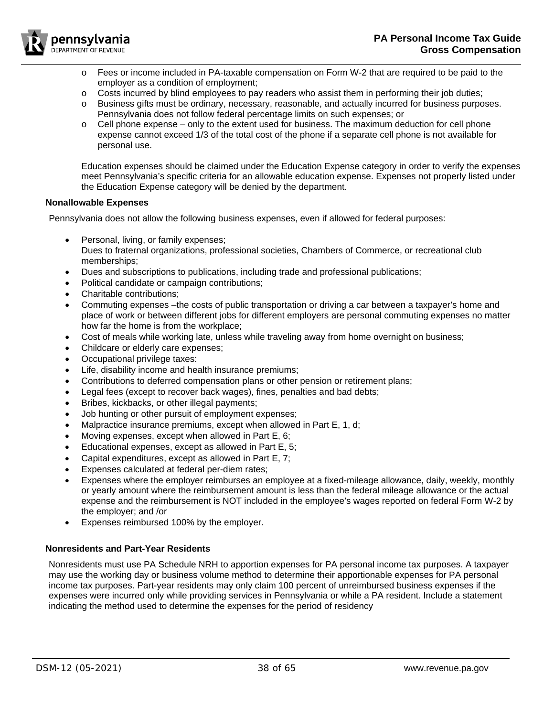

- o Fees or income included in PA-taxable compensation on Form W-2 that are required to be paid to the employer as a condition of employment;
- $\circ$  Costs incurred by blind employees to pay readers who assist them in performing their job duties;
- o Business gifts must be ordinary, necessary, reasonable, and actually incurred for business purposes. Pennsylvania does not follow federal percentage limits on such expenses; or
- $\circ$  Cell phone expense only to the extent used for business. The maximum deduction for cell phone expense cannot exceed 1/3 of the total cost of the phone if a separate cell phone is not available for personal use.

Education expenses should be claimed under the Education Expense category in order to verify the expenses meet Pennsylvania's specific criteria for an allowable education expense. Expenses not properly listed under the Education Expense category will be denied by the department.

## <span id="page-37-0"></span>**Nonallowable Expenses**

Pennsylvania does not allow the following business expenses, even if allowed for federal purposes:

- Personal, living, or family expenses;
- Dues to fraternal organizations, professional societies, Chambers of Commerce, or recreational club memberships;
- Dues and subscriptions to publications, including trade and professional publications;
- Political candidate or campaign contributions;
- Charitable contributions;
- Commuting expenses –the costs of public transportation or driving a car between a taxpayer's home and place of work or between different jobs for different employers are personal commuting expenses no matter how far the home is from the workplace;
- Cost of meals while working late, unless while traveling away from home overnight on business;
- Childcare or elderly care expenses;
- Occupational privilege taxes:
- Life, disability income and health insurance premiums;
- Contributions to deferred compensation plans or other pension or retirement plans;
- Legal fees (except to recover back wages), fines, penalties and bad debts;
- Bribes, kickbacks, or other illegal payments;
- Job hunting or other pursuit of employment expenses;
- Malpractice insurance premiums, except when allowed in Part E, 1, d;
- Moving expenses, except when allowed in Part E, 6;
- Educational expenses, except as allowed in Part E, 5;
- Capital expenditures, except as allowed in Part E, 7;
- Expenses calculated at federal per-diem rates;
- Expenses where the employer reimburses an employee at a fixed-mileage allowance, daily, weekly, monthly or yearly amount where the reimbursement amount is less than the federal mileage allowance or the actual expense and the reimbursement is NOT included in the employee's wages reported on federal Form W-2 by the employer; and /or
- Expenses reimbursed 100% by the employer.

## <span id="page-37-1"></span>**Nonresidents and Part-Year Residents**

Nonresidents must use PA Schedule NRH to apportion expenses for PA personal income tax purposes. A taxpayer may use the working day or business volume method to determine their apportionable expenses for PA personal income tax purposes. Part-year residents may only claim 100 percent of unreimbursed business expenses if the expenses were incurred only while providing services in Pennsylvania or while a PA resident. Include a statement indicating the method used to determine the expenses for the period of residency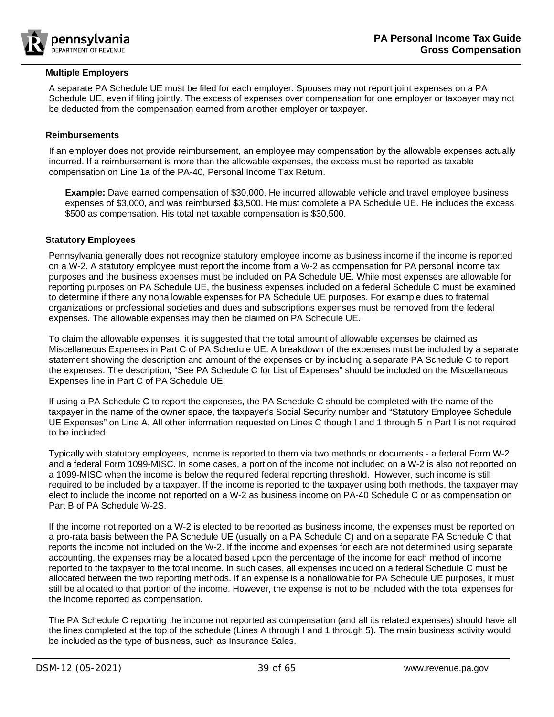

## <span id="page-38-0"></span>**Multiple Employers**

A separate PA Schedule UE must be filed for each employer. Spouses may not report joint expenses on a PA Schedule UE, even if filing jointly. The excess of expenses over compensation for one employer or taxpayer may not be deducted from the compensation earned from another employer or taxpayer.

## <span id="page-38-1"></span>**Reimbursements**

If an employer does not provide reimbursement, an employee may compensation by the allowable expenses actually incurred. If a reimbursement is more than the allowable expenses, the excess must be reported as taxable compensation on Line 1a of the PA-40, Personal Income Tax Return.

**Example:** Dave earned compensation of \$30,000. He incurred allowable vehicle and travel employee business expenses of \$3,000, and was reimbursed \$3,500. He must complete a PA Schedule UE. He includes the excess \$500 as compensation. His total net taxable compensation is \$30,500.

## <span id="page-38-2"></span>**Statutory Employees**

Pennsylvania generally does not recognize statutory employee income as business income if the income is reported on a W-2. A statutory employee must report the income from a W-2 as compensation for PA personal income tax purposes and the business expenses must be included on PA Schedule UE. While most expenses are allowable for reporting purposes on PA Schedule UE, the business expenses included on a federal Schedule C must be examined to determine if there any nonallowable expenses for PA Schedule UE purposes. For example dues to fraternal organizations or professional societies and dues and subscriptions expenses must be removed from the federal expenses. The allowable expenses may then be claimed on PA Schedule UE.

To claim the allowable expenses, it is suggested that the total amount of allowable expenses be claimed as Miscellaneous Expenses in Part C of PA Schedule UE. A breakdown of the expenses must be included by a separate statement showing the description and amount of the expenses or by including a separate PA Schedule C to report the expenses. The description, "See PA Schedule C for List of Expenses" should be included on the Miscellaneous Expenses line in Part C of PA Schedule UE.

If using a PA Schedule C to report the expenses, the PA Schedule C should be completed with the name of the taxpayer in the name of the owner space, the taxpayer's Social Security number and "Statutory Employee Schedule UE Expenses" on Line A. All other information requested on Lines C though I and 1 through 5 in Part I is not required to be included.

Typically with statutory employees, income is reported to them via two methods or documents - a federal Form W-2 and a federal Form 1099-MISC. In some cases, a portion of the income not included on a W-2 is also not reported on a 1099-MISC when the income is below the required federal reporting threshold. However, such income is still required to be included by a taxpayer. If the income is reported to the taxpayer using both methods, the taxpayer may elect to include the income not reported on a W-2 as business income on PA-40 Schedule C or as compensation on Part B of PA Schedule W-2S.

If the income not reported on a W-2 is elected to be reported as business income, the expenses must be reported on a pro-rata basis between the PA Schedule UE (usually on a PA Schedule C) and on a separate PA Schedule C that reports the income not included on the W-2. If the income and expenses for each are not determined using separate accounting, the expenses may be allocated based upon the percentage of the income for each method of income reported to the taxpayer to the total income. In such cases, all expenses included on a federal Schedule C must be allocated between the two reporting methods. If an expense is a nonallowable for PA Schedule UE purposes, it must still be allocated to that portion of the income. However, the expense is not to be included with the total expenses for the income reported as compensation.

The PA Schedule C reporting the income not reported as compensation (and all its related expenses) should have all the lines completed at the top of the schedule (Lines A through I and 1 through 5). The main business activity would be included as the type of business, such as Insurance Sales.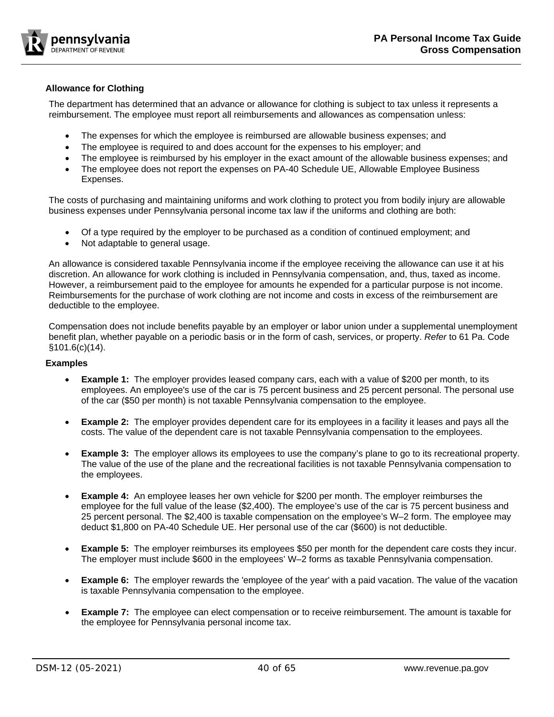

# <span id="page-39-0"></span>**Allowance for Clothing**

The department has determined that an advance or allowance for clothing is subject to tax unless it represents a reimbursement. The employee must report all reimbursements and allowances as compensation unless:

- The expenses for which the employee is reimbursed are allowable business expenses; and
- The employee is required to and does account for the expenses to his employer; and
- The employee is reimbursed by his employer in the exact amount of the allowable business expenses; and
- The employee does not report the expenses on PA-40 Schedule UE, Allowable Employee Business Expenses.

The costs of purchasing and maintaining uniforms and work clothing to protect you from bodily injury are allowable business expenses under Pennsylvania personal income tax law if the uniforms and clothing are both:

- Of a type required by the employer to be purchased as a condition of continued employment; and
- Not adaptable to general usage.

An allowance is considered taxable Pennsylvania income if the employee receiving the allowance can use it at his discretion. An allowance for work clothing is included in Pennsylvania compensation, and, thus, taxed as income. However, a reimbursement paid to the employee for amounts he expended for a particular purpose is not income. Reimbursements for the purchase of work clothing are not income and costs in excess of the reimbursement are deductible to the employee.

Compensation does not include benefits payable by an employer or labor union under a supplemental unemployment benefit plan, whether payable on a periodic basis or in the form of cash, services, or property. *Refer* to 61 Pa. Code §101.6(c)(14).

## <span id="page-39-1"></span>**Examples**

- **Example 1:** The employer provides leased company cars, each with a value of \$200 per month, to its employees. An employee's use of the car is 75 percent business and 25 percent personal. The personal use of the car (\$50 per month) is not taxable Pennsylvania compensation to the employee.
- **Example 2:** The employer provides dependent care for its employees in a facility it leases and pays all the costs. The value of the dependent care is not taxable Pennsylvania compensation to the employees.
- **Example 3:** The employer allows its employees to use the company's plane to go to its recreational property. The value of the use of the plane and the recreational facilities is not taxable Pennsylvania compensation to the employees.
- **Example 4:** An employee leases her own vehicle for \$200 per month. The employer reimburses the employee for the full value of the lease (\$2,400). The employee's use of the car is 75 percent business and 25 percent personal. The \$2,400 is taxable compensation on the employee's W–2 form. The employee may deduct \$1,800 on PA-40 Schedule UE. Her personal use of the car (\$600) is not deductible.
- **Example 5:** The employer reimburses its employees \$50 per month for the dependent care costs they incur. The employer must include \$600 in the employees' W–2 forms as taxable Pennsylvania compensation.
- **Example 6:** The employer rewards the 'employee of the year' with a paid vacation. The value of the vacation is taxable Pennsylvania compensation to the employee.
- **Example 7:** The employee can elect compensation or to receive reimbursement. The amount is taxable for the employee for Pennsylvania personal income tax.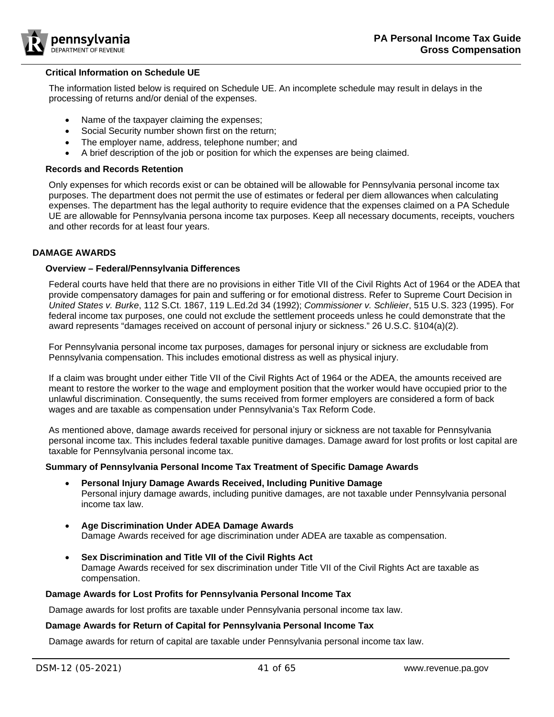

#### <span id="page-40-0"></span>**Critical Information on Schedule UE**

The information listed below is required on Schedule UE. An incomplete schedule may result in delays in the processing of returns and/or denial of the expenses.

- Name of the taxpayer claiming the expenses;
- Social Security number shown first on the return:
- The employer name, address, telephone number; and
- A brief description of the job or position for which the expenses are being claimed.

## <span id="page-40-1"></span>**Records and Records Retention**

Only expenses for which records exist or can be obtained will be allowable for Pennsylvania personal income tax purposes. The department does not permit the use of estimates or federal per diem allowances when calculating expenses. The department has the legal authority to require evidence that the expenses claimed on a PA Schedule UE are allowable for Pennsylvania persona income tax purposes. Keep all necessary documents, receipts, vouchers and other records for at least four years.

## <span id="page-40-2"></span>**DAMAGE AWARDS**

# <span id="page-40-3"></span>**Overview – Federal/Pennsylvania Differences**

Federal courts have held that there are no provisions in either Title VII of the Civil Rights Act of 1964 or the ADEA that provide compensatory damages for pain and suffering or for emotional distress. Refer to Supreme Court Decision in *United States v. Burke*, 112 S.Ct. 1867, 119 L.Ed.2d 34 (1992); *Commissioner v. Schlieier*, 515 U.S. 323 (1995). For federal income tax purposes, one could not exclude the settlement proceeds unless he could demonstrate that the award represents "damages received on account of personal injury or sickness." 26 U.S.C. §104(a)(2).

For Pennsylvania personal income tax purposes, damages for personal injury or sickness are excludable from Pennsylvania compensation. This includes emotional distress as well as physical injury.

If a claim was brought under either Title VII of the Civil Rights Act of 1964 or the ADEA, the amounts received are meant to restore the worker to the wage and employment position that the worker would have occupied prior to the unlawful discrimination. Consequently, the sums received from former employers are considered a form of back wages and are taxable as compensation under Pennsylvania's Tax Reform Code.

As mentioned above, damage awards received for personal injury or sickness are not taxable for Pennsylvania personal income tax. This includes federal taxable punitive damages. Damage award for lost profits or lost capital are taxable for Pennsylvania personal income tax.

## <span id="page-40-4"></span>**Summary of Pennsylvania Personal Income Tax Treatment of Specific Damage Awards**

- **Personal Injury Damage Awards Received, Including Punitive Damage**  Personal injury damage awards, including punitive damages, are not taxable under Pennsylvania personal income tax law.
- **Age Discrimination Under ADEA Damage Awards** Damage Awards received for age discrimination under ADEA are taxable as compensation.
- **Sex Discrimination and Title VII of the Civil Rights Act** Damage Awards received for sex discrimination under Title VII of the Civil Rights Act are taxable as compensation.

## <span id="page-40-5"></span>**Damage Awards for Lost Profits for Pennsylvania Personal Income Tax**

Damage awards for lost profits are taxable under Pennsylvania personal income tax law.

## <span id="page-40-6"></span>**Damage Awards for Return of Capital for Pennsylvania Personal Income Tax**

Damage awards for return of capital are taxable under Pennsylvania personal income tax law.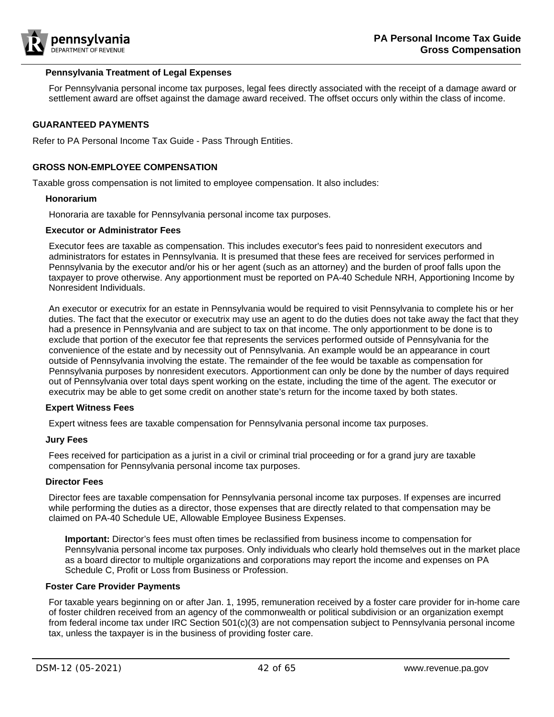

#### <span id="page-41-0"></span>**Pennsylvania Treatment of Legal Expenses**

For Pennsylvania personal income tax purposes, legal fees directly associated with the receipt of a damage award or settlement award are offset against the damage award received. The offset occurs only within the class of income.

## <span id="page-41-1"></span>**GUARANTEED PAYMENTS**

Refer to PA Personal Income Tax Guide - Pass Through Entities.

#### <span id="page-41-2"></span>**GROSS NON-EMPLOYEE COMPENSATION**

<span id="page-41-3"></span>Taxable gross compensation is not limited to employee compensation. It also includes:

#### **Honorarium**

Honoraria are taxable for Pennsylvania personal income tax purposes.

#### <span id="page-41-4"></span>**Executor or Administrator Fees**

Executor fees are taxable as compensation. This includes executor's fees paid to nonresident executors and administrators for estates in Pennsylvania. It is presumed that these fees are received for services performed in Pennsylvania by the executor and/or his or her agent (such as an attorney) and the burden of proof falls upon the taxpayer to prove otherwise. Any apportionment must be reported on PA-40 Schedule NRH, Apportioning Income by Nonresident Individuals.

An executor or executrix for an estate in Pennsylvania would be required to visit Pennsylvania to complete his or her duties. The fact that the executor or executrix may use an agent to do the duties does not take away the fact that they had a presence in Pennsylvania and are subject to tax on that income. The only apportionment to be done is to exclude that portion of the executor fee that represents the services performed outside of Pennsylvania for the convenience of the estate and by necessity out of Pennsylvania. An example would be an appearance in court outside of Pennsylvania involving the estate. The remainder of the fee would be taxable as compensation for Pennsylvania purposes by nonresident executors. Apportionment can only be done by the number of days required out of Pennsylvania over total days spent working on the estate, including the time of the agent. The executor or executrix may be able to get some credit on another state's return for the income taxed by both states.

#### <span id="page-41-5"></span>**Expert Witness Fees**

Expert witness fees are taxable compensation for Pennsylvania personal income tax purposes.

#### <span id="page-41-6"></span>**Jury Fees**

Fees received for participation as a jurist in a civil or criminal trial proceeding or for a grand jury are taxable compensation for Pennsylvania personal income tax purposes.

#### <span id="page-41-7"></span>**Director Fees**

Director fees are taxable compensation for Pennsylvania personal income tax purposes. If expenses are incurred while performing the duties as a director, those expenses that are directly related to that compensation may be claimed on PA-40 Schedule UE, Allowable Employee Business Expenses.

**Important:** Director's fees must often times be reclassified from business income to compensation for Pennsylvania personal income tax purposes. Only individuals who clearly hold themselves out in the market place as a board director to multiple organizations and corporations may report the income and expenses on PA Schedule C, Profit or Loss from Business or Profession.

## <span id="page-41-8"></span>**Foster Care Provider Payments**

For taxable years beginning on or after Jan. 1, 1995, remuneration received by a foster care provider for in-home care of foster children received from an agency of the commonwealth or political subdivision or an organization exempt from federal income tax under IRC Section 501(c)(3) are not compensation subject to Pennsylvania personal income tax, unless the taxpayer is in the business of providing foster care.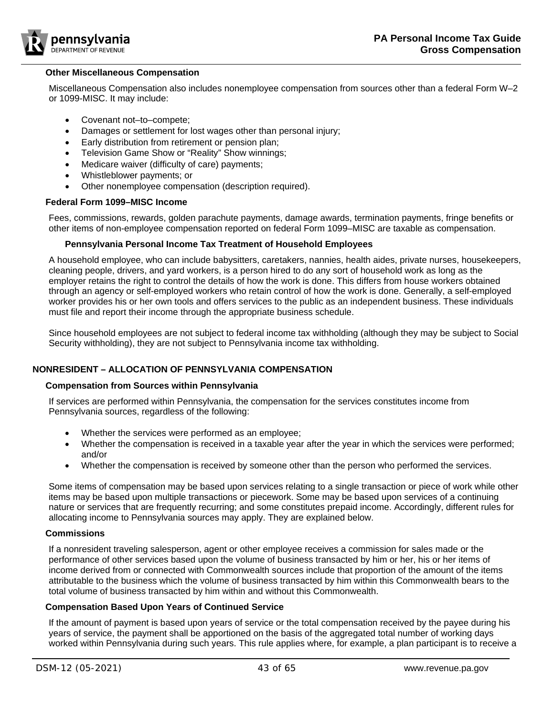

## <span id="page-42-0"></span>**Other Miscellaneous Compensation**

Miscellaneous Compensation also includes nonemployee compensation from sources other than a federal Form W–2 or 1099-MISC. It may include:

- Covenant not–to–compete;
- Damages or settlement for lost wages other than personal injury;
- Early distribution from retirement or pension plan;
- Television Game Show or "Reality" Show winnings;
- Medicare waiver (difficulty of care) payments;
- Whistleblower payments; or
- Other nonemployee compensation (description required).

#### <span id="page-42-1"></span>**Federal Form 1099–MISC Income**

Fees, commissions, rewards, golden parachute payments, damage awards, termination payments, fringe benefits or other items of non-employee compensation reported on federal Form 1099–MISC are taxable as compensation.

#### <span id="page-42-2"></span>**Pennsylvania Personal Income Tax Treatment of Household Employees**

A household employee, who can include babysitters, caretakers, nannies, health aides, private nurses, housekeepers, cleaning people, drivers, and yard workers, is a person hired to do any sort of household work as long as the employer retains the right to control the details of how the work is done. This differs from house workers obtained through an agency or self-employed workers who retain control of how the work is done. Generally, a self-employed worker provides his or her own tools and offers services to the public as an independent business. These individuals must file and report their income through the appropriate business schedule.

Since household employees are not subject to federal income tax withholding (although they may be subject to Social Security withholding), they are not subject to Pennsylvania income tax withholding.

## <span id="page-42-3"></span>**NONRESIDENT – ALLOCATION OF PENNSYLVANIA COMPENSATION**

#### <span id="page-42-4"></span>**Compensation from Sources within Pennsylvania**

If services are performed within Pennsylvania, the compensation for the services constitutes income from Pennsylvania sources, regardless of the following:

- Whether the services were performed as an employee;
- Whether the compensation is received in a taxable year after the year in which the services were performed; and/or
- Whether the compensation is received by someone other than the person who performed the services.

Some items of compensation may be based upon services relating to a single transaction or piece of work while other items may be based upon multiple transactions or piecework. Some may be based upon services of a continuing nature or services that are frequently recurring; and some constitutes prepaid income. Accordingly, different rules for allocating income to Pennsylvania sources may apply. They are explained below.

#### <span id="page-42-5"></span>**Commissions**

If a nonresident traveling salesperson, agent or other employee receives a commission for sales made or the performance of other services based upon the volume of business transacted by him or her, his or her items of income derived from or connected with Commonwealth sources include that proportion of the amount of the items attributable to the business which the volume of business transacted by him within this Commonwealth bears to the total volume of business transacted by him within and without this Commonwealth.

#### <span id="page-42-6"></span>**Compensation Based Upon Years of Continued Service**

If the amount of payment is based upon years of service or the total compensation received by the payee during his years of service, the payment shall be apportioned on the basis of the aggregated total number of working days worked within Pennsylvania during such years. This rule applies where, for example, a plan participant is to receive a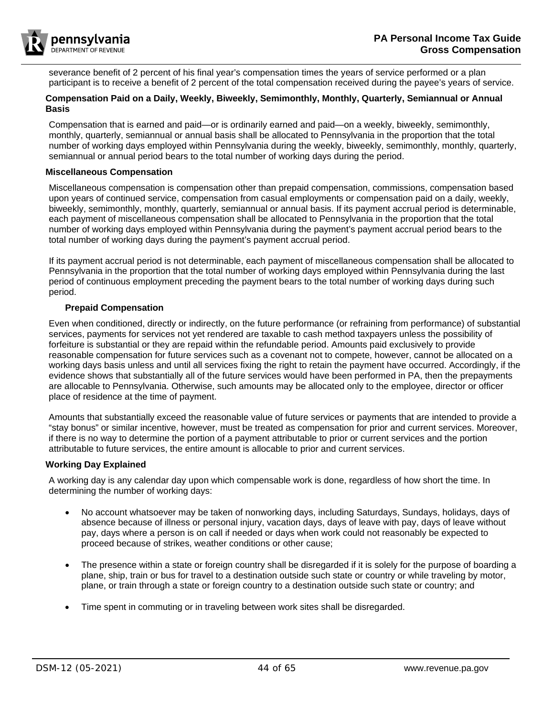

severance benefit of 2 percent of his final year's compensation times the years of service performed or a plan participant is to receive a benefit of 2 percent of the total compensation received during the payee's years of service.

## <span id="page-43-0"></span>**Compensation Paid on a Daily, Weekly, Biweekly, Semimonthly, Monthly, Quarterly, Semiannual or Annual Basis**

Compensation that is earned and paid—or is ordinarily earned and paid—on a weekly, biweekly, semimonthly, monthly, quarterly, semiannual or annual basis shall be allocated to Pennsylvania in the proportion that the total number of working days employed within Pennsylvania during the weekly, biweekly, semimonthly, monthly, quarterly, semiannual or annual period bears to the total number of working days during the period.

## <span id="page-43-1"></span>**Miscellaneous Compensation**

Miscellaneous compensation is compensation other than prepaid compensation, commissions, compensation based upon years of continued service, compensation from casual employments or compensation paid on a daily, weekly, biweekly, semimonthly, monthly, quarterly, semiannual or annual basis. If its payment accrual period is determinable, each payment of miscellaneous compensation shall be allocated to Pennsylvania in the proportion that the total number of working days employed within Pennsylvania during the payment's payment accrual period bears to the total number of working days during the payment's payment accrual period.

If its payment accrual period is not determinable, each payment of miscellaneous compensation shall be allocated to Pennsylvania in the proportion that the total number of working days employed within Pennsylvania during the last period of continuous employment preceding the payment bears to the total number of working days during such period.

## <span id="page-43-2"></span>**Prepaid Compensation**

Even when conditioned, directly or indirectly, on the future performance (or refraining from performance) of substantial services, payments for services not yet rendered are taxable to cash method taxpayers unless the possibility of forfeiture is substantial or they are repaid within the refundable period. Amounts paid exclusively to provide reasonable compensation for future services such as a covenant not to compete, however, cannot be allocated on a working days basis unless and until all services fixing the right to retain the payment have occurred. Accordingly, if the evidence shows that substantially all of the future services would have been performed in PA, then the prepayments are allocable to Pennsylvania. Otherwise, such amounts may be allocated only to the employee, director or officer place of residence at the time of payment.

Amounts that substantially exceed the reasonable value of future services or payments that are intended to provide a "stay bonus" or similar incentive, however, must be treated as compensation for prior and current services. Moreover, if there is no way to determine the portion of a payment attributable to prior or current services and the portion attributable to future services, the entire amount is allocable to prior and current services.

## <span id="page-43-3"></span>**Working Day Explained**

A working day is any calendar day upon which compensable work is done, regardless of how short the time. In determining the number of working days:

- No account whatsoever may be taken of nonworking days, including Saturdays, Sundays, holidays, days of absence because of illness or personal injury, vacation days, days of leave with pay, days of leave without pay, days where a person is on call if needed or days when work could not reasonably be expected to proceed because of strikes, weather conditions or other cause;
- The presence within a state or foreign country shall be disregarded if it is solely for the purpose of boarding a plane, ship, train or bus for travel to a destination outside such state or country or while traveling by motor, plane, or train through a state or foreign country to a destination outside such state or country; and
- Time spent in commuting or in traveling between work sites shall be disregarded.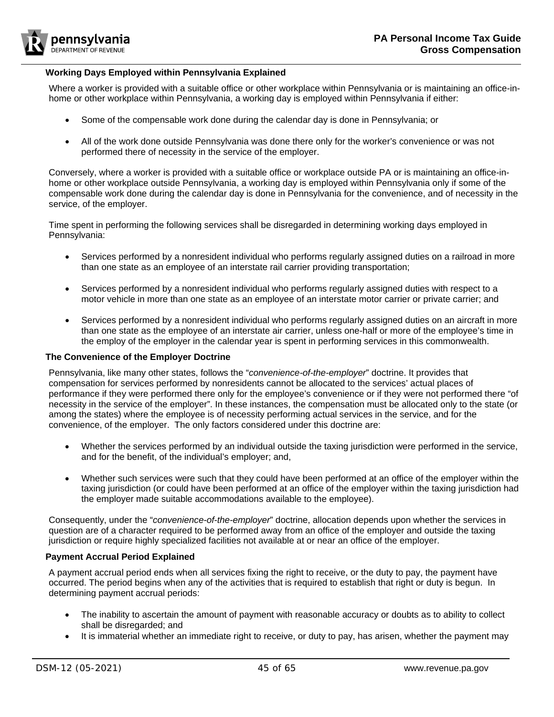

#### <span id="page-44-0"></span>**Working Days Employed within Pennsylvania Explained**

Where a worker is provided with a suitable office or other workplace within Pennsylvania or is maintaining an office-inhome or other workplace within Pennsylvania, a working day is employed within Pennsylvania if either:

- Some of the compensable work done during the calendar day is done in Pennsylvania; or
- All of the work done outside Pennsylvania was done there only for the worker's convenience or was not performed there of necessity in the service of the employer.

Conversely, where a worker is provided with a suitable office or workplace outside PA or is maintaining an office-inhome or other workplace outside Pennsylvania, a working day is employed within Pennsylvania only if some of the compensable work done during the calendar day is done in Pennsylvania for the convenience, and of necessity in the service, of the employer.

Time spent in performing the following services shall be disregarded in determining working days employed in Pennsylvania:

- Services performed by a nonresident individual who performs regularly assigned duties on a railroad in more than one state as an employee of an interstate rail carrier providing transportation;
- Services performed by a nonresident individual who performs regularly assigned duties with respect to a motor vehicle in more than one state as an employee of an interstate motor carrier or private carrier; and
- Services performed by a nonresident individual who performs regularly assigned duties on an aircraft in more than one state as the employee of an interstate air carrier, unless one-half or more of the employee's time in the employ of the employer in the calendar year is spent in performing services in this commonwealth.

#### <span id="page-44-1"></span>**The Convenience of the Employer Doctrine**

Pennsylvania, like many other states, follows the "*convenience-of-the-employer*" doctrine. It provides that compensation for services performed by nonresidents cannot be allocated to the services' actual places of performance if they were performed there only for the employee's convenience or if they were not performed there "of necessity in the service of the employer". In these instances, the compensation must be allocated only to the state (or among the states) where the employee is of necessity performing actual services in the service, and for the convenience, of the employer. The only factors considered under this doctrine are:

- Whether the services performed by an individual outside the taxing jurisdiction were performed in the service, and for the benefit, of the individual's employer; and,
- Whether such services were such that they could have been performed at an office of the employer within the taxing jurisdiction (or could have been performed at an office of the employer within the taxing jurisdiction had the employer made suitable accommodations available to the employee).

Consequently, under the "*convenience-of-the-employer*" doctrine, allocation depends upon whether the services in question are of a character required to be performed away from an office of the employer and outside the taxing jurisdiction or require highly specialized facilities not available at or near an office of the employer.

## <span id="page-44-2"></span>**Payment Accrual Period Explained**

A payment accrual period ends when all services fixing the right to receive, or the duty to pay, the payment have occurred. The period begins when any of the activities that is required to establish that right or duty is begun. In determining payment accrual periods:

- The inability to ascertain the amount of payment with reasonable accuracy or doubts as to ability to collect shall be disregarded; and
- It is immaterial whether an immediate right to receive, or duty to pay, has arisen, whether the payment may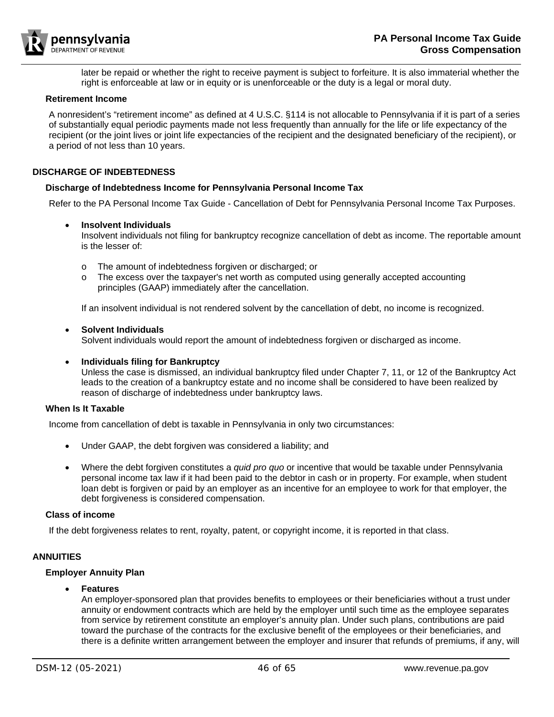

later be repaid or whether the right to receive payment is subject to forfeiture. It is also immaterial whether the right is enforceable at law or in equity or is unenforceable or the duty is a legal or moral duty.

#### <span id="page-45-0"></span>**Retirement Income**

A nonresident's "retirement income" as defined at 4 U.S.C. §114 is not allocable to Pennsylvania if it is part of a series of substantially equal periodic payments made not less frequently than annually for the life or life expectancy of the recipient (or the joint lives or joint life expectancies of the recipient and the designated beneficiary of the recipient), or a period of not less than 10 years.

#### <span id="page-45-1"></span>**DISCHARGE OF INDEBTEDNESS**

#### <span id="page-45-2"></span>**Discharge of Indebtedness Income for Pennsylvania Personal Income Tax**

Refer to the PA Personal Income Tax Guide - Cancellation of Debt for Pennsylvania Personal Income Tax Purposes.

#### • **Insolvent Individuals**

Insolvent individuals not filing for bankruptcy recognize cancellation of debt as income. The reportable amount is the lesser of:

- o The amount of indebtedness forgiven or discharged; or
- o The excess over the taxpayer's net worth as computed using generally accepted accounting principles (GAAP) immediately after the cancellation.

If an insolvent individual is not rendered solvent by the cancellation of debt, no income is recognized.

#### • **Solvent Individuals**

Solvent individuals would report the amount of indebtedness forgiven or discharged as income.

#### • **Individuals filing for Bankruptcy**

Unless the case is dismissed, an individual bankruptcy filed under Chapter 7, 11, or 12 of the Bankruptcy Act leads to the creation of a bankruptcy estate and no income shall be considered to have been realized by reason of discharge of indebtedness under bankruptcy laws.

#### <span id="page-45-3"></span>**When Is It Taxable**

Income from cancellation of debt is taxable in Pennsylvania in only two circumstances:

- Under GAAP, the debt forgiven was considered a liability; and
- Where the debt forgiven constitutes a *quid pro quo* or incentive that would be taxable under Pennsylvania personal income tax law if it had been paid to the debtor in cash or in property. For example, when student loan debt is forgiven or paid by an employer as an incentive for an employee to work for that employer, the debt forgiveness is considered compensation.

#### <span id="page-45-4"></span>**Class of income**

If the debt forgiveness relates to rent, royalty, patent, or copyright income, it is reported in that class.

## <span id="page-45-5"></span>**ANNUITIES**

## <span id="page-45-6"></span>**Employer Annuity Plan**

## • **Features**

An employer-sponsored plan that provides benefits to employees or their beneficiaries without a trust under annuity or endowment contracts which are held by the employer until such time as the employee separates from service by retirement constitute an employer's annuity plan. Under such plans, contributions are paid toward the purchase of the contracts for the exclusive benefit of the employees or their beneficiaries, and there is a definite written arrangement between the employer and insurer that refunds of premiums, if any, will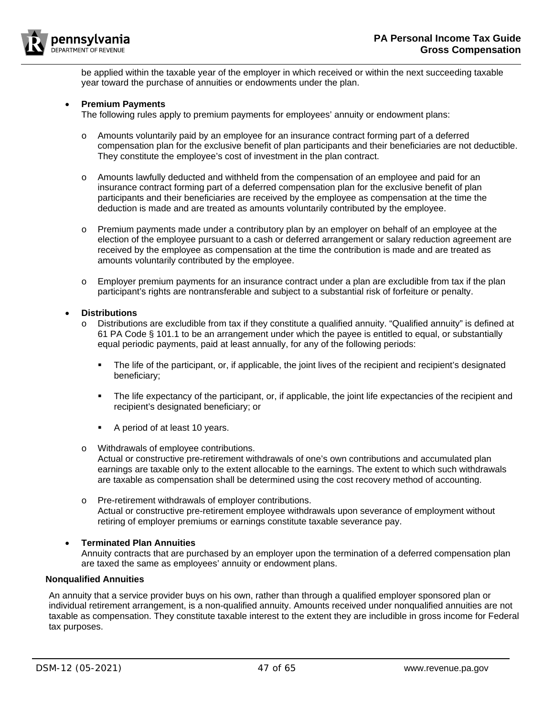

be applied within the taxable year of the employer in which received or within the next succeeding taxable year toward the purchase of annuities or endowments under the plan.

## • **Premium Payments**

The following rules apply to premium payments for employees' annuity or endowment plans:

- o Amounts voluntarily paid by an employee for an insurance contract forming part of a deferred compensation plan for the exclusive benefit of plan participants and their beneficiaries are not deductible. They constitute the employee's cost of investment in the plan contract.
- o Amounts lawfully deducted and withheld from the compensation of an employee and paid for an insurance contract forming part of a deferred compensation plan for the exclusive benefit of plan participants and their beneficiaries are received by the employee as compensation at the time the deduction is made and are treated as amounts voluntarily contributed by the employee.
- $\circ$  Premium payments made under a contributory plan by an employer on behalf of an employee at the election of the employee pursuant to a cash or deferred arrangement or salary reduction agreement are received by the employee as compensation at the time the contribution is made and are treated as amounts voluntarily contributed by the employee.
- $\circ$  Employer premium payments for an insurance contract under a plan are excludible from tax if the plan participant's rights are nontransferable and subject to a substantial risk of forfeiture or penalty.

#### • **Distributions**

- o Distributions are excludible from tax if they constitute a qualified annuity. "Qualified annuity" is defined at 61 PA Code § 101.1 to be an arrangement under which the payee is entitled to equal, or substantially equal periodic payments, paid at least annually, for any of the following periods:
	- The life of the participant, or, if applicable, the joint lives of the recipient and recipient's designated beneficiary;
	- The life expectancy of the participant, or, if applicable, the joint life expectancies of the recipient and recipient's designated beneficiary; or
	- A period of at least 10 years.
- o Withdrawals of employee contributions.
	- Actual or constructive pre-retirement withdrawals of one's own contributions and accumulated plan earnings are taxable only to the extent allocable to the earnings. The extent to which such withdrawals are taxable as compensation shall be determined using the cost recovery method of accounting.
- o Pre-retirement withdrawals of employer contributions. Actual or constructive pre-retirement employee withdrawals upon severance of employment without retiring of employer premiums or earnings constitute taxable severance pay.

## • **Terminated Plan Annuities**

Annuity contracts that are purchased by an employer upon the termination of a deferred compensation plan are taxed the same as employees' annuity or endowment plans.

# <span id="page-46-0"></span>**Nonqualified Annuities**

An annuity that a service provider buys on his own, rather than through a qualified employer sponsored plan or individual retirement arrangement, is a non-qualified annuity. Amounts received under nonqualified annuities are not taxable as compensation. They constitute taxable interest to the extent they are includible in gross income for Federal tax purposes.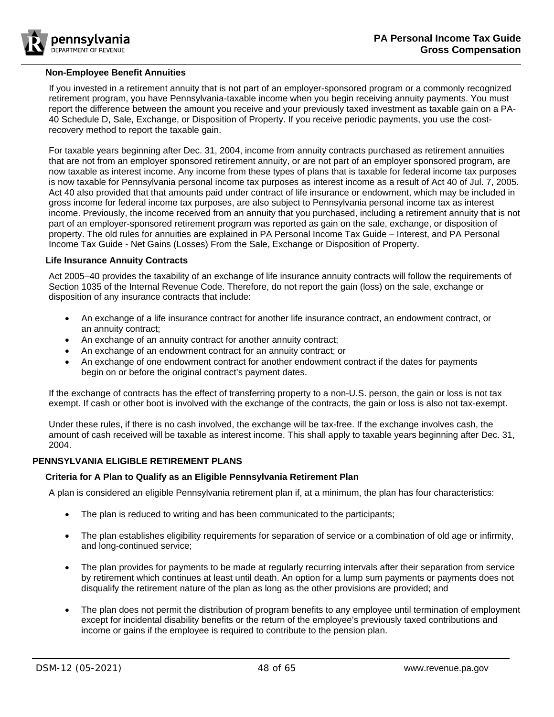

#### <span id="page-47-0"></span>**Non-Employee Benefit Annuities**

If you invested in a retirement annuity that is not part of an employer-sponsored program or a commonly recognized retirement program, you have Pennsylvania-taxable income when you begin receiving annuity payments. You must report the difference between the amount you receive and your previously taxed investment as taxable gain on a PA-40 Schedule D, Sale, Exchange, or Disposition of Property. If you receive periodic payments, you use the costrecovery method to report the taxable gain.

For taxable years beginning after Dec. 31, 2004, income from annuity contracts purchased as retirement annuities that are not from an employer sponsored retirement annuity, or are not part of an employer sponsored program, are now taxable as interest income. Any income from these types of plans that is taxable for federal income tax purposes is now taxable for Pennsylvania personal income tax purposes as interest income as a result of Act 40 of Jul. 7, 2005. Act 40 also provided that that amounts paid under contract of life insurance or endowment, which may be included in gross income for federal income tax purposes, are also subject to Pennsylvania personal income tax as interest income. Previously, the income received from an annuity that you purchased, including a retirement annuity that is not part of an employer-sponsored retirement program was reported as gain on the sale, exchange, or disposition of property. The old rules for annuities are explained in PA Personal Income Tax Guide – Interest, and PA Personal Income Tax Guide - Net Gains (Losses) From the Sale, Exchange or Disposition of Property.

#### <span id="page-47-1"></span>**Life Insurance Annuity Contracts**

Act 2005–40 provides the taxability of an exchange of life insurance annuity contracts will follow the requirements of Section 1035 of the Internal Revenue Code. Therefore, do not report the gain (loss) on the sale, exchange or disposition of any insurance contracts that include:

- An exchange of a life insurance contract for another life insurance contract, an endowment contract, or an annuity contract;
- An exchange of an annuity contract for another annuity contract;
- An exchange of an endowment contract for an annuity contract; or
- An exchange of one endowment contract for another endowment contract if the dates for payments begin on or before the original contract's payment dates.

If the exchange of contracts has the effect of transferring property to a non-U.S. person, the gain or loss is not tax exempt. If cash or other boot is involved with the exchange of the contracts, the gain or loss is also not tax-exempt.

Under these rules, if there is no cash involved, the exchange will be tax-free. If the exchange involves cash, the amount of cash received will be taxable as interest income. This shall apply to taxable years beginning after Dec. 31, 2004.

## <span id="page-47-3"></span><span id="page-47-2"></span>**PENNSYLVANIA ELIGIBLE RETIREMENT PLANS**

## **Criteria for A Plan to Qualify as an Eligible Pennsylvania Retirement Plan**

A plan is considered an eligible Pennsylvania retirement plan if, at a minimum, the plan has four characteristics:

- The plan is reduced to writing and has been communicated to the participants;
- The plan establishes eligibility requirements for separation of service or a combination of old age or infirmity, and long-continued service;
- The plan provides for payments to be made at regularly recurring intervals after their separation from service by retirement which continues at least until death. An option for a lump sum payments or payments does not disqualify the retirement nature of the plan as long as the other provisions are provided; and
- The plan does not permit the distribution of program benefits to any employee until termination of employment except for incidental disability benefits or the return of the employee's previously taxed contributions and income or gains if the employee is required to contribute to the pension plan.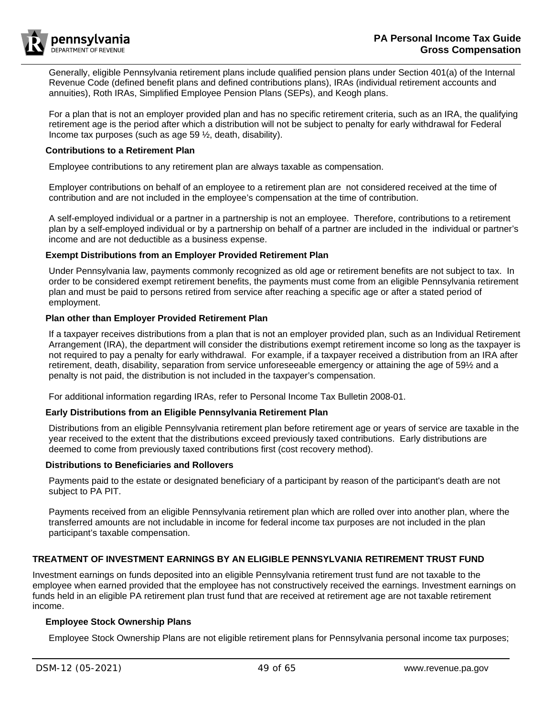

Generally, eligible Pennsylvania retirement plans include qualified pension plans under Section 401(a) of the Internal Revenue Code (defined benefit plans and defined contributions plans), IRAs (individual retirement accounts and annuities), Roth IRAs, Simplified Employee Pension Plans (SEPs), and Keogh plans.

For a plan that is not an employer provided plan and has no specific retirement criteria, such as an IRA, the qualifying retirement age is the period after which a distribution will not be subject to penalty for early withdrawal for Federal Income tax purposes (such as age 59 ½, death, disability).

#### <span id="page-48-0"></span>**Contributions to a Retirement Plan**

Employee contributions to any retirement plan are always taxable as compensation.

Employer contributions on behalf of an employee to a retirement plan are not considered received at the time of contribution and are not included in the employee's compensation at the time of contribution.

A self-employed individual or a partner in a partnership is not an employee. Therefore, contributions to a retirement plan by a self-employed individual or by a partnership on behalf of a partner are included in the individual or partner's income and are not deductible as a business expense.

#### <span id="page-48-1"></span>**Exempt Distributions from an Employer Provided Retirement Plan**

Under Pennsylvania law, payments commonly recognized as old age or retirement benefits are not subject to tax. In order to be considered exempt retirement benefits, the payments must come from an eligible Pennsylvania retirement plan and must be paid to persons retired from service after reaching a specific age or after a stated period of employment.

#### <span id="page-48-2"></span>**Plan other than Employer Provided Retirement Plan**

If a taxpayer receives distributions from a plan that is not an employer provided plan, such as an Individual Retirement Arrangement (IRA), the department will consider the distributions exempt retirement income so long as the taxpayer is not required to pay a penalty for early withdrawal. For example, if a taxpayer received a distribution from an IRA after retirement, death, disability, separation from service unforeseeable emergency or attaining the age of 59½ and a penalty is not paid, the distribution is not included in the taxpayer's compensation.

For additional information regarding IRAs, refer to Personal Income Tax Bulletin 2008-01.

## <span id="page-48-3"></span>**Early Distributions from an Eligible Pennsylvania Retirement Plan**

Distributions from an eligible Pennsylvania retirement plan before retirement age or years of service are taxable in the year received to the extent that the distributions exceed previously taxed contributions. Early distributions are deemed to come from previously taxed contributions first (cost recovery method).

# <span id="page-48-4"></span>**Distributions to Beneficiaries and Rollovers**

Payments paid to the estate or designated beneficiary of a participant by reason of the participant's death are not subject to PA PIT.

Payments received from an eligible Pennsylvania retirement plan which are rolled over into another plan, where the transferred amounts are not includable in income for federal income tax purposes are not included in the plan participant's taxable compensation.

## <span id="page-48-5"></span>**TREATMENT OF INVESTMENT EARNINGS BY AN ELIGIBLE PENNSYLVANIA RETIREMENT TRUST FUND**

Investment earnings on funds deposited into an eligible Pennsylvania retirement trust fund are not taxable to the employee when earned provided that the employee has not constructively received the earnings. Investment earnings on funds held in an eligible PA retirement plan trust fund that are received at retirement age are not taxable retirement income.

## <span id="page-48-6"></span>**Employee Stock Ownership Plans**

Employee Stock Ownership Plans are not eligible retirement plans for Pennsylvania personal income tax purposes;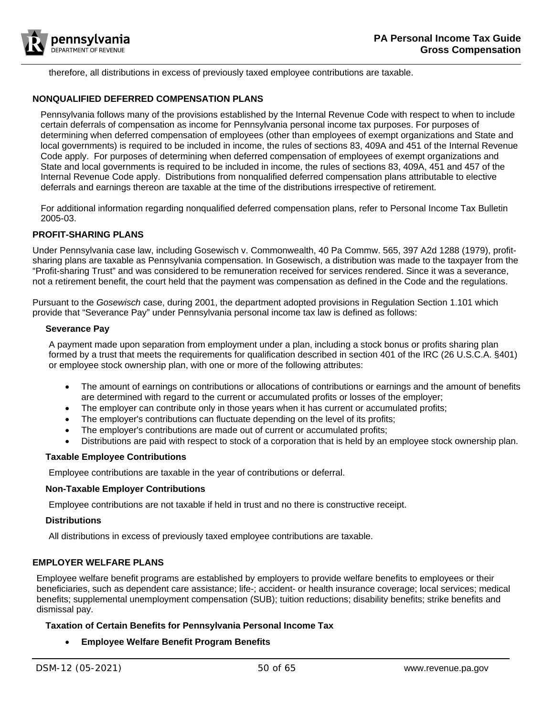

therefore, all distributions in excess of previously taxed employee contributions are taxable.

## <span id="page-49-0"></span>**NONQUALIFIED DEFERRED COMPENSATION PLANS**

Pennsylvania follows many of the provisions established by the Internal Revenue Code with respect to when to include certain deferrals of compensation as income for Pennsylvania personal income tax purposes. For purposes of determining when deferred compensation of employees (other than employees of exempt organizations and State and local governments) is required to be included in income, the rules of sections 83, 409A and 451 of the Internal Revenue Code apply. For purposes of determining when deferred compensation of employees of exempt organizations and State and local governments is required to be included in income, the rules of sections 83, 409A, 451 and 457 of the Internal Revenue Code apply. Distributions from nonqualified deferred compensation plans attributable to elective deferrals and earnings thereon are taxable at the time of the distributions irrespective of retirement.

For additional information regarding nonqualified deferred compensation plans, refer to Personal Income Tax Bulletin 2005-03.

# <span id="page-49-1"></span>**PROFIT-SHARING PLANS**

Under Pennsylvania case law, including Gosewisch v. Commonwealth, 40 Pa Commw. 565, 397 A2d 1288 (1979), profitsharing plans are taxable as Pennsylvania compensation. In Gosewisch, a distribution was made to the taxpayer from the "Profit-sharing Trust" and was considered to be remuneration received for services rendered. Since it was a severance, not a retirement benefit, the court held that the payment was compensation as defined in the Code and the regulations.

Pursuant to the *Gosewisch* case, during 2001, the department adopted provisions in Regulation Section 1.101 which provide that "Severance Pay" under Pennsylvania personal income tax law is defined as follows:

#### <span id="page-49-2"></span>**Severance Pay**

A payment made upon separation from employment under a plan, including a stock bonus or profits sharing plan formed by a trust that meets the requirements for qualification described in section 401 of the IRC (26 U.S.C.A. §401) or employee stock ownership plan, with one or more of the following attributes:

- The amount of earnings on contributions or allocations of contributions or earnings and the amount of benefits are determined with regard to the current or accumulated profits or losses of the employer;
- The employer can contribute only in those years when it has current or accumulated profits;
- The employer's contributions can fluctuate depending on the level of its profits;
- The employer's contributions are made out of current or accumulated profits;
- Distributions are paid with respect to stock of a corporation that is held by an employee stock ownership plan.

## <span id="page-49-3"></span>**Taxable Employee Contributions**

Employee contributions are taxable in the year of contributions or deferral.

## <span id="page-49-4"></span>**Non-Taxable Employer Contributions**

Employee contributions are not taxable if held in trust and no there is constructive receipt.

## <span id="page-49-5"></span>**Distributions**

All distributions in excess of previously taxed employee contributions are taxable.

# <span id="page-49-6"></span>**EMPLOYER WELFARE PLANS**

Employee welfare benefit programs are established by employers to provide welfare benefits to employees or their beneficiaries, such as dependent care assistance; life-; accident- or health insurance coverage; local services; medical benefits; supplemental unemployment compensation (SUB); tuition reductions; disability benefits; strike benefits and dismissal pay.

## <span id="page-49-7"></span>**Taxation of Certain Benefits for Pennsylvania Personal Income Tax**

## • **Employee Welfare Benefit Program Benefits**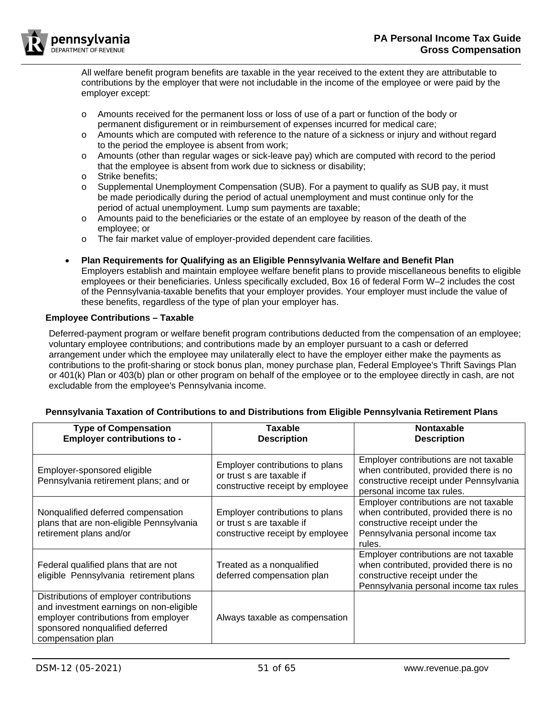

All welfare benefit program benefits are taxable in the year received to the extent they are attributable to contributions by the employer that were not includable in the income of the employee or were paid by the employer except:

- o Amounts received for the permanent loss or loss of use of a part or function of the body or permanent disfigurement or in reimbursement of expenses incurred for medical care;
- o Amounts which are computed with reference to the nature of a sickness or injury and without regard to the period the employee is absent from work;
- o Amounts (other than regular wages or sick-leave pay) which are computed with record to the period that the employee is absent from work due to sickness or disability;
- o Strike benefits;
- o Supplemental Unemployment Compensation (SUB). For a payment to qualify as SUB pay, it must be made periodically during the period of actual unemployment and must continue only for the period of actual unemployment. Lump sum payments are taxable;
- o Amounts paid to the beneficiaries or the estate of an employee by reason of the death of the employee; or
- o The fair market value of employer-provided dependent care facilities.
- **Plan Requirements for Qualifying as an Eligible Pennsylvania Welfare and Benefit Plan** Employers establish and maintain employee welfare benefit plans to provide miscellaneous benefits to eligible employees or their beneficiaries. Unless specifically excluded, Box 16 of federal Form W–2 includes the cost of the Pennsylvania-taxable benefits that your employer provides. Your employer must include the value of these benefits, regardless of the type of plan your employer has.

# <span id="page-50-0"></span>**Employee Contributions – Taxable**

Deferred-payment program or welfare benefit program contributions deducted from the compensation of an employee; voluntary employee contributions; and contributions made by an employer pursuant to a cash or deferred arrangement under which the employee may unilaterally elect to have the employer either make the payments as contributions to the profit-sharing or stock bonus plan, money purchase plan, Federal Employee's Thrift Savings Plan or 401(k) Plan or 403(b) plan or other program on behalf of the employee or to the employee directly in cash, are not excludable from the employee's Pennsylvania income.

| <b>Type of Compensation</b><br><b>Employer contributions to -</b>                                                                                                                  | Taxable<br><b>Description</b>                                                                    | <b>Nontaxable</b><br><b>Description</b>                                                                                                                          |
|------------------------------------------------------------------------------------------------------------------------------------------------------------------------------------|--------------------------------------------------------------------------------------------------|------------------------------------------------------------------------------------------------------------------------------------------------------------------|
| Employer-sponsored eligible<br>Pennsylvania retirement plans; and or                                                                                                               | Employer contributions to plans<br>or trust s are taxable if<br>constructive receipt by employee | Employer contributions are not taxable<br>when contributed, provided there is no<br>constructive receipt under Pennsylvania<br>personal income tax rules.        |
| Nonqualified deferred compensation<br>plans that are non-eligible Pennsylvania<br>retirement plans and/or                                                                          | Employer contributions to plans<br>or trust s are taxable if<br>constructive receipt by employee | Employer contributions are not taxable<br>when contributed, provided there is no<br>constructive receipt under the<br>Pennsylvania personal income tax<br>rules. |
| Federal qualified plans that are not<br>eligible Pennsylvania retirement plans                                                                                                     | Treated as a nonqualified<br>deferred compensation plan                                          | Employer contributions are not taxable<br>when contributed, provided there is no<br>constructive receipt under the<br>Pennsylvania personal income tax rules     |
| Distributions of employer contributions<br>and investment earnings on non-eligible<br>employer contributions from employer<br>sponsored nonqualified deferred<br>compensation plan | Always taxable as compensation                                                                   |                                                                                                                                                                  |

# <span id="page-50-1"></span>**Pennsylvania Taxation of Contributions to and Distributions from Eligible Pennsylvania Retirement Plans**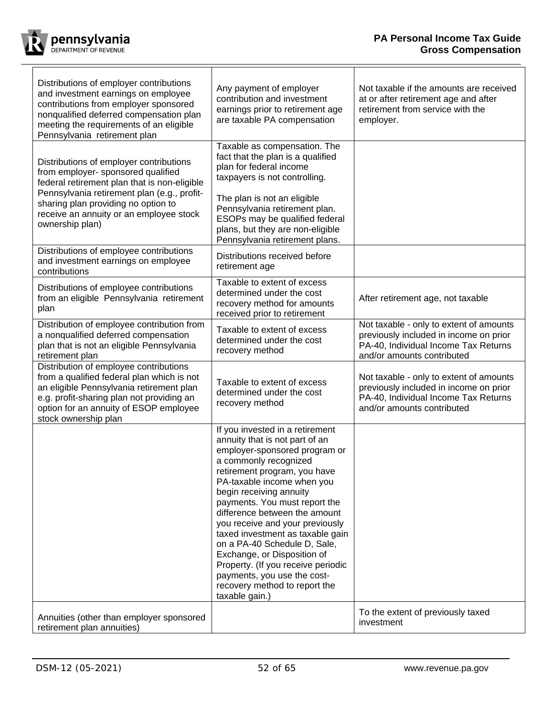

 $\Gamma$ 

| Distributions of employer contributions<br>and investment earnings on employee<br>contributions from employer sponsored<br>nonqualified deferred compensation plan<br>meeting the requirements of an eligible<br>Pennsylvania retirement plan                                     | Any payment of employer<br>contribution and investment<br>earnings prior to retirement age<br>are taxable PA compensation                                                                                                                                                                                                                                                                                                                                                                                                                            | Not taxable if the amounts are received<br>at or after retirement age and after<br>retirement from service with the<br>employer.                        |
|-----------------------------------------------------------------------------------------------------------------------------------------------------------------------------------------------------------------------------------------------------------------------------------|------------------------------------------------------------------------------------------------------------------------------------------------------------------------------------------------------------------------------------------------------------------------------------------------------------------------------------------------------------------------------------------------------------------------------------------------------------------------------------------------------------------------------------------------------|---------------------------------------------------------------------------------------------------------------------------------------------------------|
| Distributions of employer contributions<br>from employer- sponsored qualified<br>federal retirement plan that is non-eligible<br>Pennsylvania retirement plan (e.g., profit-<br>sharing plan providing no option to<br>receive an annuity or an employee stock<br>ownership plan) | Taxable as compensation. The<br>fact that the plan is a qualified<br>plan for federal income<br>taxpayers is not controlling.<br>The plan is not an eligible<br>Pennsylvania retirement plan.<br>ESOPs may be qualified federal<br>plans, but they are non-eligible<br>Pennsylvania retirement plans.                                                                                                                                                                                                                                                |                                                                                                                                                         |
| Distributions of employee contributions<br>and investment earnings on employee<br>contributions                                                                                                                                                                                   | Distributions received before<br>retirement age                                                                                                                                                                                                                                                                                                                                                                                                                                                                                                      |                                                                                                                                                         |
| Distributions of employee contributions<br>from an eligible Pennsylvania retirement<br>plan                                                                                                                                                                                       | Taxable to extent of excess<br>determined under the cost<br>recovery method for amounts<br>received prior to retirement                                                                                                                                                                                                                                                                                                                                                                                                                              | After retirement age, not taxable                                                                                                                       |
| Distribution of employee contribution from<br>a nonqualified deferred compensation<br>plan that is not an eligible Pennsylvania<br>retirement plan                                                                                                                                | Taxable to extent of excess<br>determined under the cost<br>recovery method                                                                                                                                                                                                                                                                                                                                                                                                                                                                          | Not taxable - only to extent of amounts<br>previously included in income on prior<br>PA-40, Individual Income Tax Returns<br>and/or amounts contributed |
| Distribution of employee contributions<br>from a qualified federal plan which is not<br>an eligible Pennsylvania retirement plan<br>e.g. profit-sharing plan not providing an<br>option for an annuity of ESOP employee<br>stock ownership plan                                   | Taxable to extent of excess<br>determined under the cost<br>recovery method                                                                                                                                                                                                                                                                                                                                                                                                                                                                          | Not taxable - only to extent of amounts<br>previously included in income on prior<br>PA-40, Individual Income Tax Returns<br>and/or amounts contributed |
|                                                                                                                                                                                                                                                                                   | If you invested in a retirement<br>annuity that is not part of an<br>employer-sponsored program or<br>a commonly recognized<br>retirement program, you have<br>PA-taxable income when you<br>begin receiving annuity<br>payments. You must report the<br>difference between the amount<br>you receive and your previously<br>taxed investment as taxable gain<br>on a PA-40 Schedule D, Sale,<br>Exchange, or Disposition of<br>Property. (If you receive periodic<br>payments, you use the cost-<br>recovery method to report the<br>taxable gain.) |                                                                                                                                                         |
| Annuities (other than employer sponsored<br>retirement plan annuities)                                                                                                                                                                                                            |                                                                                                                                                                                                                                                                                                                                                                                                                                                                                                                                                      | To the extent of previously taxed<br>investment                                                                                                         |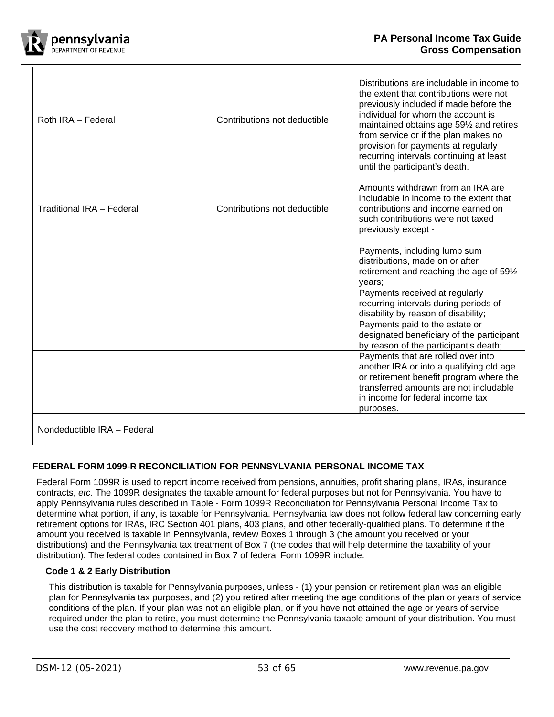

| Roth IRA - Federal          | Contributions not deductible | Distributions are includable in income to<br>the extent that contributions were not<br>previously included if made before the<br>individual for whom the account is<br>maintained obtains age 591/2 and retires<br>from service or if the plan makes no<br>provision for payments at regularly<br>recurring intervals continuing at least<br>until the participant's death. |
|-----------------------------|------------------------------|-----------------------------------------------------------------------------------------------------------------------------------------------------------------------------------------------------------------------------------------------------------------------------------------------------------------------------------------------------------------------------|
| Traditional IRA - Federal   | Contributions not deductible | Amounts withdrawn from an IRA are<br>includable in income to the extent that<br>contributions and income earned on<br>such contributions were not taxed<br>previously except -                                                                                                                                                                                              |
|                             |                              | Payments, including lump sum<br>distributions, made on or after<br>retirement and reaching the age of 591/2<br>years;                                                                                                                                                                                                                                                       |
|                             |                              | Payments received at regularly<br>recurring intervals during periods of<br>disability by reason of disability;                                                                                                                                                                                                                                                              |
|                             |                              | Payments paid to the estate or<br>designated beneficiary of the participant<br>by reason of the participant's death;                                                                                                                                                                                                                                                        |
|                             |                              | Payments that are rolled over into<br>another IRA or into a qualifying old age<br>or retirement benefit program where the<br>transferred amounts are not includable<br>in income for federal income tax<br>purposes.                                                                                                                                                        |
| Nondeductible IRA - Federal |                              |                                                                                                                                                                                                                                                                                                                                                                             |

# <span id="page-52-0"></span>**FEDERAL FORM 1099-R RECONCILIATION FOR PENNSYLVANIA PERSONAL INCOME TAX**

Federal Form 1099R is used to report income received from pensions, annuities, profit sharing plans, IRAs, insurance contracts, *etc.* The 1099R designates the taxable amount for federal purposes but not for Pennsylvania. You have to apply Pennsylvania rules described in Table - Form 1099R Reconciliation [for Pennsylvania Personal Income Tax](#page-54-0) to determine what portion, if any, is taxable for Pennsylvania. Pennsylvania law does not follow federal law concerning early retirement options for IRAs, IRC Section 401 plans, 403 plans, and other federally-qualified plans. To determine if the amount you received is taxable in Pennsylvania, review Boxes 1 through 3 (the amount you received or your distributions) and the Pennsylvania tax treatment of Box 7 (the codes that will help determine the taxability of your distribution). The federal codes contained in Box 7 of federal Form 1099R include:

# <span id="page-52-1"></span>**Code 1 & 2 Early Distribution**

This distribution is taxable for Pennsylvania purposes, unless - (1) your pension or retirement plan was an eligible plan for Pennsylvania tax purposes, and (2) you retired after meeting the age conditions of the plan or years of service conditions of the plan. If your plan was not an eligible plan, or if you have not attained the age or years of service required under the plan to retire, you must determine the Pennsylvania taxable amount of your distribution. You must use the cost recovery method to determine this amount.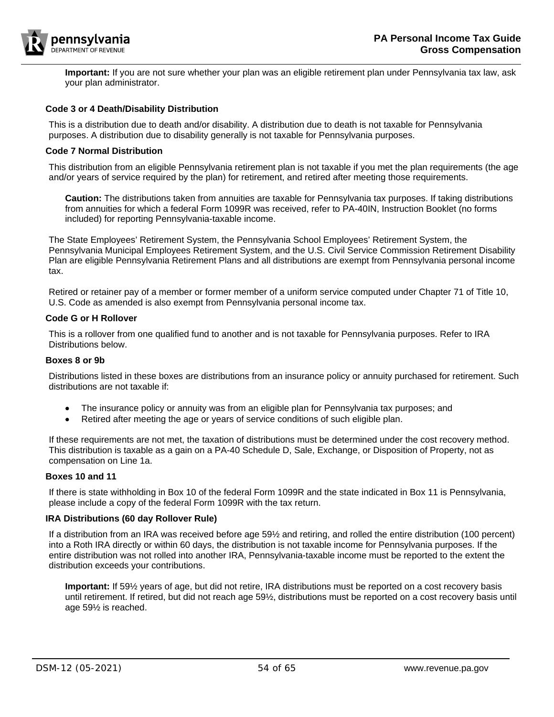

**Important:** If you are not sure whether your plan was an eligible retirement plan under Pennsylvania tax law, ask your plan administrator.

#### <span id="page-53-0"></span>**Code 3 or 4 Death/Disability Distribution**

This is a distribution due to death and/or disability. A distribution due to death is not taxable for Pennsylvania purposes. A distribution due to disability generally is not taxable for Pennsylvania purposes.

#### <span id="page-53-1"></span>**Code 7 Normal Distribution**

This distribution from an eligible Pennsylvania retirement plan is not taxable if you met the plan requirements (the age and/or years of service required by the plan) for retirement, and retired after meeting those requirements.

**Caution:** The distributions taken from annuities are taxable for Pennsylvania tax purposes. If taking distributions from annuities for which a federal Form 1099R was received, refer to PA-40IN, Instruction Booklet (no forms included) for reporting Pennsylvania-taxable income.

The State Employees' Retirement System, the Pennsylvania School Employees' Retirement System, the Pennsylvania Municipal Employees Retirement System, and the U.S. Civil Service Commission Retirement Disability Plan are eligible Pennsylvania Retirement Plans and all distributions are exempt from Pennsylvania personal income tax.

Retired or retainer pay of a member or former member of a uniform service computed under Chapter 71 of Title 10, U.S. Code as amended is also exempt from Pennsylvania personal income tax.

#### <span id="page-53-2"></span>**Code G or H Rollover**

This is a rollover from one qualified fund to another and is not taxable for Pennsylvania purposes. Refer to IRA Distributions below.

#### <span id="page-53-3"></span>**Boxes 8 or 9b**

Distributions listed in these boxes are distributions from an insurance policy or annuity purchased for retirement. Such distributions are not taxable if:

- The insurance policy or annuity was from an eligible plan for Pennsylvania tax purposes; and
- Retired after meeting the age or years of service conditions of such eligible plan.

If these requirements are not met, the taxation of distributions must be determined under the cost recovery method. This distribution is taxable as a gain on a PA-40 Schedule D, Sale, Exchange, or Disposition of Property, not as compensation on Line 1a.

#### <span id="page-53-4"></span>**Boxes 10 and 11**

If there is state withholding in Box 10 of the federal Form 1099R and the state indicated in Box 11 is Pennsylvania, please include a copy of the federal Form 1099R with the tax return.

#### <span id="page-53-5"></span>**IRA Distributions (60 day Rollover Rule)**

If a distribution from an IRA was received before age 59½ and retiring, and rolled the entire distribution (100 percent) into a Roth IRA directly or within 60 days, the distribution is not taxable income for Pennsylvania purposes. If the entire distribution was not rolled into another IRA, Pennsylvania-taxable income must be reported to the extent the distribution exceeds your contributions.

**Important:** If 59½ years of age, but did not retire, IRA distributions must be reported on a cost recovery basis until retirement. If retired, but did not reach age 59½, distributions must be reported on a cost recovery basis until age 59½ is reached.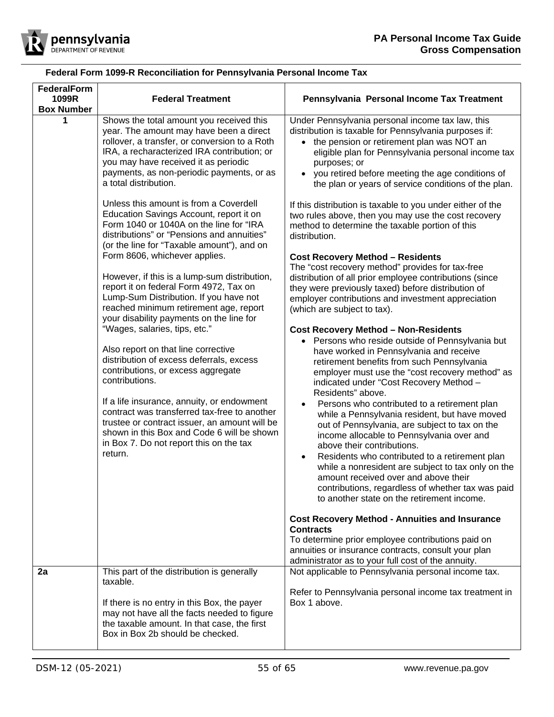

<span id="page-54-0"></span>

| <b>FederalForm</b><br>1099R<br><b>Box Number</b> | <b>Federal Treatment</b>                                                                                                                                                                                                                                                                                                                                                                                                                                                                                                                                                                                                                                                                                                                                                                                                                                                                                                                                                                                                                                                                                                                                                                                                | Pennsylvania Personal Income Tax Treatment                                                                                                                                                                                                                                                                                                                                                                                                                                                                                                                                                                                                                                                                                                                                                                                                                                                                                                                                                                                                                                                                                                                                                                                                                                                                                                                                                                                                                                                                                                                                                                                                                                                                                                      |
|--------------------------------------------------|-------------------------------------------------------------------------------------------------------------------------------------------------------------------------------------------------------------------------------------------------------------------------------------------------------------------------------------------------------------------------------------------------------------------------------------------------------------------------------------------------------------------------------------------------------------------------------------------------------------------------------------------------------------------------------------------------------------------------------------------------------------------------------------------------------------------------------------------------------------------------------------------------------------------------------------------------------------------------------------------------------------------------------------------------------------------------------------------------------------------------------------------------------------------------------------------------------------------------|-------------------------------------------------------------------------------------------------------------------------------------------------------------------------------------------------------------------------------------------------------------------------------------------------------------------------------------------------------------------------------------------------------------------------------------------------------------------------------------------------------------------------------------------------------------------------------------------------------------------------------------------------------------------------------------------------------------------------------------------------------------------------------------------------------------------------------------------------------------------------------------------------------------------------------------------------------------------------------------------------------------------------------------------------------------------------------------------------------------------------------------------------------------------------------------------------------------------------------------------------------------------------------------------------------------------------------------------------------------------------------------------------------------------------------------------------------------------------------------------------------------------------------------------------------------------------------------------------------------------------------------------------------------------------------------------------------------------------------------------------|
|                                                  | Shows the total amount you received this<br>year. The amount may have been a direct<br>rollover, a transfer, or conversion to a Roth<br>IRA, a recharacterized IRA contribution; or<br>you may have received it as periodic<br>payments, as non-periodic payments, or as<br>a total distribution.<br>Unless this amount is from a Coverdell<br>Education Savings Account, report it on<br>Form 1040 or 1040A on the line for "IRA<br>distributions" or "Pensions and annuities"<br>(or the line for "Taxable amount"), and on<br>Form 8606, whichever applies.<br>However, if this is a lump-sum distribution,<br>report it on federal Form 4972, Tax on<br>Lump-Sum Distribution. If you have not<br>reached minimum retirement age, report<br>your disability payments on the line for<br>"Wages, salaries, tips, etc."<br>Also report on that line corrective<br>distribution of excess deferrals, excess<br>contributions, or excess aggregate<br>contributions.<br>If a life insurance, annuity, or endowment<br>contract was transferred tax-free to another<br>trustee or contract issuer, an amount will be<br>shown in this Box and Code 6 will be shown<br>in Box 7. Do not report this on the tax<br>return. | Under Pennsylvania personal income tax law, this<br>distribution is taxable for Pennsylvania purposes if:<br>• the pension or retirement plan was NOT an<br>eligible plan for Pennsylvania personal income tax<br>purposes; or<br>• you retired before meeting the age conditions of<br>the plan or years of service conditions of the plan.<br>If this distribution is taxable to you under either of the<br>two rules above, then you may use the cost recovery<br>method to determine the taxable portion of this<br>distribution.<br><b>Cost Recovery Method - Residents</b><br>The "cost recovery method" provides for tax-free<br>distribution of all prior employee contributions (since<br>they were previously taxed) before distribution of<br>employer contributions and investment appreciation<br>(which are subject to tax).<br><b>Cost Recovery Method - Non-Residents</b><br>Persons who reside outside of Pennsylvania but<br>have worked in Pennsylvania and receive<br>retirement benefits from such Pennsylvania<br>employer must use the "cost recovery method" as<br>indicated under "Cost Recovery Method -<br>Residents" above.<br>Persons who contributed to a retirement plan<br>$\bullet$<br>while a Pennsylvania resident, but have moved<br>out of Pennsylvania, are subject to tax on the<br>income allocable to Pennsylvania over and<br>above their contributions.<br>Residents who contributed to a retirement plan<br>$\bullet$<br>while a nonresident are subject to tax only on the<br>amount received over and above their<br>contributions, regardless of whether tax was paid<br>to another state on the retirement income.<br><b>Cost Recovery Method - Annuities and Insurance</b><br><b>Contracts</b> |
|                                                  |                                                                                                                                                                                                                                                                                                                                                                                                                                                                                                                                                                                                                                                                                                                                                                                                                                                                                                                                                                                                                                                                                                                                                                                                                         | To determine prior employee contributions paid on<br>annuities or insurance contracts, consult your plan<br>administrator as to your full cost of the annuity.                                                                                                                                                                                                                                                                                                                                                                                                                                                                                                                                                                                                                                                                                                                                                                                                                                                                                                                                                                                                                                                                                                                                                                                                                                                                                                                                                                                                                                                                                                                                                                                  |
| 2a                                               | This part of the distribution is generally<br>taxable.<br>If there is no entry in this Box, the payer<br>may not have all the facts needed to figure<br>the taxable amount. In that case, the first<br>Box in Box 2b should be checked.                                                                                                                                                                                                                                                                                                                                                                                                                                                                                                                                                                                                                                                                                                                                                                                                                                                                                                                                                                                 | Not applicable to Pennsylvania personal income tax.<br>Refer to Pennsylvania personal income tax treatment in<br>Box 1 above.                                                                                                                                                                                                                                                                                                                                                                                                                                                                                                                                                                                                                                                                                                                                                                                                                                                                                                                                                                                                                                                                                                                                                                                                                                                                                                                                                                                                                                                                                                                                                                                                                   |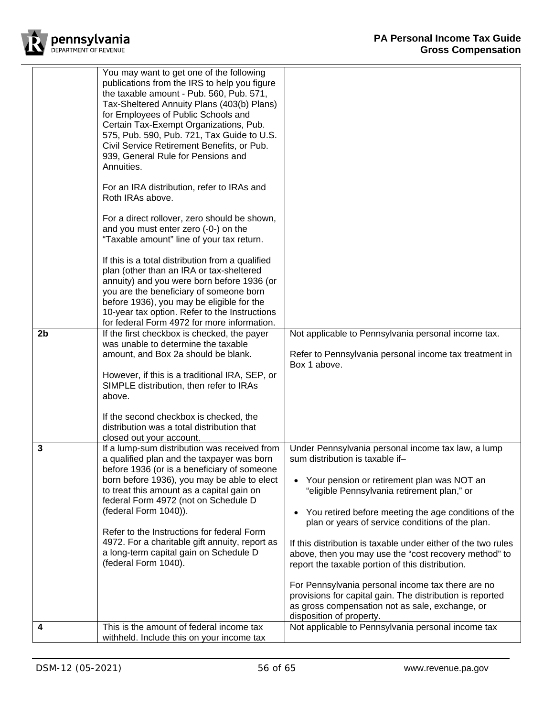

| You may want to get one of the following<br>publications from the IRS to help you figure<br>the taxable amount - Pub. 560, Pub. 571,<br>Tax-Sheltered Annuity Plans (403(b) Plans)<br>for Employees of Public Schools and<br>Certain Tax-Exempt Organizations, Pub.<br>575, Pub. 590, Pub. 721, Tax Guide to U.S.<br>Civil Service Retirement Benefits, or Pub.<br>939, General Rule for Pensions and<br>Annuities.<br>For an IRA distribution, refer to IRAs and<br>Roth IRAs above.                                                                                                                                                                                                                                                                                                                                                                                                                                                                                                                              |
|--------------------------------------------------------------------------------------------------------------------------------------------------------------------------------------------------------------------------------------------------------------------------------------------------------------------------------------------------------------------------------------------------------------------------------------------------------------------------------------------------------------------------------------------------------------------------------------------------------------------------------------------------------------------------------------------------------------------------------------------------------------------------------------------------------------------------------------------------------------------------------------------------------------------------------------------------------------------------------------------------------------------|
| For a direct rollover, zero should be shown,<br>and you must enter zero (-0-) on the<br>"Taxable amount" line of your tax return.<br>If this is a total distribution from a qualified<br>plan (other than an IRA or tax-sheltered<br>annuity) and you were born before 1936 (or<br>you are the beneficiary of someone born<br>before 1936), you may be eligible for the<br>10-year tax option. Refer to the Instructions<br>for federal Form 4972 for more information.<br>If the first checkbox is checked, the payer<br>Not applicable to Pennsylvania personal income tax.<br>2 <sub>b</sub><br>was unable to determine the taxable<br>amount, and Box 2a should be blank.<br>Refer to Pennsylvania personal income tax treatment in<br>Box 1 above.<br>However, if this is a traditional IRA, SEP, or<br>SIMPLE distribution, then refer to IRAs<br>above.<br>If the second checkbox is checked, the                                                                                                           |
| distribution was a total distribution that<br>closed out your account.                                                                                                                                                                                                                                                                                                                                                                                                                                                                                                                                                                                                                                                                                                                                                                                                                                                                                                                                             |
| 3<br>If a lump-sum distribution was received from<br>Under Pennsylvania personal income tax law, a lump<br>sum distribution is taxable if-<br>a qualified plan and the taxpayer was born<br>before 1936 (or is a beneficiary of someone<br>born before 1936), you may be able to elect<br>Your pension or retirement plan was NOT an<br>to treat this amount as a capital gain on<br>"eligible Pennsylvania retirement plan," or<br>federal Form 4972 (not on Schedule D<br>(federal Form 1040)).<br>You retired before meeting the age conditions of the<br>plan or years of service conditions of the plan.<br>Refer to the Instructions for federal Form<br>4972. For a charitable gift annuity, report as<br>If this distribution is taxable under either of the two rules<br>a long-term capital gain on Schedule D<br>above, then you may use the "cost recovery method" to<br>(federal Form 1040).<br>report the taxable portion of this distribution.<br>For Pennsylvania personal income tax there are no |
| provisions for capital gain. The distribution is reported<br>as gross compensation not as sale, exchange, or<br>disposition of property.<br>This is the amount of federal income tax<br>Not applicable to Pennsylvania personal income tax<br>4                                                                                                                                                                                                                                                                                                                                                                                                                                                                                                                                                                                                                                                                                                                                                                    |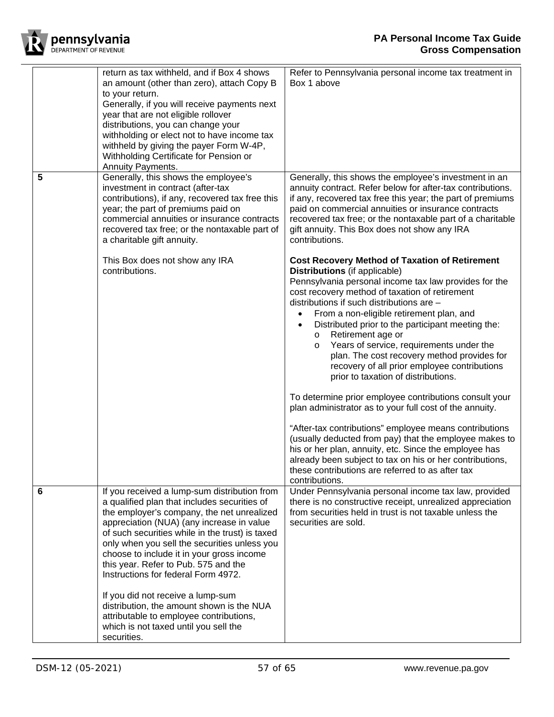

|   | return as tax withheld, and if Box 4 shows<br>an amount (other than zero), attach Copy B<br>to your return.<br>Generally, if you will receive payments next<br>year that are not eligible rollover<br>distributions, you can change your<br>withholding or elect not to have income tax<br>withheld by giving the payer Form W-4P,<br>Withholding Certificate for Pension or<br>Annuity Payments.                                                           | Refer to Pennsylvania personal income tax treatment in<br>Box 1 above                                                                                                                                                                                                                                                                                                                                                                                                                                                                                                                                                                                                                                                                                                                                                        |
|---|-------------------------------------------------------------------------------------------------------------------------------------------------------------------------------------------------------------------------------------------------------------------------------------------------------------------------------------------------------------------------------------------------------------------------------------------------------------|------------------------------------------------------------------------------------------------------------------------------------------------------------------------------------------------------------------------------------------------------------------------------------------------------------------------------------------------------------------------------------------------------------------------------------------------------------------------------------------------------------------------------------------------------------------------------------------------------------------------------------------------------------------------------------------------------------------------------------------------------------------------------------------------------------------------------|
| 5 | Generally, this shows the employee's<br>investment in contract (after-tax<br>contributions), if any, recovered tax free this<br>year; the part of premiums paid on<br>commercial annuities or insurance contracts<br>recovered tax free; or the nontaxable part of<br>a charitable gift annuity.<br>This Box does not show any IRA                                                                                                                          | Generally, this shows the employee's investment in an<br>annuity contract. Refer below for after-tax contributions.<br>if any, recovered tax free this year; the part of premiums<br>paid on commercial annuities or insurance contracts<br>recovered tax free; or the nontaxable part of a charitable<br>gift annuity. This Box does not show any IRA<br>contributions.<br><b>Cost Recovery Method of Taxation of Retirement</b>                                                                                                                                                                                                                                                                                                                                                                                            |
|   | contributions.                                                                                                                                                                                                                                                                                                                                                                                                                                              | <b>Distributions</b> (if applicable)<br>Pennsylvania personal income tax law provides for the<br>cost recovery method of taxation of retirement<br>distributions if such distributions are -<br>From a non-eligible retirement plan, and<br>Distributed prior to the participant meeting the:<br>Retirement age or<br>$\circ$<br>Years of service, requirements under the<br>$\circ$<br>plan. The cost recovery method provides for<br>recovery of all prior employee contributions<br>prior to taxation of distributions.<br>To determine prior employee contributions consult your<br>plan administrator as to your full cost of the annuity.<br>"After-tax contributions" employee means contributions<br>(usually deducted from pay) that the employee makes to<br>his or her plan, annuity, etc. Since the employee has |
|   |                                                                                                                                                                                                                                                                                                                                                                                                                                                             | already been subject to tax on his or her contributions,<br>these contributions are referred to as after tax<br>contributions.                                                                                                                                                                                                                                                                                                                                                                                                                                                                                                                                                                                                                                                                                               |
| 6 | If you received a lump-sum distribution from<br>a qualified plan that includes securities of<br>the employer's company, the net unrealized<br>appreciation (NUA) (any increase in value<br>of such securities while in the trust) is taxed<br>only when you sell the securities unless you<br>choose to include it in your gross income<br>this year. Refer to Pub. 575 and the<br>Instructions for federal Form 4972.<br>If you did not receive a lump-sum | Under Pennsylvania personal income tax law, provided<br>there is no constructive receipt, unrealized appreciation<br>from securities held in trust is not taxable unless the<br>securities are sold.                                                                                                                                                                                                                                                                                                                                                                                                                                                                                                                                                                                                                         |
|   | distribution, the amount shown is the NUA<br>attributable to employee contributions,<br>which is not taxed until you sell the<br>securities.                                                                                                                                                                                                                                                                                                                |                                                                                                                                                                                                                                                                                                                                                                                                                                                                                                                                                                                                                                                                                                                                                                                                                              |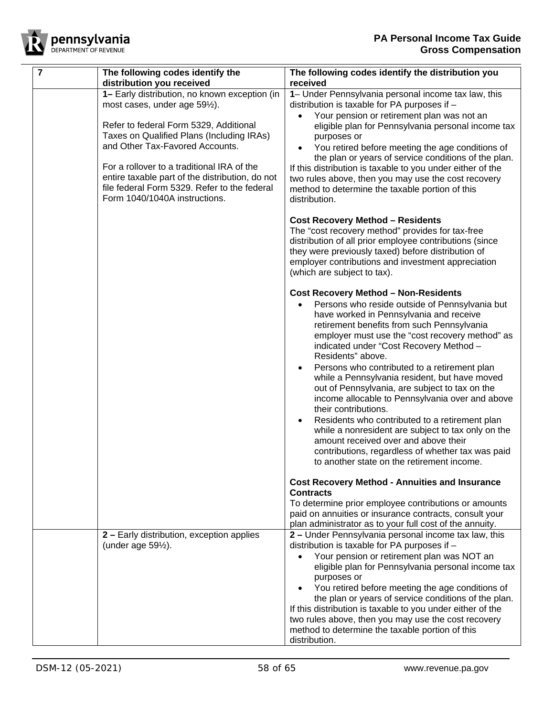

| $\overline{7}$ | The following codes identify the                                                                                                                                                                                                                                                                                                                                                           | The following codes identify the distribution you                                                                                                                                                                                                                                                                                                                                                                                                                                                                                                                                                                                                                                                                                                                                          |
|----------------|--------------------------------------------------------------------------------------------------------------------------------------------------------------------------------------------------------------------------------------------------------------------------------------------------------------------------------------------------------------------------------------------|--------------------------------------------------------------------------------------------------------------------------------------------------------------------------------------------------------------------------------------------------------------------------------------------------------------------------------------------------------------------------------------------------------------------------------------------------------------------------------------------------------------------------------------------------------------------------------------------------------------------------------------------------------------------------------------------------------------------------------------------------------------------------------------------|
|                | distribution you received                                                                                                                                                                                                                                                                                                                                                                  | received                                                                                                                                                                                                                                                                                                                                                                                                                                                                                                                                                                                                                                                                                                                                                                                   |
|                | 1- Early distribution, no known exception (in<br>most cases, under age 591/2).<br>Refer to federal Form 5329, Additional<br>Taxes on Qualified Plans (Including IRAs)<br>and Other Tax-Favored Accounts.<br>For a rollover to a traditional IRA of the<br>entire taxable part of the distribution, do not<br>file federal Form 5329. Refer to the federal<br>Form 1040/1040A instructions. | 1- Under Pennsylvania personal income tax law, this<br>distribution is taxable for PA purposes if -<br>Your pension or retirement plan was not an<br>eligible plan for Pennsylvania personal income tax<br>purposes or<br>You retired before meeting the age conditions of<br>the plan or years of service conditions of the plan.<br>If this distribution is taxable to you under either of the<br>two rules above, then you may use the cost recovery<br>method to determine the taxable portion of this<br>distribution.                                                                                                                                                                                                                                                                |
|                |                                                                                                                                                                                                                                                                                                                                                                                            | <b>Cost Recovery Method - Residents</b><br>The "cost recovery method" provides for tax-free<br>distribution of all prior employee contributions (since<br>they were previously taxed) before distribution of<br>employer contributions and investment appreciation<br>(which are subject to tax).                                                                                                                                                                                                                                                                                                                                                                                                                                                                                          |
|                |                                                                                                                                                                                                                                                                                                                                                                                            | <b>Cost Recovery Method - Non-Residents</b><br>Persons who reside outside of Pennsylvania but<br>have worked in Pennsylvania and receive<br>retirement benefits from such Pennsylvania<br>employer must use the "cost recovery method" as<br>indicated under "Cost Recovery Method -<br>Residents" above.<br>Persons who contributed to a retirement plan<br>while a Pennsylvania resident, but have moved<br>out of Pennsylvania, are subject to tax on the<br>income allocable to Pennsylvania over and above<br>their contributions.<br>Residents who contributed to a retirement plan<br>while a nonresident are subject to tax only on the<br>amount received over and above their<br>contributions, regardless of whether tax was paid<br>to another state on the retirement income. |
|                |                                                                                                                                                                                                                                                                                                                                                                                            | <b>Cost Recovery Method - Annuities and Insurance</b><br><b>Contracts</b><br>To determine prior employee contributions or amounts<br>paid on annuities or insurance contracts, consult your<br>plan administrator as to your full cost of the annuity.                                                                                                                                                                                                                                                                                                                                                                                                                                                                                                                                     |
|                | 2 - Early distribution, exception applies<br>(under age $59\frac{1}{2}$ ).                                                                                                                                                                                                                                                                                                                 | 2 - Under Pennsylvania personal income tax law, this<br>distribution is taxable for PA purposes if -<br>Your pension or retirement plan was NOT an<br>eligible plan for Pennsylvania personal income tax<br>purposes or<br>You retired before meeting the age conditions of<br>the plan or years of service conditions of the plan.<br>If this distribution is taxable to you under either of the<br>two rules above, then you may use the cost recovery<br>method to determine the taxable portion of this<br>distribution.                                                                                                                                                                                                                                                               |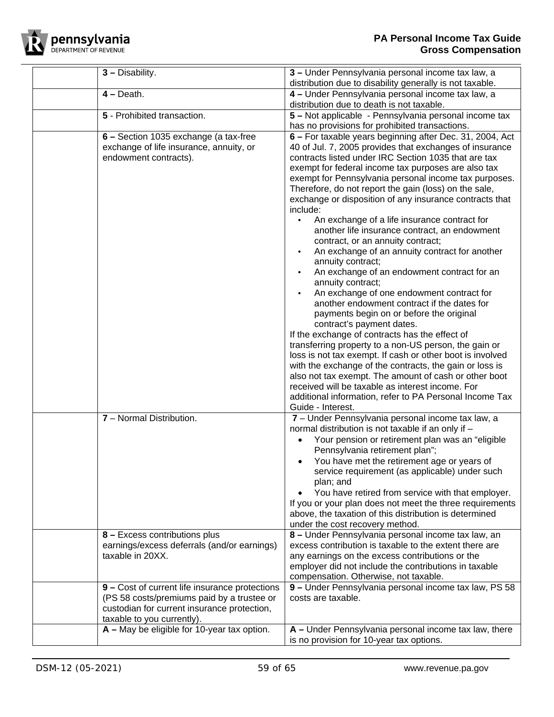

| $3 -$ Disability.                                                                                                                                                         | 3 – Under Pennsylvania personal income tax law, a<br>distribution due to disability generally is not taxable.                                                                                                                                                                                                                                                                                                                                                                                                                                                                                                                                                                                                                                                                                                                                                                                                                                                                                      |
|---------------------------------------------------------------------------------------------------------------------------------------------------------------------------|----------------------------------------------------------------------------------------------------------------------------------------------------------------------------------------------------------------------------------------------------------------------------------------------------------------------------------------------------------------------------------------------------------------------------------------------------------------------------------------------------------------------------------------------------------------------------------------------------------------------------------------------------------------------------------------------------------------------------------------------------------------------------------------------------------------------------------------------------------------------------------------------------------------------------------------------------------------------------------------------------|
| $4 - Death.$                                                                                                                                                              | 4 – Under Pennsylvania personal income tax law, a<br>distribution due to death is not taxable.                                                                                                                                                                                                                                                                                                                                                                                                                                                                                                                                                                                                                                                                                                                                                                                                                                                                                                     |
| 5 - Prohibited transaction.                                                                                                                                               | 5 – Not applicable - Pennsylvania personal income tax                                                                                                                                                                                                                                                                                                                                                                                                                                                                                                                                                                                                                                                                                                                                                                                                                                                                                                                                              |
| 6 – Section 1035 exchange (a tax-free<br>exchange of life insurance, annuity, or<br>endowment contracts).                                                                 | has no provisions for prohibited transactions.<br>6 – For taxable years beginning after Dec. 31, 2004, Act<br>40 of Jul. 7, 2005 provides that exchanges of insurance<br>contracts listed under IRC Section 1035 that are tax<br>exempt for federal income tax purposes are also tax<br>exempt for Pennsylvania personal income tax purposes.<br>Therefore, do not report the gain (loss) on the sale,<br>exchange or disposition of any insurance contracts that<br>include:<br>An exchange of a life insurance contract for<br>$\bullet$<br>another life insurance contract, an endowment<br>contract, or an annuity contract;<br>An exchange of an annuity contract for another<br>annuity contract;<br>An exchange of an endowment contract for an<br>annuity contract;<br>An exchange of one endowment contract for<br>another endowment contract if the dates for<br>payments begin on or before the original<br>contract's payment dates.<br>If the exchange of contracts has the effect of |
|                                                                                                                                                                           | transferring property to a non-US person, the gain or<br>loss is not tax exempt. If cash or other boot is involved<br>with the exchange of the contracts, the gain or loss is<br>also not tax exempt. The amount of cash or other boot<br>received will be taxable as interest income. For<br>additional information, refer to PA Personal Income Tax<br>Guide - Interest.                                                                                                                                                                                                                                                                                                                                                                                                                                                                                                                                                                                                                         |
| 7 - Normal Distribution.                                                                                                                                                  | 7 - Under Pennsylvania personal income tax law, a<br>normal distribution is not taxable if an only if -<br>Your pension or retirement plan was an "eligible<br>Pennsylvania retirement plan";<br>You have met the retirement age or years of<br>service requirement (as applicable) under such<br>plan; and<br>You have retired from service with that employer.<br>If you or your plan does not meet the three requirements<br>above, the taxation of this distribution is determined<br>under the cost recovery method.                                                                                                                                                                                                                                                                                                                                                                                                                                                                          |
| 8 - Excess contributions plus<br>earnings/excess deferrals (and/or earnings)<br>taxable in 20XX.                                                                          | 8 - Under Pennsylvania personal income tax law, an<br>excess contribution is taxable to the extent there are<br>any earnings on the excess contributions or the<br>employer did not include the contributions in taxable<br>compensation. Otherwise, not taxable.                                                                                                                                                                                                                                                                                                                                                                                                                                                                                                                                                                                                                                                                                                                                  |
| 9 – Cost of current life insurance protections<br>(PS 58 costs/premiums paid by a trustee or<br>custodian for current insurance protection,<br>taxable to you currently). | 9 - Under Pennsylvania personal income tax law, PS 58<br>costs are taxable.                                                                                                                                                                                                                                                                                                                                                                                                                                                                                                                                                                                                                                                                                                                                                                                                                                                                                                                        |
| A - May be eligible for 10-year tax option.                                                                                                                               | A - Under Pennsylvania personal income tax law, there<br>is no provision for 10-year tax options.                                                                                                                                                                                                                                                                                                                                                                                                                                                                                                                                                                                                                                                                                                                                                                                                                                                                                                  |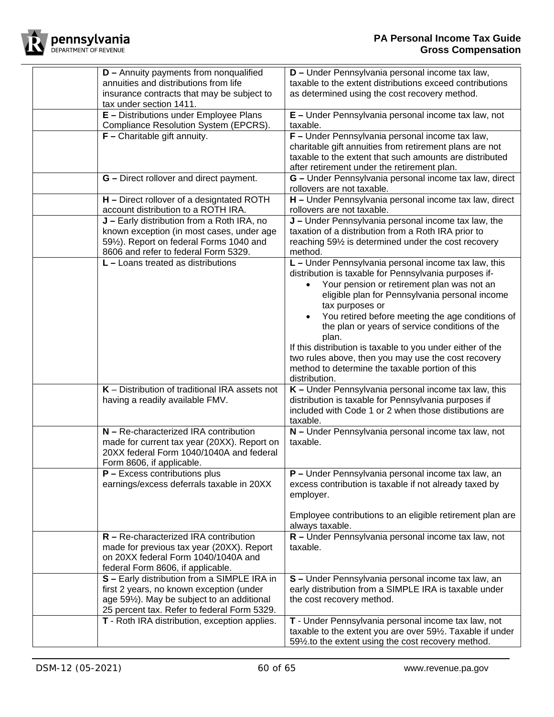

| <b>D</b> - Annuity payments from nonqualified<br>annuities and distributions from life<br>insurance contracts that may be subject to<br>tax under section 1411.                                    | D - Under Pennsylvania personal income tax law,<br>taxable to the extent distributions exceed contributions<br>as determined using the cost recovery method.                                                                                                                                                                                                                                                                                                                                                                             |
|----------------------------------------------------------------------------------------------------------------------------------------------------------------------------------------------------|------------------------------------------------------------------------------------------------------------------------------------------------------------------------------------------------------------------------------------------------------------------------------------------------------------------------------------------------------------------------------------------------------------------------------------------------------------------------------------------------------------------------------------------|
| E - Distributions under Employee Plans<br>Compliance Resolution System (EPCRS).                                                                                                                    | E - Under Pennsylvania personal income tax law, not<br>taxable.                                                                                                                                                                                                                                                                                                                                                                                                                                                                          |
| $F$ – Charitable gift annuity.                                                                                                                                                                     | F - Under Pennsylvania personal income tax law,<br>charitable gift annuities from retirement plans are not<br>taxable to the extent that such amounts are distributed<br>after retirement under the retirement plan.                                                                                                                                                                                                                                                                                                                     |
| G - Direct rollover and direct payment.                                                                                                                                                            | G - Under Pennsylvania personal income tax law, direct<br>rollovers are not taxable.                                                                                                                                                                                                                                                                                                                                                                                                                                                     |
| H - Direct rollover of a designtated ROTH<br>account distribution to a ROTH IRA.                                                                                                                   | H - Under Pennsylvania personal income tax law, direct<br>rollovers are not taxable.                                                                                                                                                                                                                                                                                                                                                                                                                                                     |
| J - Early distribution from a Roth IRA, no<br>known exception (in most cases, under age<br>591/2). Report on federal Forms 1040 and<br>8606 and refer to federal Form 5329.                        | J - Under Pennsylvania personal income tax law, the<br>taxation of a distribution from a Roth IRA prior to<br>reaching 591/2 is determined under the cost recovery<br>method.                                                                                                                                                                                                                                                                                                                                                            |
| $L$ – Loans treated as distributions                                                                                                                                                               | L - Under Pennsylvania personal income tax law, this<br>distribution is taxable for Pennsylvania purposes if-<br>Your pension or retirement plan was not an<br>eligible plan for Pennsylvania personal income<br>tax purposes or<br>You retired before meeting the age conditions of<br>the plan or years of service conditions of the<br>plan.<br>If this distribution is taxable to you under either of the<br>two rules above, then you may use the cost recovery<br>method to determine the taxable portion of this<br>distribution. |
| K - Distribution of traditional IRA assets not<br>having a readily available FMV.                                                                                                                  | K - Under Pennsylvania personal income tax law, this<br>distribution is taxable for Pennsylvania purposes if<br>included with Code 1 or 2 when those distibutions are<br>taxable.                                                                                                                                                                                                                                                                                                                                                        |
| N - Re-characterized IRA contribution<br>made for current tax year (20XX). Report on<br>20XX federal Form 1040/1040A and federal<br>Form 8606, if applicable.                                      | N - Under Pennsylvania personal income tax law, not<br>taxable.                                                                                                                                                                                                                                                                                                                                                                                                                                                                          |
| $P$ – Excess contributions plus<br>earnings/excess deferrals taxable in 20XX                                                                                                                       | <b>P</b> – Under Pennsylvania personal income tax law, an<br>excess contribution is taxable if not already taxed by<br>employer.<br>Employee contributions to an eligible retirement plan are<br>always taxable.                                                                                                                                                                                                                                                                                                                         |
| $R - Re$ -characterized IRA contribution<br>made for previous tax year (20XX). Report<br>on 20XX federal Form 1040/1040A and<br>federal Form 8606, if applicable.                                  | R - Under Pennsylvania personal income tax law, not<br>taxable.                                                                                                                                                                                                                                                                                                                                                                                                                                                                          |
| S - Early distribution from a SIMPLE IRA in<br>first 2 years, no known exception (under<br>age 591/ <sub>2</sub> ). May be subject to an additional<br>25 percent tax. Refer to federal Form 5329. | S - Under Pennsylvania personal income tax law, an<br>early distribution from a SIMPLE IRA is taxable under<br>the cost recovery method.                                                                                                                                                                                                                                                                                                                                                                                                 |
| T - Roth IRA distribution, exception applies.                                                                                                                                                      | T - Under Pennsylvania personal income tax law, not<br>taxable to the extent you are over 591/2. Taxable if under<br>591/2.to the extent using the cost recovery method.                                                                                                                                                                                                                                                                                                                                                                 |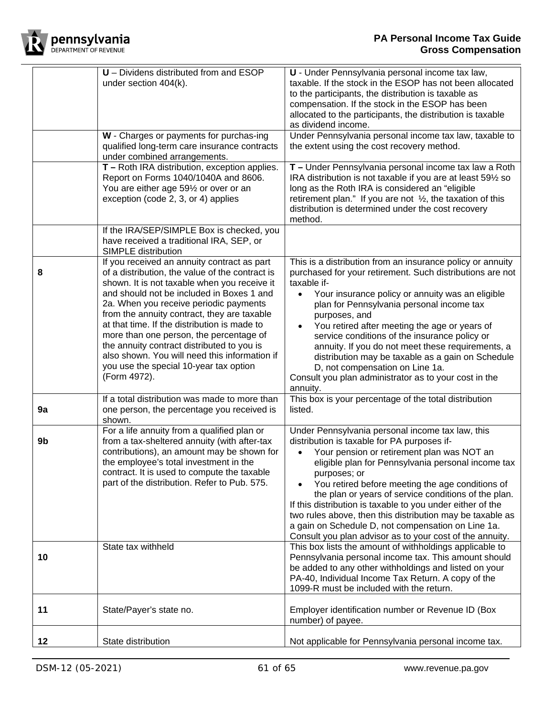

|    | U - Dividens distributed from and ESOP<br>under section 404(k).<br>W - Charges or payments for purchas-ing                                                                                                                                                                                                                                                                                                                                                                                                                               | U - Under Pennsylvania personal income tax law,<br>taxable. If the stock in the ESOP has not been allocated<br>to the participants, the distribution is taxable as<br>compensation. If the stock in the ESOP has been<br>allocated to the participants, the distribution is taxable<br>as dividend income.<br>Under Pennsylvania personal income tax law, taxable to                                                                                                                                                                                                                      |
|----|------------------------------------------------------------------------------------------------------------------------------------------------------------------------------------------------------------------------------------------------------------------------------------------------------------------------------------------------------------------------------------------------------------------------------------------------------------------------------------------------------------------------------------------|-------------------------------------------------------------------------------------------------------------------------------------------------------------------------------------------------------------------------------------------------------------------------------------------------------------------------------------------------------------------------------------------------------------------------------------------------------------------------------------------------------------------------------------------------------------------------------------------|
|    | qualified long-term care insurance contracts<br>under combined arrangements.                                                                                                                                                                                                                                                                                                                                                                                                                                                             | the extent using the cost recovery method.                                                                                                                                                                                                                                                                                                                                                                                                                                                                                                                                                |
|    | T - Roth IRA distribution, exception applies.<br>Report on Forms 1040/1040A and 8606.<br>You are either age 591/2 or over or an<br>exception (code 2, 3, or 4) applies                                                                                                                                                                                                                                                                                                                                                                   | T - Under Pennsylvania personal income tax law a Roth<br>IRA distribution is not taxable if you are at least 591/2 so<br>long as the Roth IRA is considered an "eligible"<br>retirement plan." If you are not $\frac{1}{2}$ , the taxation of this<br>distribution is determined under the cost recovery<br>method.                                                                                                                                                                                                                                                                       |
|    | If the IRA/SEP/SIMPLE Box is checked, you<br>have received a traditional IRA, SEP, or<br>SIMPLE distribution                                                                                                                                                                                                                                                                                                                                                                                                                             |                                                                                                                                                                                                                                                                                                                                                                                                                                                                                                                                                                                           |
| 8  | If you received an annuity contract as part<br>of a distribution, the value of the contract is<br>shown. It is not taxable when you receive it<br>and should not be included in Boxes 1 and<br>2a. When you receive periodic payments<br>from the annuity contract, they are taxable<br>at that time. If the distribution is made to<br>more than one person, the percentage of<br>the annuity contract distributed to you is<br>also shown. You will need this information if<br>you use the special 10-year tax option<br>(Form 4972). | This is a distribution from an insurance policy or annuity<br>purchased for your retirement. Such distributions are not<br>taxable if-<br>Your insurance policy or annuity was an eligible<br>$\bullet$<br>plan for Pennsylvania personal income tax<br>purposes, and<br>You retired after meeting the age or years of<br>service conditions of the insurance policy or<br>annuity. If you do not meet these requirements, a<br>distribution may be taxable as a gain on Schedule<br>D, not compensation on Line 1a.<br>Consult you plan administrator as to your cost in the<br>annuity. |
| 9a | If a total distribution was made to more than<br>one person, the percentage you received is<br>shown.                                                                                                                                                                                                                                                                                                                                                                                                                                    | This box is your percentage of the total distribution<br>listed.                                                                                                                                                                                                                                                                                                                                                                                                                                                                                                                          |
| 9b | For a life annuity from a qualified plan or<br>from a tax-sheltered annuity (with after-tax<br>contributions), an amount may be shown for<br>the employee's total investment in the<br>contract. It is used to compute the taxable<br>part of the distribution. Refer to Pub. 575.                                                                                                                                                                                                                                                       | Under Pennsylvania personal income tax law, this<br>distribution is taxable for PA purposes if-<br>Your pension or retirement plan was NOT an<br>eligible plan for Pennsylvania personal income tax<br>purposes; or<br>You retired before meeting the age conditions of<br>the plan or years of service conditions of the plan.<br>If this distribution is taxable to you under either of the<br>two rules above, then this distribution may be taxable as<br>a gain on Schedule D, not compensation on Line 1a.<br>Consult you plan advisor as to your cost of the annuity.              |
| 10 | State tax withheld                                                                                                                                                                                                                                                                                                                                                                                                                                                                                                                       | This box lists the amount of withholdings applicable to<br>Pennsylvania personal income tax. This amount should<br>be added to any other withholdings and listed on your<br>PA-40, Individual Income Tax Return. A copy of the<br>1099-R must be included with the return.                                                                                                                                                                                                                                                                                                                |
| 11 | State/Payer's state no.                                                                                                                                                                                                                                                                                                                                                                                                                                                                                                                  | Employer identification number or Revenue ID (Box<br>number) of payee.                                                                                                                                                                                                                                                                                                                                                                                                                                                                                                                    |
| 12 | State distribution                                                                                                                                                                                                                                                                                                                                                                                                                                                                                                                       | Not applicable for Pennsylvania personal income tax.                                                                                                                                                                                                                                                                                                                                                                                                                                                                                                                                      |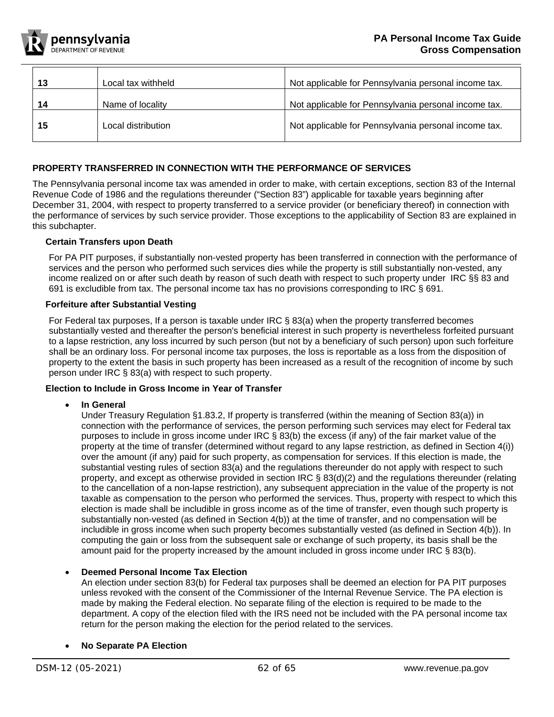

|    | Local tax withheld | Not applicable for Pennsylvania personal income tax. |
|----|--------------------|------------------------------------------------------|
| 14 | Name of locality   | Not applicable for Pennsylvania personal income tax. |
| 15 | Local distribution | Not applicable for Pennsylvania personal income tax. |
|    |                    |                                                      |

# <span id="page-61-0"></span>**PROPERTY TRANSFERRED IN CONNECTION WITH THE PERFORMANCE OF SERVICES**

The Pennsylvania personal income tax was amended in order to make, with certain exceptions, section 83 of the Internal Revenue Code of 1986 and the regulations thereunder ("Section 83") applicable for taxable years beginning after December 31, 2004, with respect to property transferred to a service provider (or beneficiary thereof) in connection with the performance of services by such service provider. Those exceptions to the applicability of Section 83 are explained in this subchapter.

## <span id="page-61-1"></span>**Certain Transfers upon Death**

For PA PIT purposes, if substantially non-vested property has been transferred in connection with the performance of services and the person who performed such services dies while the property is still substantially non-vested, any income realized on or after such death by reason of such death with respect to such property under IRC §§ 83 and 691 is excludible from tax. The personal income tax has no provisions corresponding to IRC § 691.

# <span id="page-61-2"></span>**Forfeiture after Substantial Vesting**

For Federal tax purposes, If a person is taxable under IRC § 83(a) when the property transferred becomes substantially vested and thereafter the person's beneficial interest in such property is nevertheless forfeited pursuant to a lapse restriction, any loss incurred by such person (but not by a beneficiary of such person) upon such forfeiture shall be an ordinary loss. For personal income tax purposes, the loss is reportable as a loss from the disposition of property to the extent the basis in such property has been increased as a result of the recognition of income by such person under IRC § 83(a) with respect to such property.

# <span id="page-61-3"></span>**Election to Include in Gross Income in Year of Transfer**

• **In General**

Under Treasury Regulation §1.83.2, If property is transferred (within the meaning of Section 83(a)) in connection with the performance of services, the person performing such services may elect for Federal tax purposes to include in gross income under IRC § 83(b) the excess (if any) of the fair market value of the property at the time of transfer (determined without regard to any lapse restriction, as defined in Section 4(i)) over the amount (if any) paid for such property, as compensation for services. If this election is made, the substantial vesting rules of section 83(a) and the regulations thereunder do not apply with respect to such property, and except as otherwise provided in section IRC § 83(d)(2) and the regulations thereunder (relating to the cancellation of a non-lapse restriction), any subsequent appreciation in the value of the property is not taxable as compensation to the person who performed the services. Thus, property with respect to which this election is made shall be includible in gross income as of the time of transfer, even though such property is substantially non-vested (as defined in Section 4(b)) at the time of transfer, and no compensation will be includible in gross income when such property becomes substantially vested (as defined in Section 4(b)). In computing the gain or loss from the subsequent sale or exchange of such property, its basis shall be the amount paid for the property increased by the amount included in gross income under IRC § 83(b).

## • **Deemed Personal Income Tax Election**

An election under section 83(b) for Federal tax purposes shall be deemed an election for PA PIT purposes unless revoked with the consent of the Commissioner of the Internal Revenue Service. The PA election is made by making the Federal election. No separate filing of the election is required to be made to the department. A copy of the election filed with the IRS need not be included with the PA personal income tax return for the person making the election for the period related to the services.

## • **No Separate PA Election**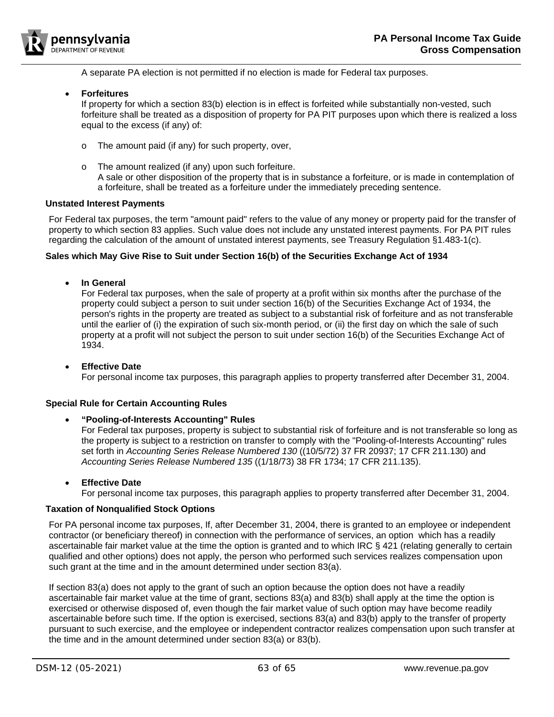

A separate PA election is not permitted if no election is made for Federal tax purposes.

• **Forfeitures**

If property for which a section 83(b) election is in effect is forfeited while substantially non-vested, such forfeiture shall be treated as a disposition of property for PA PIT purposes upon which there is realized a loss equal to the excess (if any) of:

- o The amount paid (if any) for such property, over,
- o The amount realized (if any) upon such forfeiture. A sale or other disposition of the property that is in substance a forfeiture, or is made in contemplation of a forfeiture, shall be treated as a forfeiture under the immediately preceding sentence.

## <span id="page-62-0"></span>**Unstated Interest Payments**

For Federal tax purposes, the term "amount paid" refers to the value of any money or property paid for the transfer of property to which section 83 applies. Such value does not include any unstated interest payments. For PA PIT rules regarding the calculation of the amount of unstated interest payments, see Treasury Regulation §1.483-1(c).

#### <span id="page-62-1"></span>**Sales which May Give Rise to Suit under Section 16(b) of the Securities Exchange Act of 1934**

• **In General**

For Federal tax purposes, when the sale of property at a profit within six months after the purchase of the property could subject a person to suit under section 16(b) of the Securities Exchange Act of 1934, the person's rights in the property are treated as subject to a substantial risk of forfeiture and as not transferable until the earlier of (i) the expiration of such six-month period, or (ii) the first day on which the sale of such property at a profit will not subject the person to suit under section 16(b) of the Securities Exchange Act of 1934.

#### • **Effective Date** For personal income tax purposes, this paragraph applies to property transferred after December 31, 2004.

## <span id="page-62-2"></span>**Special Rule for Certain Accounting Rules**

## • **"Pooling-of-Interests Accounting" Rules**

For Federal tax purposes, property is subject to substantial risk of forfeiture and is not transferable so long as the property is subject to a restriction on transfer to comply with the "Pooling-of-Interests Accounting" rules set forth in *Accounting Series Release Numbered 130* ((10/5/72) 37 FR 20937; 17 CFR 211.130) and *Accounting Series Release Numbered 135* ((1/18/73) 38 FR 1734; 17 CFR 211.135).

• **Effective Date**

For personal income tax purposes, this paragraph applies to property transferred after December 31, 2004.

#### <span id="page-62-3"></span>**Taxation of Nonqualified Stock Options**

For PA personal income tax purposes, If, after December 31, 2004, there is granted to an employee or independent contractor (or beneficiary thereof) in connection with the performance of services, an option which has a readily ascertainable fair market value at the time the option is granted and to which IRC § 421 (relating generally to certain qualified and other options) does not apply, the person who performed such services realizes compensation upon such grant at the time and in the amount determined under section 83(a).

If section 83(a) does not apply to the grant of such an option because the option does not have a readily ascertainable fair market value at the time of grant, sections 83(a) and 83(b) shall apply at the time the option is exercised or otherwise disposed of, even though the fair market value of such option may have become readily ascertainable before such time. If the option is exercised, sections 83(a) and 83(b) apply to the transfer of property pursuant to such exercise, and the employee or independent contractor realizes compensation upon such transfer at the time and in the amount determined under section 83(a) or 83(b).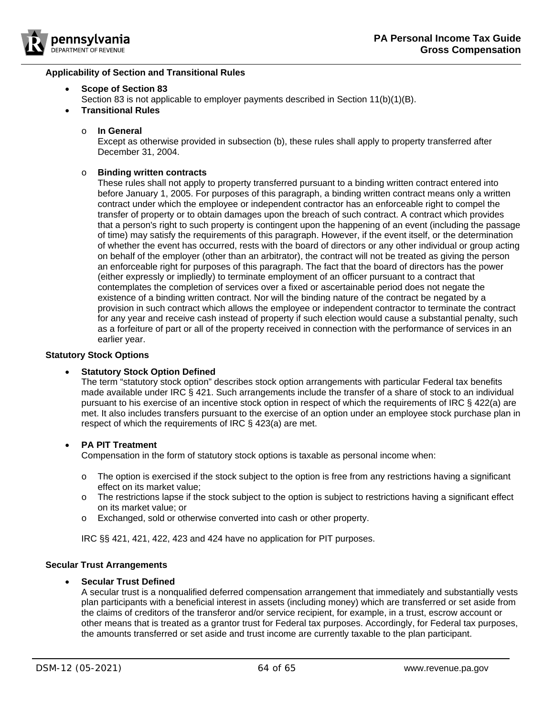

## <span id="page-63-0"></span>**Applicability of Section and Transitional Rules**

## • **Scope of Section 83**

- Section 83 is not applicable to employer payments described in Section 11(b)(1)(B).
- **Transitional Rules**

#### o **In General**

Except as otherwise provided in subsection (b), these rules shall apply to property transferred after December 31, 2004.

#### o **Binding written contracts**

These rules shall not apply to property transferred pursuant to a binding written contract entered into before January 1, 2005. For purposes of this paragraph, a binding written contract means only a written contract under which the employee or independent contractor has an enforceable right to compel the transfer of property or to obtain damages upon the breach of such contract. A contract which provides that a person's right to such property is contingent upon the happening of an event (including the passage of time) may satisfy the requirements of this paragraph. However, if the event itself, or the determination of whether the event has occurred, rests with the board of directors or any other individual or group acting on behalf of the employer (other than an arbitrator), the contract will not be treated as giving the person an enforceable right for purposes of this paragraph. The fact that the board of directors has the power (either expressly or impliedly) to terminate employment of an officer pursuant to a contract that contemplates the completion of services over a fixed or ascertainable period does not negate the existence of a binding written contract. Nor will the binding nature of the contract be negated by a provision in such contract which allows the employee or independent contractor to terminate the contract for any year and receive cash instead of property if such election would cause a substantial penalty, such as a forfeiture of part or all of the property received in connection with the performance of services in an earlier year.

#### <span id="page-63-1"></span>**Statutory Stock Options**

## **Statutory Stock Option Defined**

The term "statutory stock option" describes stock option arrangements with particular Federal tax benefits made available under IRC § 421. Such arrangements include the transfer of a share of stock to an individual pursuant to his exercise of an incentive stock option in respect of which the requirements of IRC § 422(a) are met. It also includes transfers pursuant to the exercise of an option under an employee stock purchase plan in respect of which the requirements of IRC § 423(a) are met.

## • **PA PIT Treatment**

Compensation in the form of statutory stock options is taxable as personal income when:

- $\circ$  The option is exercised if the stock subject to the option is free from any restrictions having a significant effect on its market value;
- $\circ$  The restrictions lapse if the stock subject to the option is subject to restrictions having a significant effect on its market value; or
- o Exchanged, sold or otherwise converted into cash or other property.

IRC §§ 421, 421, 422, 423 and 424 have no application for PIT purposes.

## <span id="page-63-2"></span>**Secular Trust Arrangements**

## • **Secular Trust Defined**

A secular trust is a nonqualified deferred compensation arrangement that immediately and substantially vests plan participants with a beneficial interest in assets (including money) which are transferred or set aside from the claims of creditors of the transferor and/or service recipient, for example, in a trust, escrow account or other means that is treated as a grantor trust for Federal tax purposes. Accordingly, for Federal tax purposes, the amounts transferred or set aside and trust income are currently taxable to the plan participant.